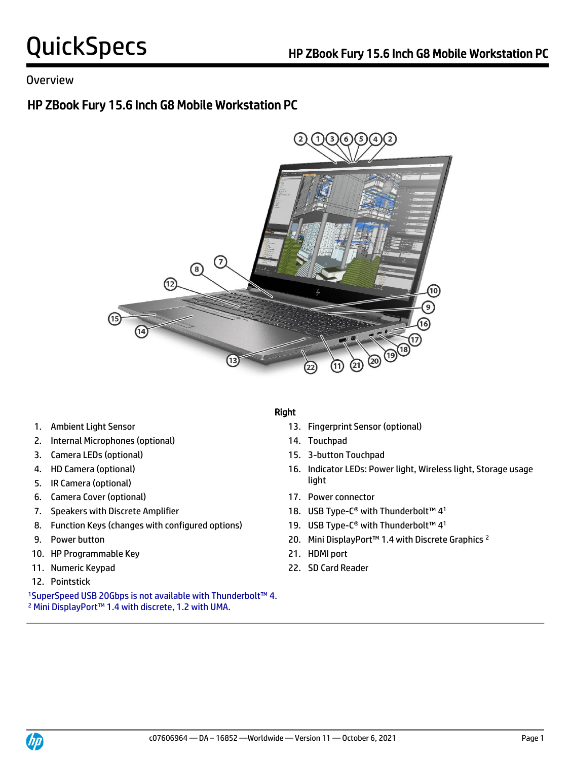### Overview

## HP ZBook Fury 15.6 Inch G8 Mobile Workstation PC



- 
- 2. Internal Microphones (optional) 14. Touchpad
- 3. Camera LEDs (optional) 15. 3-button Touchpad
- 
- **light** 5. IR Camera (optional) **Solution** 3. If  $\int$
- 6. Camera Cover (optional) 17. Power connector
- 
- 8. Function Keys (changes with configured options)
- 
- 10. HP Programmable Key 21. HDMI port
- 
- 12. Pointstick

<sup>1</sup>SuperSpeed USB 20Gbps is not available with Thunderbolt™ 4. <sup>2</sup> Mini DisplayPort™ 1.4 with discrete, 1.2 with UMA.

### Right

- 1. Ambient Light Sensor 13. Fingerprint Sensor (optional)
	-
	-
- 4. HD Camera (optional) 16. Indicator LEDs: Power light, Wireless light, Storage usage
	-
- 7. Speakers with Discrete Amplifier 18. USB Type-C® with Thunderbolt™ 41
	- 19. USB Type-C<sup>®</sup> with Thunderbolt™ 4<sup>1</sup>
- 9. Power button 20. Mini DisplayPort™ 1.4 with Discrete Graphics <sup>2</sup>
	-
- 11. Numeric Keypad 22. SD Card Reader

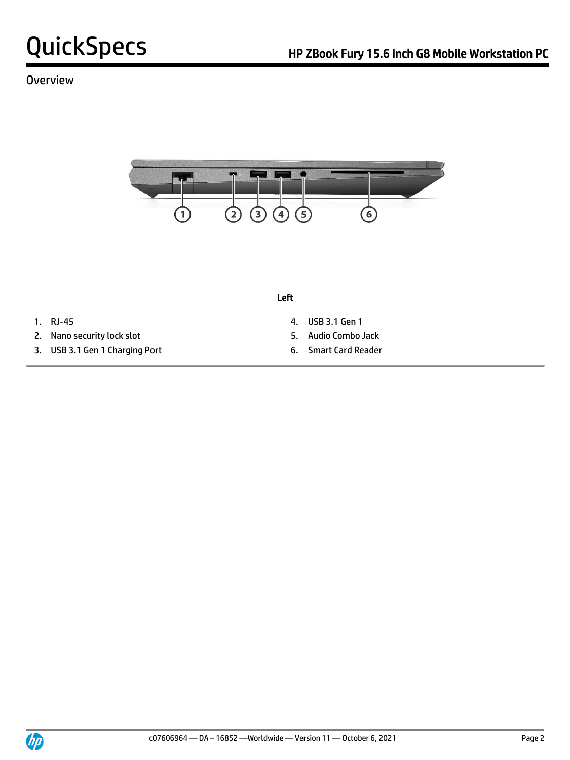## Overview



Left

- 
- 2. Nano security lock slot 5. Audio Combo Jack
- 3. USB 3.1 Gen 1 Charging Port 6. Smart Card Reader
- 1. RJ-45 4. USB 3.1 Gen 1
	-
	-

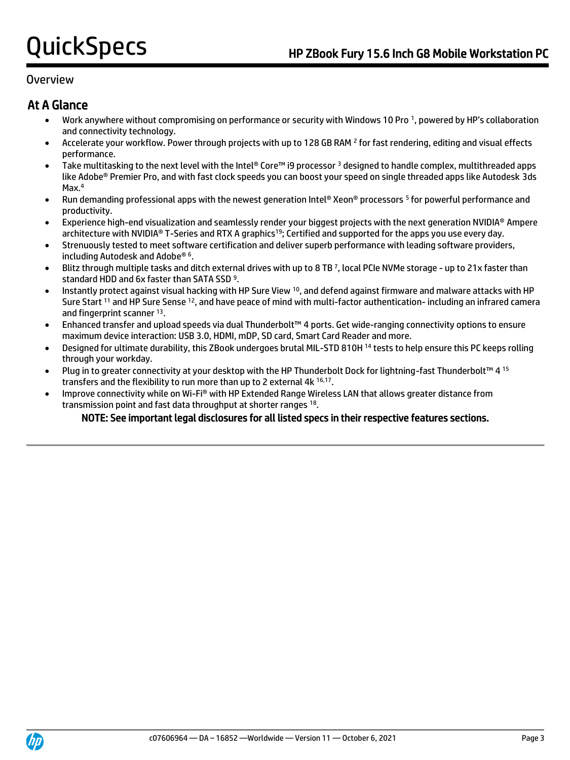### Overview

## At A Glance

- Work anywhere without compromising on performance or security with Windows 10 Pro <sup>1</sup> , powered by HP's collaboration and connectivity technology.
- Accelerate your workflow. Power through projects with up to 128 GB RAM <sup>2</sup> for fast rendering, editing and visual effects performance.
- Take multitasking to the next level with the Intel® Core™ i9 processor <sup>3</sup> designed to handle complex, multithreaded apps like Adobe® Premier Pro, and with fast clock speeds you can boost your speed on single threaded apps like Autodesk 3ds Max.<sup>4</sup>
- Run demanding professional apps with the newest generation Intel® Xeon® processors <sup>5</sup> for powerful performance and productivity.
- Experience high-end visualization and seamlessly render your biggest projects with the next generation NVIDIA® Ampere architecture with NVIDIA® T-Series and RTX A graphics<sup>19</sup>; Certified and supported for the apps you use every day.
- Strenuously tested to meet software certification and deliver superb performance with leading software providers, including Autodesk and Adobe® <sup>6</sup> .
- Blitz through multiple tasks and ditch external drives with up to 8 TB <sup>7</sup> , local PCIe NVMe storage up to 21x faster than standard HDD and 6x faster than SATA SSD<sup>9</sup>.
- Instantly protect against visual hacking with HP Sure View <sup>10</sup>, and defend against firmware and malware attacks with HP Sure Start <sup>11</sup> and HP Sure Sense <sup>12</sup>, and have peace of mind with multi-factor authentication- including an infrared camera and fingerprint scanner 13.
- Enhanced transfer and upload speeds via dual Thunderbolt™ 4 ports. Get wide-ranging connectivity options to ensure maximum device interaction: USB 3.0, HDMI, mDP, SD card, Smart Card Reader and more.
- Designed for ultimate durability, this ZBook undergoes brutal MIL-STD 810H <sup>14</sup> tests to help ensure this PC keeps rolling through your workday.
- Plug in to greater connectivity at your desktop with the HP Thunderbolt Dock for lightning-fast Thunderbolt™ 4 15 transfers and the flexibility to run more than up to 2 external 4k 16,17.
- Improve connectivity while on Wi-Fi® with HP Extended Range Wireless LAN that allows greater distance from transmission point and fast data throughput at shorter ranges 18.

### NOTE: See important legal disclosures for all listed specs in their respective features sections.

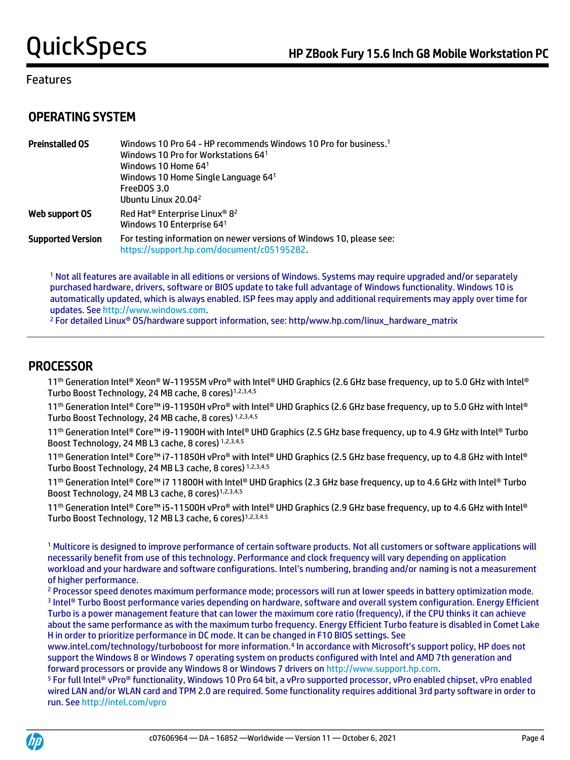## OPERATING SYSTEM

| <b>Preinstalled OS</b>   | Windows 10 Pro 64 - HP recommends Windows 10 Pro for business. <sup>1</sup><br>Windows 10 Pro for Workstations 641<br>Windows 10 Home $641$<br>Windows 10 Home Single Language 641<br>FreeDOS 3.0<br>Ubuntu Linux 20.04 <sup>2</sup> |
|--------------------------|--------------------------------------------------------------------------------------------------------------------------------------------------------------------------------------------------------------------------------------|
| Web support OS           | Red Hat <sup>®</sup> Enterprise Linux® 8 <sup>2</sup><br>Windows 10 Enterprise 641                                                                                                                                                   |
| <b>Supported Version</b> | For testing information on newer versions of Windows 10, please see:<br>https://support.hp.com/document/c05195282.                                                                                                                   |

<sup>1</sup> Not all features are available in all editions or versions of Windows. Systems may require upgraded and/or separately purchased hardware, drivers, software or BIOS update to take full advantage of Windows functionality. Windows 10 is automatically updated, which is always enabled. ISP fees may apply and additional requirements may apply over time for updates. Se[e http://www.windows.com.](http://www.windows.com/)

<sup>2</sup> For detailed Linux<sup>®</sup> OS/hardware support information, see: http/www.hp.com/linux\_hardware\_matrix

## PROCESSOR

 11 th Generation Intel® Xeon® W-11955M vPro® with Intel® UHD Graphics (2.6 GHz base frequency, up to 5.0 GHz with Intel® Turbo Boost Technology, 24 MB cache, 8 cores)<sup>1,2,3,4,5</sup>

11th Generation Intel® Core™ i9-11950H vPro® with Intel® UHD Graphics (2.6 GHz base frequency, up to 5.0 GHz with Intel® Turbo Boost Technology, 24 MB cache, 8 cores) 1,2,3,4,5

11th Generation Intel® Core™ i9-11900H with Intel® UHD Graphics (2.5 GHz base frequency, up to 4.9 GHz with Intel® Turbo Boost Technology, 24 MB L3 cache, 8 cores) 1,2,3,4,5

11th Generation Intel® Core™ i7-11850H vPro® with Intel® UHD Graphics (2.5 GHz base frequency, up to 4.8 GHz with Intel® Turbo Boost Technology, 24 MB L3 cache, 8 cores) 1,2,3,4,5

11th Generation Intel® Core™ i7 11800H with Intel® UHD Graphics (2.3 GHz base frequency, up to 4.6 GHz with Intel® Turbo Boost Technology, 24 MB L3 cache, 8 cores)<sup>1,2,3,4,5</sup>

11<sup>th</sup> Generation Intel® Core™ i5-11500H vPro® with Intel® UHD Graphics (2.9 GHz base frequency, up to 4.6 GHz with Intel® Turbo Boost Technology, 12 MB L3 cache, 6 cores)<sup>1,2,3,4.5</sup>

<sup>1</sup> Multicore is designed to improve performance of certain software products. Not all customers or software applications will necessarily benefit from use of this technology. Performance and clock frequency will vary depending on application workload and your hardware and software configurations. Intel's numbering, branding and/or naming is not a measurement of higher performance.

<sup>2</sup> Processor speed denotes maximum performance mode; processors will run at lower speeds in battery optimization mode. 3 Intel® Turbo Boost performance varies depending on hardware, software and overall system configuration. Energy Efficient Turbo is a power management feature that can lower the maximum core ratio (frequency), if the CPU thinks it can achieve about the same performance as with the maximum turbo frequency. Energy Efficient Turbo feature is disabled in Comet Lake H in order to prioritize performance in DC mode. It can be changed in F10 BIOS settings. See

www.intel.com/technology/turboboost for more information.<sup>4</sup> In accordance with Microsoft's support policy, HP does not support the Windows 8 or Windows 7 operating system on products configured with Intel and AMD 7th generation and forward processors or provide any Windows 8 or Windows 7 drivers on [http://www.support.hp.com.](http://www.support.hp.com/)

<sup>5</sup> For full Intel® vPro® functionality, Windows 10 Pro 64 bit, a vPro supported processor, vPro enabled chipset, vPro enabled wired LAN and/or WLAN card and TPM 2.0 are required. Some functionality requires additional 3rd party software in order to run. Se[e http://intel.com/vpro](http://intel.com/vpro)

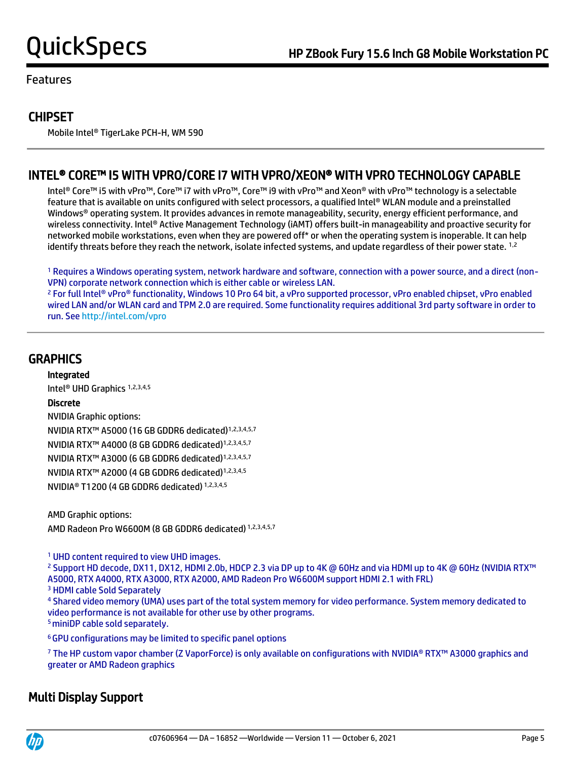## **CHIPSET**

Mobile Intel® TigerLake PCH-H, WM 590

## INTEL® CORE™ I5 WITH VPRO/CORE I7 WITH VPRO/XEON® WITH VPRO TECHNOLOGY CAPABLE

 Intel® Core™ i5 with vPro™, Core™ i7 with vPro™, Core™ i9 with vPro™ and Xeon® with vPro™ technology is a selectable feature that is available on units configured with select processors, a qualified Intel® WLAN module and a preinstalled Windows® operating system. It provides advances in remote manageability, security, energy efficient performance, and wireless connectivity. Intel® Active Management Technology (iAMT) offers built-in manageability and proactive security for networked mobile workstations, even when they are powered off\* or when the operating system is inoperable. It can help identify threats before they reach the network, isolate infected systems, and update regardless of their power state. <sup>1,2</sup>

<sup>1</sup> Requires a Windows operating system, network hardware and software, connection with a power source, and a direct (non-VPN) corporate network connection which is either cable or wireless LAN.

<sup>2</sup> For full Intel® vPro® functionality, Windows 10 Pro 64 bit, a vPro supported processor, vPro enabled chipset, vPro enabled wired LAN and/or WLAN card and TPM 2.0 are required. Some functionality requires additional 3rd party software in order to run. Se[e http://intel.com/vpro](http://intel.com/vpro)

## **GRAPHICS**

Integrated

Intel® UHD Graphics 1,2,3,4,5

### Discrete

NVIDIA Graphic options: NVIDIA RTX™ A5000 (16 GB GDDR6 dedicated)1,2,3,4,5,7 NVIDIA RTX™ A4000 (8 GB GDDR6 dedicated)1,2,3,4,5,7 NVIDIA RTX™ A3000 (6 GB GDDR6 dedicated)1,2,3,4,5,7 NVIDIA RTX™ A2000 (4 GB GDDR6 dedicated)1,2,3,4,5 NVIDIA® T1200 (4 GB GDDR6 dedicated) 1,2,3,4,5

AMD Graphic options: AMD Radeon Pro W6600M (8 GB GDDR6 dedicated) 1,2,3,4,5,7

<sup>1</sup> UHD content required to view UHD images.

<sup>2</sup> Support HD decode, DX11, DX12, HDMI 2.0b, HDCP 2.3 via DP up to 4K @ 60Hz and via HDMI up to 4K @ 60Hz (NVIDIA RTX™ A5000, RTX A4000, RTX A3000, RTX A2000, AMD Radeon Pro W6600M support HDMI 2.1 with FRL)

<sup>3</sup> HDMI cable Sold Separately

<sup>4</sup> Shared video memory (UMA) uses part of the total system memory for video performance. System memory dedicated to video performance is not available for other use by other programs. <sup>5</sup> miniDP cable sold separately.

<sup>6</sup>GPU configurations may be limited to specific panel options

<sup>7</sup> The HP custom vapor chamber (Z VaporForce) is only available on configurations with NVIDIA® RTX™ A3000 graphics and greater or AMD Radeon graphics

## Multi Display Support

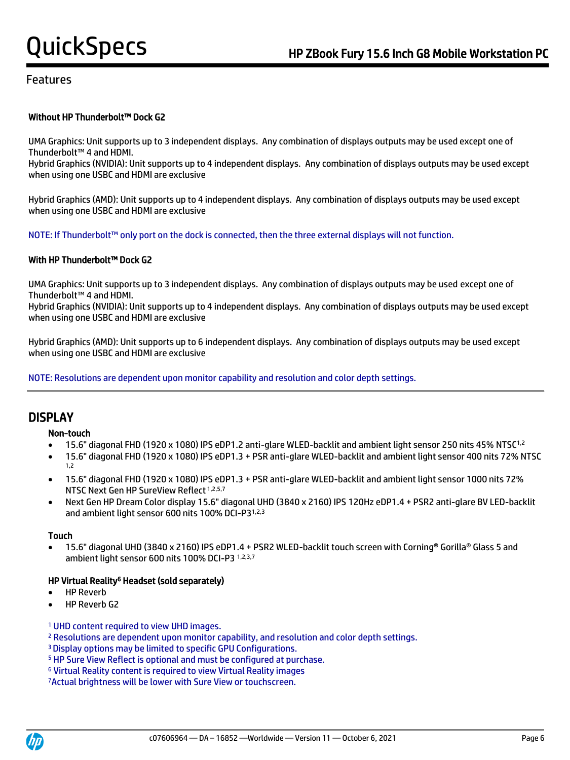#### Without HP Thunderbolt™ Dock G2

UMA Graphics: Unit supports up to 3 independent displays. Any combination of displays outputs may be used except one of Thunderbolt™ 4 and HDMI.

Hybrid Graphics (NVIDIA): Unit supports up to 4 independent displays. Any combination of displays outputs may be used except when using one USBC and HDMI are exclusive

Hybrid Graphics (AMD): Unit supports up to 4 independent displays. Any combination of displays outputs may be used except when using one USBC and HDMI are exclusive

NOTE: If Thunderbolt™ only port on the dock is connected, then the three external displays will not function.

#### With HP Thunderbolt™ Dock G2

UMA Graphics: Unit supports up to 3 independent displays. Any combination of displays outputs may be used except one of Thunderbolt™ 4 and HDMI.

Hybrid Graphics (NVIDIA): Unit supports up to 4 independent displays. Any combination of displays outputs may be used except when using one USBC and HDMI are exclusive

Hybrid Graphics (AMD): Unit supports up to 6 independent displays. Any combination of displays outputs may be used except when using one USBC and HDMI are exclusive

NOTE: Resolutions are dependent upon monitor capability and resolution and color depth settings.

## **DISPLAY**

#### Non-touch

- 15.6" diagonal FHD (1920 x 1080) IPS eDP1.2 anti-glare WLED-backlit and ambient light sensor 250 nits 45% NTSC1,2
- 15.6" diagonal FHD (1920 x 1080) IPS eDP1.3 + PSR anti-glare WLED-backlit and ambient light sensor 400 nits 72% NTSC 1,2
- 15.6" diagonal FHD (1920 x 1080) IPS eDP1.3 + PSR anti-glare WLED-backlit and ambient light sensor 1000 nits 72% NTSC Next Gen HP SureView Reflect 1,2,5,7
- Next Gen HP Dream Color display 15.6" diagonal UHD (3840 x 2160) IPS 120Hz eDP1.4 + PSR2 anti-glare BV LED-backlit and ambient light sensor 600 nits 100% DCI-P31,2,3

#### Touch

• 15.6" diagonal UHD (3840 x 2160) IPS eDP1.4 + PSR2 WLED-backlit touch screen with Corning® Gorilla® Glass 5 and ambient light sensor 600 nits 100% DCI-P3 1,2,3,7

#### HP Virtual Reality<sup>6</sup> Headset (sold separately)

- **HP Reverb**
- HP Reverb G2

#### <sup>1</sup> UHD content required to view UHD images.

- <sup>2</sup> Resolutions are dependent upon monitor capability, and resolution and color depth settings.
- <sup>3</sup>Display options may be limited to specific GPU Configurations.
- <sup>5</sup> HP Sure View Reflect is optional and must be configured at purchase.
- <sup>6</sup> Virtual Reality content is required to view Virtual Reality images

7Actual brightness will be lower with Sure View or touchscreen.



 $\overline{a}$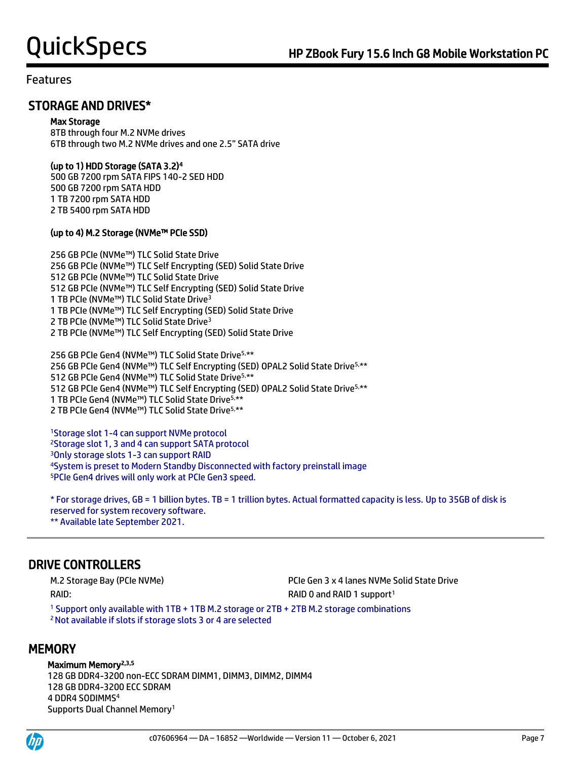## STORAGE AND DRIVES\*

#### Max Storage

8TB through four M.2 NVMe drives 6TB through two M.2 NVMe drives and one 2.5" SATA drive

### (up to 1) HDD Storage (SATA 3.2)<sup>4</sup>

500 GB 7200 rpm SATA FIPS 140-2 SED HDD 500 GB 7200 rpm SATA HDD 1 TB 7200 rpm SATA HDD 2 TB 5400 rpm SATA HDD

### (up to 4) M.2 Storage (NVMe™ PCIe SSD)

256 GB PCIe (NVMe™) TLC Solid State Drive 256 GB PCIe (NVMe™) TLC Self Encrypting (SED) Solid State Drive 512 GB PCIe (NVMe™) TLC Solid State Drive 512 GB PCIe (NVMe™) TLC Self Encrypting (SED) Solid State Drive 1 TB PCIe (NVMe™) TLC Solid State Drive<sup>3</sup> 1 TB PCIe (NVMe™) TLC Self Encrypting (SED) Solid State Drive 2 TB PCIe (NVMe™) TLC Solid State Drive<sup>3</sup> 2 TB PCIe (NVMe™) TLC Self Encrypting (SED) Solid State Drive

256 GB PCIe Gen4 (NVMe™) TLC Solid State Drive5,\*\* 256 GB PCIe Gen4 (NVMe™) TLC Self Encrypting (SED) OPAL2 Solid State Drive<sup>5,\*\*</sup> GB PCIe Gen4 (NVMe™) TLC Solid State Drive5,\*\* GB PCIe Gen4 (NVMe™) TLC Self Encrypting (SED) OPAL2 Solid State Drive5,\*\* TB PCIe Gen4 (NVMe™) TLC Solid State Drive5,\*\* TB PCIe Gen4 (NVMe™) TLC Solid State Drive5,\*\*

Storage slot 1-4 can support NVMe protocol Storage slot 1, 3 and 4 can support SATA protocol Only storage slots 1-3 can support RAID System is preset to Modern Standby Disconnected with factory preinstall image PCIe Gen4 drives will only work at PCIe Gen3 speed.

\* For storage drives, GB = 1 billion bytes. TB = 1 trillion bytes. Actual formatted capacity is less. Up to 35GB of disk is reserved for system recovery software. \*\* Available late September 2021.

## DRIVE CONTROLLERS

RAID: RAID: RAID: RAID 0 and RAID 1 support<sup>1</sup>

M.2 Storage Bay (PCIe NVMe) PCIe Gen 3 x 4 lanes NVMe Solid State Drive

<sup>1</sup> Support only available with 1TB + 1TB M.2 storage or 2TB + 2TB M.2 storage combinations <sup>2</sup>Not available if slots if storage slots 3 or 4 are selected

## **MEMORY**

### Maximum Memory<sup>2,3,5</sup>

128 GB DDR4-3200 non-ECC SDRAM DIMM1, DIMM3, DIMM2, DIMM4 128 GB DDR4-3200 ECC SDRAM 4 DDR4 SODIMMS<sup>4</sup> Supports Dual Channel Memory<sup>1</sup>



 $\overline{a}$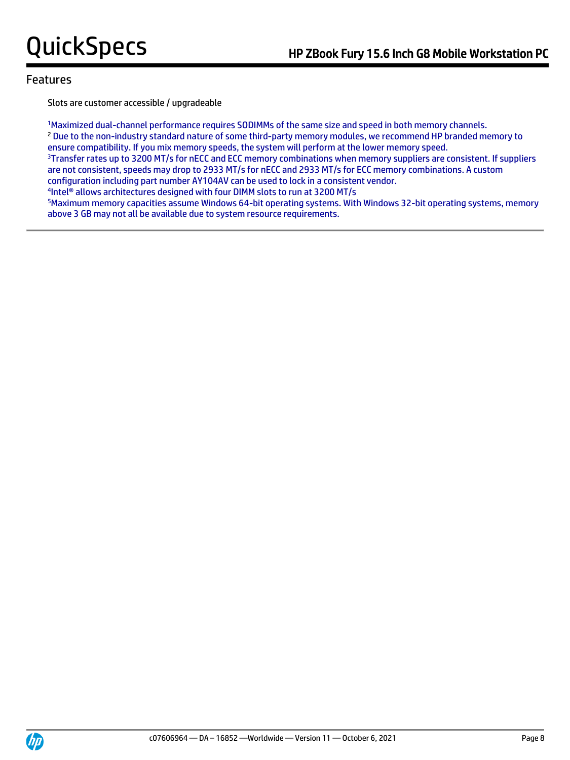Slots are customer accessible / upgradeable

<sup>1</sup>Maximized dual-channel performance requires SODIMMs of the same size and speed in both memory channels. <sup>2</sup> Due to the non-industry standard nature of some third-party memory modules, we recommend HP branded memory to ensure compatibility. If you mix memory speeds, the system will perform at the lower memory speed. <sup>3</sup>Transfer rates up to 3200 MT/s for nECC and ECC memory combinations when memory suppliers are consistent. If suppliers are not consistent, speeds may drop to 2933 MT/s for nECC and 2933 MT/s for ECC memory combinations. A custom configuration including part number AY104AV can be used to lock in a consistent vendor. 4 Intel® allows architectures designed with four DIMM slots to run at 3200 MT/s

<sup>5</sup>Maximum memory capacities assume Windows 64-bit operating systems. With Windows 32-bit operating systems, memory above 3 GB may not all be available due to system resource requirements.

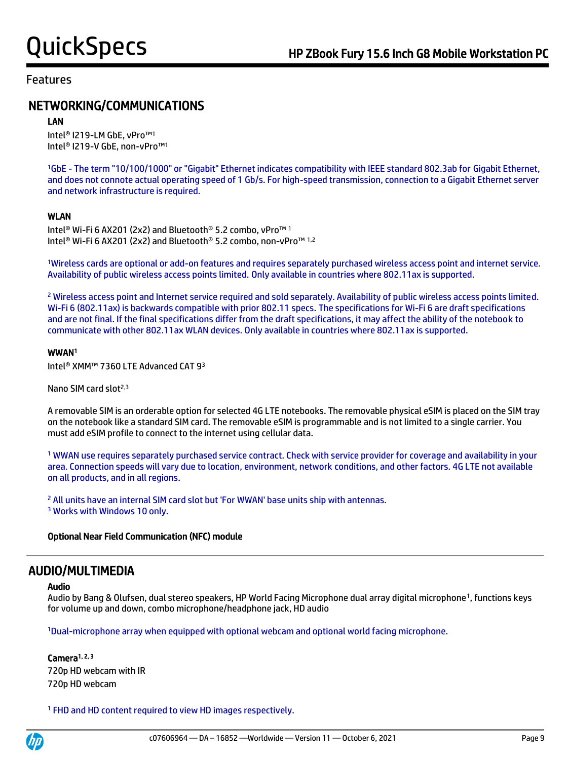## NETWORKING/COMMUNICATIONS

#### LAN

Intel® I219-LM GbE, vPro™<sup>1</sup> Intel® I219-V GbE, non-vPro™<sup>1</sup>

<sup>1</sup>GbE - The term "10/100/1000" or "Gigabit" Ethernet indicates compatibility with IEEE standard 802.3ab for Gigabit Ethernet, and does not connote actual operating speed of 1 Gb/s. For high-speed transmission, connection to a Gigabit Ethernet server and network infrastructure is required.

### WLAN

Intel® Wi-Fi 6 AX201 (2x2) and Bluetooth® 5.2 combo, vPro™ <sup>1</sup> Intel® Wi-Fi 6 AX201 (2x2) and Bluetooth® 5.2 combo, non-vPro™ 1,2

<sup>1</sup>Wireless cards are optional or add-on features and requires separately purchased wireless access point and internet service. Availability of public wireless access points limited. Only available in countries where 802.11ax is supported.

<sup>2</sup> Wireless access point and Internet service required and sold separately. Availability of public wireless access points limited. Wi-Fi 6 (802.11ax) is backwards compatible with prior 802.11 specs. The specifications for Wi-Fi 6 are draft specifications and are not final. If the final specifications differ from the draft specifications, it may affect the ability of the notebook to communicate with other 802.11ax WLAN devices. Only available in countries where 802.11ax is supported.

#### WWAN<sup>1</sup>

Intel® XMM™ 7360 LTE Advanced CAT 9<sup>3</sup>

Nano SIM card slot<sup>2,3</sup>

A removable SIM is an orderable option for selected 4G LTE notebooks. The removable physical eSIM is placed on the SIM tray on the notebook like a standard SIM card. The removable eSIM is programmable and is not limited to a single carrier. You must add eSIM profile to connect to the internet using cellular data.

<sup>1</sup> WWAN use requires separately purchased service contract. Check with service provider for coverage and availability in your area. Connection speeds will vary due to location, environment, network conditions, and other factors. 4G LTE not available on all products, and in all regions.

<sup>2</sup> All units have an internal SIM card slot but 'For WWAN' base units ship with antennas. <sup>3</sup> Works with Windows 10 only.

### Optional Near Field Communication (NFC) module

## AUDIO/MULTIMEDIA

#### Audio

Audio by Bang & Olufsen, dual stereo speakers, HP World Facing Microphone dual array digital microphone<sup>1</sup>, functions keys for volume up and down, combo microphone/headphone jack, HD audio

<sup>1</sup>Dual-microphone array when equipped with optional webcam and optional world facing microphone.

#### Camera<sup>1, 2, 3</sup> 720p HD webcam with IR 720p HD webcam

<sup>1</sup> FHD and HD content required to view HD images respectively.

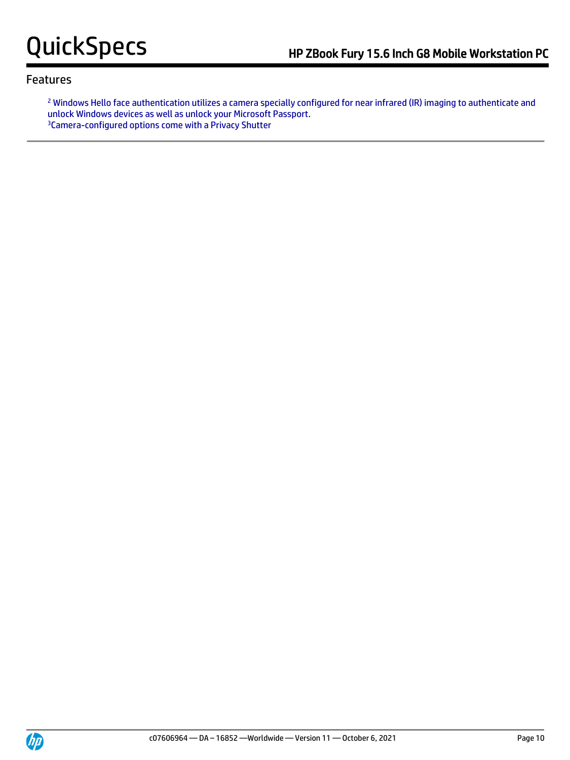<sup>2</sup> Windows Hello face authentication utilizes a camera specially configured for near infrared (IR) imaging to authenticate and unlock Windows devices as well as unlock your Microsoft Passport. 3Camera-configured options come with a Privacy Shutter

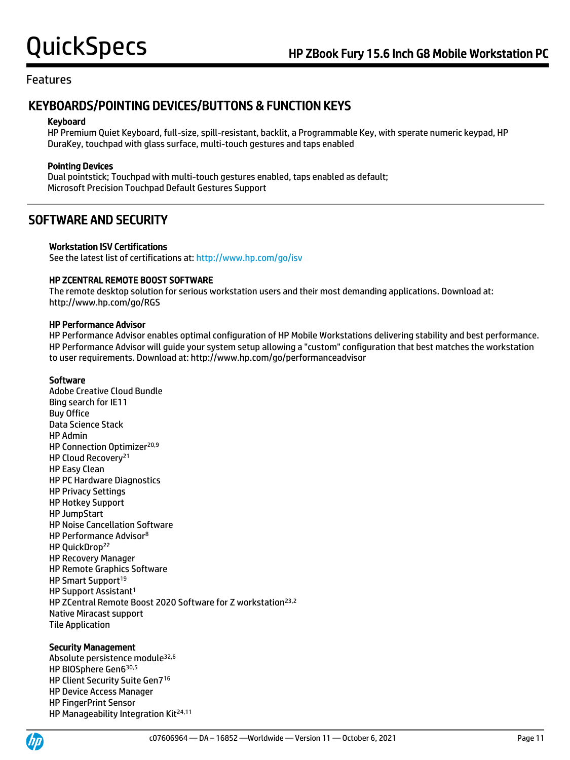## KEYBOARDS/POINTING DEVICES/BUTTONS & FUNCTION KEYS

#### Keyboard

HP Premium Quiet Keyboard, full-size, spill-resistant, backlit, a Programmable Key, with sperate numeric keypad, HP DuraKey, touchpad with glass surface, multi-touch gestures and taps enabled

### Pointing Devices

Dual pointstick; Touchpad with multi-touch gestures enabled, taps enabled as default; Microsoft Precision Touchpad Default Gestures Support

## SOFTWARE AND SECURITY

#### Workstation ISV Certifications

See the latest list of certifications at[: http://www.hp.com/go/isv](http://www.hp.com/go/isv)

#### HP ZCENTRAL REMOTE BOOST SOFTWARE

The remote desktop solution for serious workstation users and their most demanding applications. Download at: http://www.hp.com/go/RGS

#### HP Performance Advisor

HP Performance Advisor enables optimal configuration of HP Mobile Workstations delivering stability and best performance. HP Performance Advisor will guide your system setup allowing a "custom" configuration that best matches the workstation to user requirements. Download at: http://www.hp.com/go/performanceadvisor

#### Software

Adobe Creative Cloud Bundle Bing search for IE11 Buy Office Data Science Stack HP Admin HP Connection Optimizer<sup>20,9</sup> HP Cloud Recovery<sup>21</sup> HP Easy Clean HP PC Hardware Diagnostics HP Privacy Settings HP Hotkey Support HP JumpStart HP Noise Cancellation Software HP Performance Advisor<sup>8</sup> HP QuickDrop<sup>22</sup> HP Recovery Manager HP Remote Graphics Software HP Smart Support<sup>19</sup> HP Support Assistant<sup>1</sup> HP ZCentral Remote Boost 2020 Software for Z workstation<sup>23,2</sup> Native Miracast support Tile Application

#### Security Management

Absolute persistence module32,6 HP BIOSphere Gen6 30,5 HP Client Security Suite Gen7<sup>16</sup> HP Device Access Manager HP FingerPrint Sensor HP Manageability Integration Kit<sup>24,11</sup>

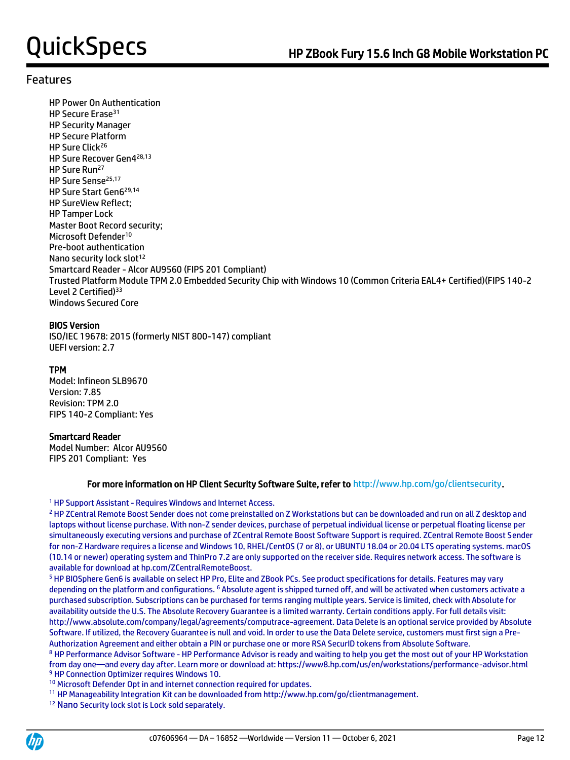HP Power On Authentication HP Secure Erase<sup>31</sup> HP Security Manager HP Secure Platform HP Sure Click<sup>26</sup> HP Sure Recover Gen4 28,13 HP Sure Run<sup>27</sup> HP Sure Sense<sup>25,17</sup> HP Sure Start Gen6 29,14 HP SureView Reflect; HP Tamper Lock Master Boot Record security; Microsoft Defender<sup>10</sup> Pre-boot authentication Nano security lock slot<sup>12</sup> Smartcard Reader - Alcor AU9560 (FIPS 201 Compliant) Trusted Platform Module TPM 2.0 Embedded Security Chip with Windows 10 (Common Criteria EAL4+ Certified)(FIPS 140-2 Level 2 Certified)<sup>33</sup> Windows Secured Core

### BIOS Version

ISO/IEC 19678: 2015 (formerly NIST 800-147) compliant UEFI version: 2.7

### TPM

Model: Infineon SLB9670 Version: 7.85 Revision: TPM 2.0 FIPS 140-2 Compliant: Yes

### Smartcard Reader

Model Number: Alcor AU9560 FIPS 201 Compliant: Yes

#### For more information on HP Client Security Software Suite, refer to http://www.hp.com/go/clientsecurity.

#### <sup>1</sup> HP Support Assistant - Requires Windows and Internet Access.

<sup>2</sup> HP ZCentral Remote Boost Sender does not come preinstalled on Z Workstations but can be downloaded and run on all Z desktop and laptops without license purchase. With non-Z sender devices, purchase of perpetual individual license or perpetual floating license per simultaneously executing versions and purchase of ZCentral Remote Boost Software Support is required. ZCentral Remote Boost Sender for non-Z Hardware requires a license and Windows 10, RHEL/CentOS (7 or 8), or UBUNTU 18.04 or 20.04 LTS operating systems. macOS (10.14 or newer) operating system and ThinPro 7.2 are only supported on the receiver side. Requires network access. The software is available for download at hp.com/ZCentralRemoteBoost.

<sup>5</sup> HP BIOSphere Gen6 is available on select HP Pro, Elite and ZBook PCs. See product specifications for details. Features may vary depending on the platform and configurations. <sup>6</sup> Absolute agent is shipped turned off, and will be activated when customers activate a purchased subscription. Subscriptions can be purchased for terms ranging multiple years. Service is limited, check with Absolute for availability outside the U.S. The Absolute Recovery Guarantee is a limited warranty. Certain conditions apply. For full details visit: http://www.absolute.com/company/legal/agreements/computrace-agreement. Data Delete is an optional service provided by Absolute Software. If utilized, the Recovery Guarantee is null and void. In order to use the Data Delete service, customers must first sign a Pre-Authorization Agreement and either obtain a PIN or purchase one or more RSA SecurID tokens from Absolute Software.

<sup>8</sup> HP Performance Advisor Software - HP Performance Advisor is ready and waiting to help you get the most out of your HP Workstation from day one—and every day after. Learn more or download at: https://www8.hp.com/us/en/workstations/performance-advisor.html <sup>9</sup> HP Connection Optimizer requires Windows 10.

<sup>10</sup> Microsoft Defender Opt in and internet connection required for updates.

<sup>11</sup> HP Manageability Integration Kit can be downloaded from http://www.hp.com/go/clientmanagement.

<sup>12</sup> Nano Security lock slot is Lock sold separately.

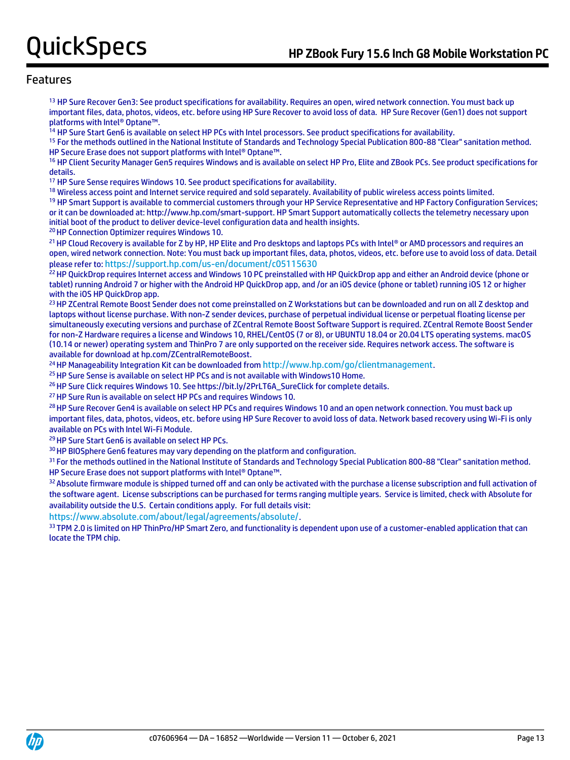<sup>13</sup> HP Sure Recover Gen3: See product specifications for availability. Requires an open, wired network connection. You must back up important files, data, photos, videos, etc. before using HP Sure Recover to avoid loss of data. HP Sure Recover (Gen1) does not support platforms with Intel® Optane™.

<sup>14</sup> HP Sure Start Gen6 is available on select HP PCs with Intel processors. See product specifications for availability.

<sup>15</sup> For the methods outlined in the National Institute of Standards and Technology Special Publication 800-88 "Clear" sanitation method. HP Secure Erase does not support platforms with Intel® Optane™.

<sup>16</sup> HP Client Security Manager Gen5 requires Windows and is available on select HP Pro, Elite and ZBook PCs. See product specifications for details.

<sup>17</sup> HP Sure Sense requires Windows 10. See product specifications for availability.

<sup>18</sup> Wireless access point and Internet service required and sold separately. Availability of public wireless access points limited.

<sup>19</sup> HP Smart Support is available to commercial customers through your HP Service Representative and HP Factory Configuration Services; or it can be downloaded at: http://www.hp.com/smart-support. HP Smart Support automatically collects the telemetry necessary upon initial boot of the product to deliver device-level configuration data and health insights.

<sup>20</sup> HP Connection Optimizer requires Windows 10.

21 HP Cloud Recovery is available for Z by HP, HP Elite and Pro desktops and laptops PCs with Intel® or AMD processors and requires an open, wired network connection. Note: You must back up important files, data, photos, videos, etc. before use to avoid loss of data. Detail please refer to: <https://support.hp.com/us-en/document/c05115630>

<sup>22</sup> HP QuickDrop requires Internet access and Windows 10 PC preinstalled with HP QuickDrop app and either an Android device (phone or tablet) running Android 7 or higher with the Android HP QuickDrop app, and /or an iOS device (phone or tablet) running iOS 12 or higher with the iOS HP QuickDrop app.

<sup>23</sup> HP ZCentral Remote Boost Sender does not come preinstalled on Z Workstations but can be downloaded and run on all Z desktop and laptops without license purchase. With non-Z sender devices, purchase of perpetual individual license or perpetual floating license per simultaneously executing versions and purchase of ZCentral Remote Boost Software Support is required. ZCentral Remote Boost Sender for non-Z Hardware requires a license and Windows 10, RHEL/CentOS (7 or 8), or UBUNTU 18.04 or 20.04 LTS operating systems. macOS (10.14 or newer) operating system and ThinPro 7 are only supported on the receiver side. Requires network access. The software is available for download at hp.com/ZCentralRemoteBoost.

<sup>24</sup> HP Manageability Integration Kit can be downloaded from <http://www.hp.com/go/clientmanagement>.

<sup>25</sup> HP Sure Sense is available on select HP PCs and is not available with Windows10 Home.

<sup>26</sup> HP Sure Click requires Windows 10. See https://bit.ly/2PrLT6A\_SureClick for complete details.

<sup>27</sup> HP Sure Run is available on select HP PCs and requires Windows 10.

<sup>28</sup> HP Sure Recover Gen4 is available on select HP PCs and requires Windows 10 and an open network connection. You must back up important files, data, photos, videos, etc. before using HP Sure Recover to avoid loss of data. Network based recovery using Wi-Fi is only available on PCs with Intel Wi-Fi Module.

<sup>29</sup> HP Sure Start Gen6 is available on select HP PCs.

<sup>30</sup> HP BIOSphere Gen6 features may vary depending on the platform and configuration.

<sup>31</sup> For the methods outlined in the National Institute of Standards and Technology Special Publication 800-88 "Clear" sanitation method. HP Secure Erase does not support platforms with Intel® Optane™.

32 Absolute firmware module is shipped turned off and can only be activated with the purchase a license subscription and full activation of the software agent. License subscriptions can be purchased for terms ranging multiple years. Service is limited, check with Absolute for availability outside the U.S. Certain conditions apply. For full details visit:

<https://www.absolute.com/about/legal/agreements/absolute/>.

33 TPM 2.0 is limited on HP ThinPro/HP Smart Zero, and functionality is dependent upon use of a customer-enabled application that can locate the TPM chip.

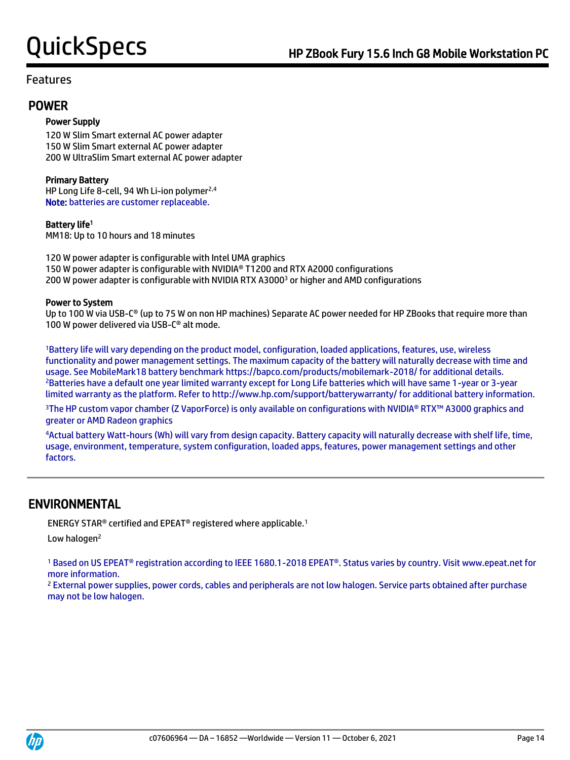## POWER

### Power Supply

120 W Slim Smart external AC power adapter 150 W Slim Smart external AC power adapter 200 W UltraSlim Smart external AC power adapter

### Primary Battery

HP Long Life 8-cell, 94 Wh Li-ion polymer<sup>2,4</sup> Note: batteries are customer replaceable.

### Battery life<sup>1</sup>

MM18: Up to 10 hours and 18 minutes

120 W power adapter is configurable with Intel UMA graphics 150 W power adapter is configurable with NVIDIA® T1200 and RTX A2000 configurations 200 W power adapter is configurable with NVIDIA RTX A3000<sup>3</sup> or higher and AMD configurations

#### Power to System

Up to 100 W via USB-C<sup>®</sup> (up to 75 W on non HP machines) Separate AC power needed for HP ZBooks that require more than 100 W power delivered via USB-C® alt mode.

<sup>1</sup>Battery life will vary depending on the product model, configuration, loaded applications, features, use, wireless functionality and power management settings. The maximum capacity of the battery will naturally decrease with time and usage. See MobileMark18 battery benchmark https://bapco.com/products/mobilemark-2018/ for additional details. <sup>2</sup>Batteries have a default one year limited warranty except for Long Life batteries which will have same 1-year or 3-year limited warranty as the platform. Refer to http://www.hp.com/support/batterywarranty/ for additional battery information.

<sup>3</sup>The HP custom vapor chamber (Z VaporForce) is only available on configurations with NVIDIA® RTX™ A3000 graphics and greater or AMD Radeon graphics

<sup>4</sup>Actual battery Watt-hours (Wh) will vary from design capacity. Battery capacity will naturally decrease with shelf life, time, usage, environment, temperature, system configuration, loaded apps, features, power management settings and other factors.

## ENVIRONMENTAL

ENERGY STAR® certified and EPEAT® registered where applicable.<sup>1</sup>

Low halogen<sup>2</sup>

<sup>1</sup> Based on US EPEAT® registration according to IEEE 1680.1-2018 EPEAT®. Status varies by country. Visit www.epeat.net for more information.

<sup>2</sup> External power supplies, power cords, cables and peripherals are not low halogen. Service parts obtained after purchase may not be low halogen.

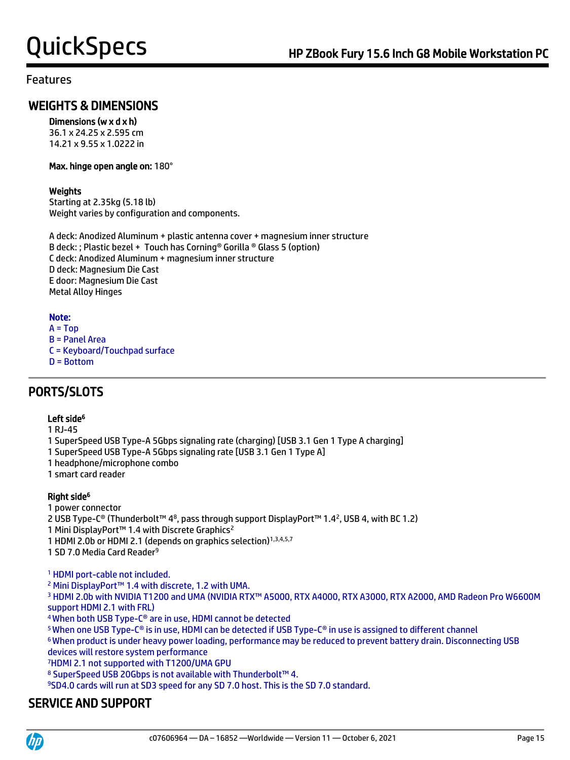## WEIGHTS & DIMENSIONS

### Dimensions (w x d x h)

36.1 x 24.25 x 2.595 cm 14.21 x 9.55 x 1.0222 in

#### Max. hinge open angle on: 180°

### **Weights**

Starting at 2.35kg (5.18 lb) Weight varies by configuration and components.

A deck: Anodized Aluminum + plastic antenna cover + magnesium inner structure B deck: ; Plastic bezel + Touch has Corning® Gorilla ® Glass 5 (option) C deck: Anodized Aluminum + magnesium inner structure D deck: Magnesium Die Cast E door: Magnesium Die Cast Metal Alloy Hinges

### Note:

- $A = Top$ B = Panel Area C = Keyboard/Touchpad surface
- D = Bottom

## PORTS/SLOTS

### Left side<sup>6</sup>

1 RJ-45

- 1 SuperSpeed USB Type-A 5Gbps signaling rate (charging) [USB 3.1 Gen 1 Type A charging]
- 1 SuperSpeed USB Type-A 5Gbps signaling rate [USB 3.1 Gen 1 Type A]
- 1 headphone/microphone combo
- 1 smart card reader

### Right side<sup>6</sup>

1 power connector

2 USB Type-C® (Thunderbolt™ 48, pass through support DisplayPort™ 1.42, USB 4, with BC 1.2)

1 Mini DisplayPort™ 1.4 with Discrete Graphics<sup>2</sup>

1 HDMI 2.0b or HDMI 2.1 (depends on graphics selection)<sup>1,3,4,5,7</sup>

1 SD 7.0 Media Card Reader<sup>9</sup>

<sup>1</sup> HDMI port-cable not included.

<sup>2</sup> Mini DisplayPort™ 1.4 with discrete, 1.2 with UMA.

3 HDMI 2.0b with NVIDIA T1200 and UMA (NVIDIA RTX™ A5000, RTX A4000, RTX A3000, RTX A2000, AMD Radeon Pro W6600M support HDMI 2.1 with FRL)

<sup>4</sup>When both USB Type-C® are in use, HDMI cannot be detected

<sup>5</sup>When one USB Type-C® is in use, HDMI can be detected if USB Type-C® in use is assigned to different channel

<sup>6</sup>When product is under heavy power loading, performance may be reduced to prevent battery drain. Disconnecting USB devices will restore system performance

<sup>7</sup>HDMI 2.1 not supported with T1200/UMA GPU

<sup>8</sup> SuperSpeed USB 20Gbps is not available with Thunderbolt™ 4.

<sup>9</sup>SD4.0 cards will run at SD3 speed for any SD 7.0 host. This is the SD 7.0 standard.

## SERVICE AND SUPPORT

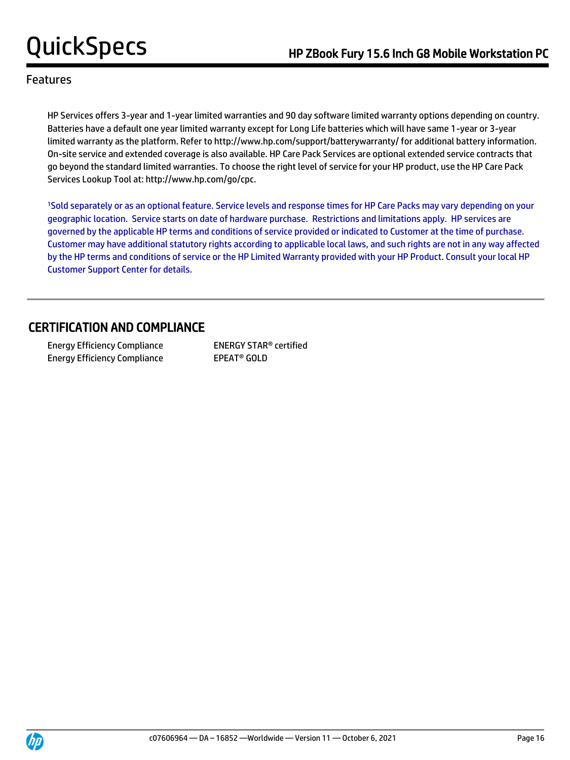HP Services offers 3-year and 1-year limited warranties and 90 day software limited warranty options depending on country. Batteries have a default one year limited warranty except for Long Life batteries which will have same 1-year or 3-year limited warranty as the platform. Refer to http://www.hp.com/support/batterywarranty/ for additional battery information. On-site service and extended coverage is also available. HP Care Pack Services are optional extended service contracts that go beyond the standard limited warranties. To choose the right level of service for your HP product, use the HP Care Pack Services Lookup Tool at: http://www.hp.com/go/cpc.

<sup>1</sup>Sold separately or as an optional feature. Service levels and response times for HP Care Packs may vary depending on your geographic location. Service starts on date of hardware purchase. Restrictions and limitations apply. HP services are governed by the applicable HP terms and conditions of service provided or indicated to Customer at the time of purchase. Customer may have additional statutory rights according to applicable local laws, and such rights are not in any way affected by the HP terms and conditions of service or the HP Limited Warranty provided with your HP Product. Consult your local HP Customer Support Center for details.

## CERTIFICATION AND COMPLIANCE

 Energy Efficiency Compliance ENERGY STAR® certified Energy Efficiency Compliance EPEAT<sup>®</sup> GOLD

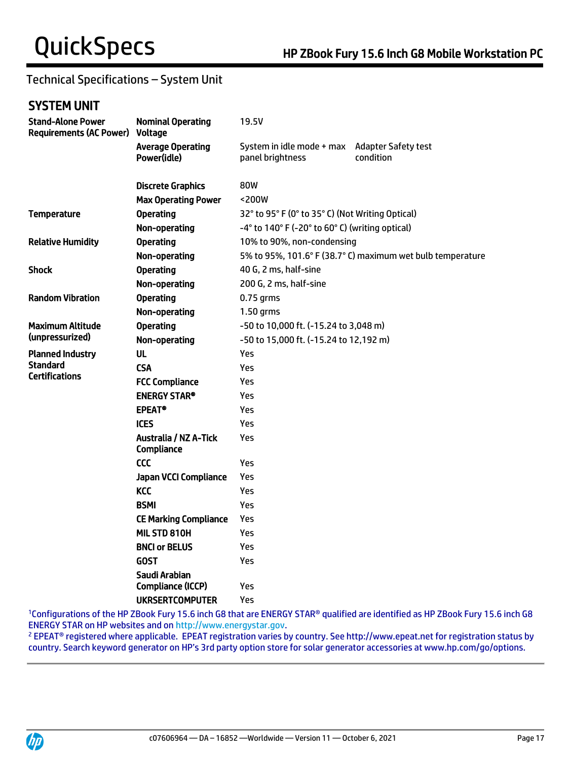## Technical Specifications – System Unit

## SYSTEM UNIT

| <b>Stand-Alone Power</b><br><b>Requirements (AC Power) Voltage</b> | <b>Nominal Operating</b>                   | 19.5V                                                              |                                                            |  |
|--------------------------------------------------------------------|--------------------------------------------|--------------------------------------------------------------------|------------------------------------------------------------|--|
|                                                                    | <b>Average Operating</b><br>Power(idle)    | System in idle mode + max<br>panel brightness                      | <b>Adapter Safety test</b><br>condition                    |  |
|                                                                    | <b>Discrete Graphics</b>                   | 80W                                                                |                                                            |  |
|                                                                    | <b>Max Operating Power</b>                 | <200W                                                              |                                                            |  |
| <b>Temperature</b>                                                 | <b>Operating</b>                           | 32° to 95° F (0° to 35° C) (Not Writing Optical)                   |                                                            |  |
|                                                                    | Non-operating                              | $-4^{\circ}$ to 140° F ( $-20^{\circ}$ to 60° C) (writing optical) |                                                            |  |
| <b>Relative Humidity</b>                                           | <b>Operating</b>                           | 10% to 90%, non-condensing                                         |                                                            |  |
|                                                                    | Non-operating                              |                                                                    | 5% to 95%, 101.6° F (38.7° C) maximum wet bulb temperature |  |
| <b>Shock</b>                                                       | <b>Operating</b>                           | 40 G, 2 ms, half-sine                                              |                                                            |  |
|                                                                    | Non-operating                              | 200 G, 2 ms, half-sine                                             |                                                            |  |
| <b>Random Vibration</b>                                            | <b>Operating</b><br>$0.75$ grms            |                                                                    |                                                            |  |
|                                                                    | Non-operating                              | 1.50 grms                                                          |                                                            |  |
| Maximum Altitude                                                   | <b>Operating</b>                           | -50 to 10,000 ft. (-15.24 to 3,048 m)                              |                                                            |  |
| (unpressurized)                                                    | Non-operating                              | -50 to 15,000 ft. (-15.24 to 12,192 m)                             |                                                            |  |
| <b>Planned Industry</b>                                            | <b>UL</b>                                  | Yes                                                                |                                                            |  |
| <b>Standard</b><br><b>Certifications</b>                           | <b>CSA</b>                                 | Yes                                                                |                                                            |  |
|                                                                    | <b>FCC Compliance</b>                      | Yes                                                                |                                                            |  |
|                                                                    | <b>ENERGY STAR®</b>                        | Yes                                                                |                                                            |  |
|                                                                    | <b>EPEAT®</b>                              | Yes                                                                |                                                            |  |
|                                                                    | <b>ICES</b>                                | Yes                                                                |                                                            |  |
|                                                                    | <b>Australia / NZ A-Tick</b><br>Compliance | Yes                                                                |                                                            |  |
|                                                                    | CCC                                        | Yes                                                                |                                                            |  |
|                                                                    | <b>Japan VCCI Compliance</b>               | Yes                                                                |                                                            |  |
|                                                                    | <b>KCC</b>                                 | Yes                                                                |                                                            |  |
|                                                                    | <b>BSMI</b>                                | Yes                                                                |                                                            |  |
|                                                                    | <b>CE Marking Compliance</b>               | Yes                                                                |                                                            |  |
|                                                                    | MIL STD 810H                               | Yes                                                                |                                                            |  |
|                                                                    | <b>BNCI or BELUS</b>                       | Yes                                                                |                                                            |  |
|                                                                    | <b>GOST</b>                                | Yes                                                                |                                                            |  |
|                                                                    | Saudi Arabian                              |                                                                    |                                                            |  |
|                                                                    | Compliance (ICCP)                          | Yes                                                                |                                                            |  |
|                                                                    | <b>UKRSERTCOMPUTER</b>                     | Yes                                                                |                                                            |  |

<sup>1</sup>Configurations of the HP ZBook Fury 15.6 inch G8 that are ENERGY STAR® qualified are identified as HP ZBook Fury 15.6 inch G8 ENERGY STAR on HP websites and o[n http://www.energystar.gov.](http://www.energystar.gov/)

<sup>2</sup> EPEAT® registered where applicable. EPEAT registration varies by country. See http://www.epeat.net for registration status by country. Search keyword generator on HP's 3rd party option store for solar generator accessories at www.hp.com/go/options.

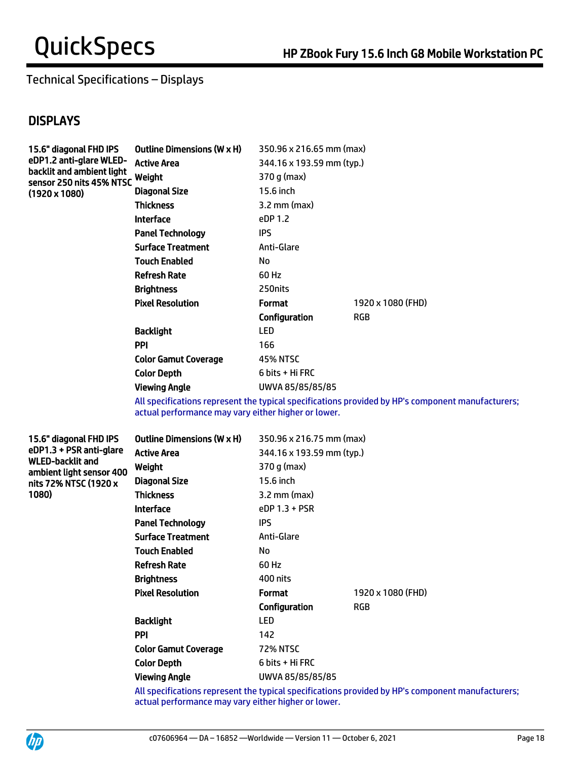## Technical Specifications – Displays

## **DISPLAYS**

| <b>Outline Dimensions (W x H)</b> | 350.96 x 216.65 mm (max)  |                   |
|-----------------------------------|---------------------------|-------------------|
| <b>Active Area</b>                | 344.16 x 193.59 mm (typ.) |                   |
| Weight                            | 370 g (max)               |                   |
| <b>Diagonal Size</b>              | 15.6 inch                 |                   |
| <b>Thickness</b>                  | $3.2$ mm (max)            |                   |
| <b>Interface</b>                  | eDP 1.2                   |                   |
| <b>Panel Technology</b>           | IPS                       |                   |
| <b>Surface Treatment</b>          | Anti-Glare                |                   |
| <b>Touch Enabled</b>              | No                        |                   |
| <b>Refresh Rate</b>               | 60 Hz                     |                   |
| <b>Brightness</b>                 | 250 nits                  |                   |
| <b>Pixel Resolution</b>           | <b>Format</b>             | 1920 x 1080 (FHD) |
|                                   | Configuration             | RGB               |
| <b>Backlight</b>                  | <b>LED</b>                |                   |
| <b>PPI</b>                        | 166                       |                   |
| <b>Color Gamut Coverage</b>       | <b>45% NTSC</b>           |                   |
| <b>Color Depth</b>                | 6 bits + Hi FRC           |                   |
| <b>Viewing Angle</b>              | UWVA 85/85/85/85          |                   |
|                                   | sensor 250 nits 45% NTSC  |                   |

All specifications represent the typical specifications provided by HP's component manufacturers; actual performance may vary either higher or lower.

15.6" diagonal FHD IPS eDP1.3 + PSR anti-glare WLED-backlit and ambient light sensor 400 nits 72% NTSC (1920 x 1080)

| <b>Outline Dimensions (W x H)</b> | 350.96 x 216.75 mm (max)  |                   |  |
|-----------------------------------|---------------------------|-------------------|--|
| Active Area                       | 344.16 x 193.59 mm (typ.) |                   |  |
| Weight                            | 370 g (max)               |                   |  |
| <b>Diagonal Size</b>              | 15.6 inch                 |                   |  |
| <b>Thickness</b>                  | $3.2 \text{ mm}$ (max)    |                   |  |
| <b>Interface</b>                  | eDP 1.3 + PSR             |                   |  |
| <b>Panel Technology</b>           | IPS                       |                   |  |
| <b>Surface Treatment</b>          | Anti-Glare                |                   |  |
| <b>Touch Enabled</b>              | No                        |                   |  |
| <b>Refresh Rate</b>               | 60 Hz                     |                   |  |
| <b>Brightness</b>                 | 400 nits                  |                   |  |
| <b>Pixel Resolution</b>           | <b>Format</b>             | 1920 x 1080 (FHD) |  |
|                                   | Configuration             | RGB               |  |
| <b>Backlight</b>                  | LED                       |                   |  |
| PPI                               | 142                       |                   |  |
| <b>Color Gamut Coverage</b>       | <b>72% NTSC</b>           |                   |  |
| <b>Color Depth</b>                | 6 bits + Hi FRC           |                   |  |
| <b>Viewing Angle</b>              | UWVA 85/85/85/85          |                   |  |

All specifications represent the typical specifications provided by HP's component manufacturers; actual performance may vary either higher or lower.

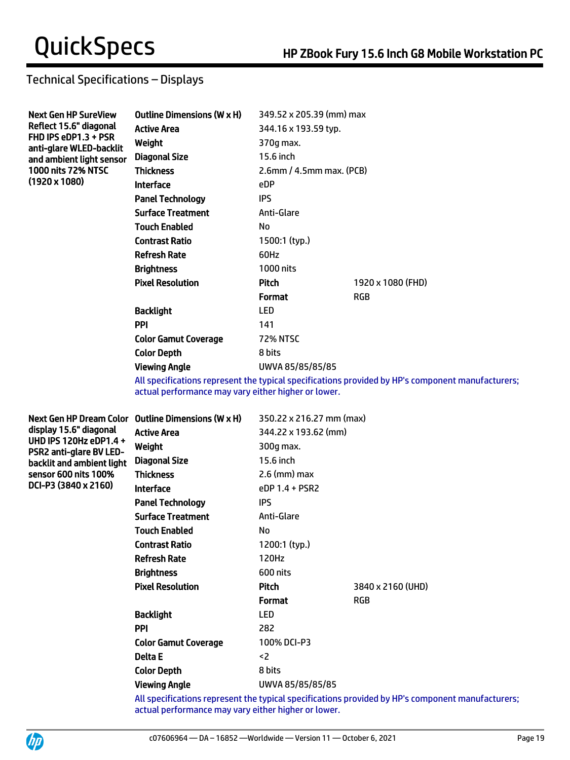## Technical Specifications – Displays

| <b>Next Gen HP SureView</b>                     | Outline Dimensions (W x H)  | 349.52 x 205.39 (mm) max    |                   |
|-------------------------------------------------|-----------------------------|-----------------------------|-------------------|
| Reflect 15.6" diagonal                          | <b>Active Area</b>          | 344.16 x 193.59 typ.        |                   |
| FHD IPS eDP1.3 + PSR<br>anti-glare WLED-backlit | Weight                      | 370g max.                   |                   |
| and ambient light sensor                        | <b>Diagonal Size</b>        | 15.6 inch                   |                   |
| <b>1000 nits 72% NTSC</b>                       | <b>Thickness</b>            | $2.6$ mm / 4.5mm max. (PCB) |                   |
| $(1920 \times 1080)$                            | <b>Interface</b>            | eDP                         |                   |
|                                                 | <b>Panel Technology</b>     | <b>IPS</b>                  |                   |
|                                                 | <b>Surface Treatment</b>    | Anti-Glare                  |                   |
|                                                 | <b>Touch Enabled</b>        | No                          |                   |
|                                                 | <b>Contrast Ratio</b>       | $1500:1$ (typ.)             |                   |
|                                                 | <b>Refresh Rate</b>         | 60Hz                        |                   |
|                                                 | <b>Brightness</b>           | 1000 nits                   |                   |
|                                                 | <b>Pixel Resolution</b>     | Pitch                       | 1920 x 1080 (FHD) |
|                                                 |                             | <b>Format</b>               | <b>RGB</b>        |
|                                                 | <b>Backlight</b>            | <b>LED</b>                  |                   |
|                                                 | <b>PPI</b>                  | 141                         |                   |
|                                                 | <b>Color Gamut Coverage</b> | <b>72% NTSC</b>             |                   |
|                                                 | <b>Color Depth</b>          | 8 bits                      |                   |
|                                                 | <b>Viewing Angle</b>        | UWVA 85/85/85/85            |                   |
|                                                 |                             |                             |                   |

All specifications represent the typical specifications provided by HP's component manufacturers; actual performance may vary either higher or lower.

Next Gen HP Dream Color Outline Dimensions (W x H) 350.22 x 216.27 mm (max) display 15.6" diagonal UHD IPS 120Hz eDP1.4 + PSR2 anti-glare BV LEDbacklit and ambient light sensor 600 nits 100% DCI-P3 (3840 x 2160)

| Active Area           | 344.22 x 193.62 (mm) |                   |
|-----------------------|----------------------|-------------------|
| Weight                | 300g max.            |                   |
| Diagonal Size         | 15.6 inch            |                   |
| <b>Thickness</b>      | $2.6$ (mm) max       |                   |
| Interface             | $eDP 1.4 + PSR2$     |                   |
| Panel Technology      | <b>IPS</b>           |                   |
| Surface Treatment     | Anti-Glare           |                   |
| Touch Enabled         | No                   |                   |
| <b>Contrast Ratio</b> | 1200:1 (typ.)        |                   |
| Refresh Rate          | 120Hz                |                   |
| Brightness            | 600 nits             |                   |
| Pixel Resolution      | Pitch                | 3840 x 2160 (UHD) |
|                       | <b>Format</b>        | <b>RGB</b>        |
| Backlight             | LED                  |                   |
| PPI                   | 282                  |                   |
| Color Gamut Coverage  | 100% DCI-P3          |                   |
| Delta E               | $\leq$               |                   |
| Color Depth           | 8 bits               |                   |
| <b>Viewing Angle</b>  | UWVA 85/85/85/85     |                   |

All specifications represent the typical specifications provided by HP's component manufacturers; actual performance may vary either higher or lower.

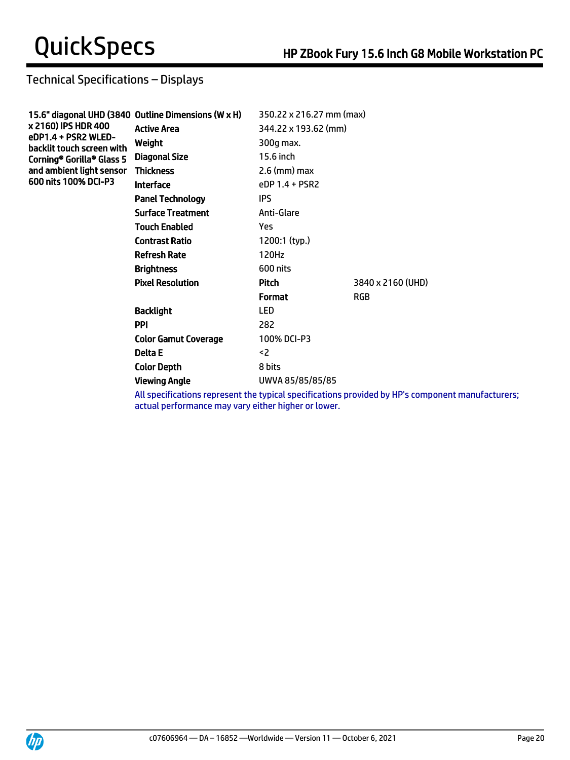## Technical Specifications – Displays

|                                                  | 15.6" diagonal UHD (3840 Outline Dimensions (W x H) | 350.22 x 216.27 mm (max) |                   |
|--------------------------------------------------|-----------------------------------------------------|--------------------------|-------------------|
| x 2160) IPS HDR 400                              | <b>Active Area</b>                                  | 344.22 x 193.62 (mm)     |                   |
| eDP1.4 + PSR2 WLED-<br>backlit touch screen with | Weight                                              | 300g max.                |                   |
| Corning® Gorilla® Glass 5                        | Diagonal Size                                       | 15.6 inch                |                   |
| and ambient light sensor                         | <b>Thickness</b>                                    | $2.6$ (mm) max           |                   |
| 600 nits 100% DCI-P3                             | <b>Interface</b>                                    | eDP 1.4 + PSR2           |                   |
|                                                  | <b>Panel Technology</b>                             | <b>IPS</b>               |                   |
|                                                  | <b>Surface Treatment</b>                            | Anti-Glare               |                   |
|                                                  | <b>Touch Enabled</b>                                | Yes                      |                   |
|                                                  | <b>Contrast Ratio</b>                               | 1200:1 (typ.)            |                   |
|                                                  | <b>Refresh Rate</b>                                 | 120Hz                    |                   |
|                                                  | <b>Brightness</b>                                   | 600 nits                 |                   |
|                                                  | <b>Pixel Resolution</b>                             | Pitch                    | 3840 x 2160 (UHD) |
|                                                  |                                                     | <b>Format</b>            | <b>RGB</b>        |
|                                                  | <b>Backlight</b>                                    | <b>LED</b>               |                   |
|                                                  | <b>PPI</b>                                          | 282                      |                   |
|                                                  | <b>Color Gamut Coverage</b>                         | 100% DCI-P3              |                   |
|                                                  | Delta E                                             | $2$                      |                   |
|                                                  | <b>Color Depth</b>                                  | 8 bits                   |                   |
|                                                  | <b>Viewing Angle</b>                                | UWVA 85/85/85/85         |                   |

All specifications represent the typical specifications provided by HP's component manufacturers; actual performance may vary either higher or lower.

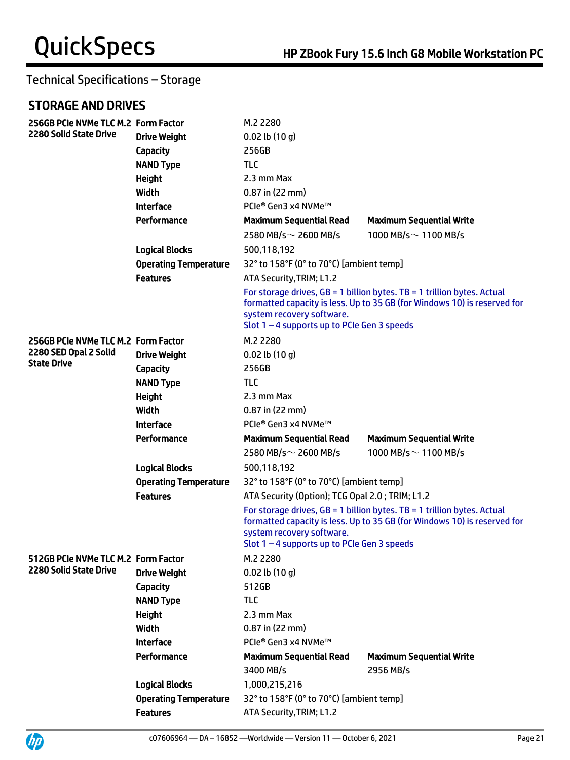## STORAGE AND DRIVES

UP

| 256GB PCIe NVMe TLC M.2 Form Factor         |                              | M.2 2280                                                                   |                                                                                                                                                       |  |
|---------------------------------------------|------------------------------|----------------------------------------------------------------------------|-------------------------------------------------------------------------------------------------------------------------------------------------------|--|
| <b>2280 Solid State Drive</b>               | <b>Drive Weight</b>          | $0.02$ lb $(10 g)$                                                         |                                                                                                                                                       |  |
|                                             | Capacity                     | 256GB                                                                      |                                                                                                                                                       |  |
|                                             | <b>NAND Type</b>             | <b>TLC</b>                                                                 |                                                                                                                                                       |  |
|                                             | <b>Height</b>                | 2.3 mm Max                                                                 |                                                                                                                                                       |  |
|                                             | Width                        | $0.87$ in (22 mm)                                                          |                                                                                                                                                       |  |
|                                             | <b>Interface</b>             | PCIe® Gen3 x4 NVMe™                                                        |                                                                                                                                                       |  |
|                                             | Performance                  | <b>Maximum Sequential Read</b>                                             | <b>Maximum Sequential Write</b>                                                                                                                       |  |
|                                             |                              | 2580 MB/s $\sim$ 2600 MB/s                                                 | 1000 MB/s $\sim$ 1100 MB/s                                                                                                                            |  |
|                                             | <b>Logical Blocks</b>        | 500,118,192                                                                |                                                                                                                                                       |  |
|                                             | <b>Operating Temperature</b> | 32° to 158°F (0° to 70°C) [ambient temp]                                   |                                                                                                                                                       |  |
|                                             | <b>Features</b>              | ATA Security, TRIM; L1.2                                                   |                                                                                                                                                       |  |
|                                             |                              | system recovery software.<br>Slot $1 - 4$ supports up to PCIe Gen 3 speeds | For storage drives, $GB = 1$ billion bytes. TB = 1 trillion bytes. Actual<br>formatted capacity is less. Up to 35 GB (for Windows 10) is reserved for |  |
| 256GB PCIe NVMe TLC M.2 Form Factor         |                              | M.2 2280                                                                   |                                                                                                                                                       |  |
| 2280 SED Opal 2 Solid<br><b>State Drive</b> | <b>Drive Weight</b>          | $0.02$ lb $(10 g)$                                                         |                                                                                                                                                       |  |
|                                             | Capacity                     | 256GB                                                                      |                                                                                                                                                       |  |
|                                             | <b>NAND Type</b>             | <b>TLC</b>                                                                 |                                                                                                                                                       |  |
|                                             | <b>Height</b>                | 2.3 mm Max                                                                 |                                                                                                                                                       |  |
|                                             | Width                        | $0.87$ in (22 mm)                                                          |                                                                                                                                                       |  |
|                                             | <b>Interface</b>             | PCIe® Gen3 x4 NVMe™                                                        |                                                                                                                                                       |  |
|                                             | Performance                  | <b>Maximum Sequential Read</b>                                             | <b>Maximum Sequential Write</b>                                                                                                                       |  |
|                                             |                              | 2580 MB/s $\sim$ 2600 MB/s                                                 | 1000 MB/s $\sim$ 1100 MB/s                                                                                                                            |  |
|                                             | <b>Logical Blocks</b>        | 500,118,192                                                                |                                                                                                                                                       |  |
|                                             | <b>Operating Temperature</b> | 32° to 158°F (0° to 70°C) [ambient temp]                                   |                                                                                                                                                       |  |
|                                             | <b>Features</b>              | ATA Security (Option); TCG Opal 2.0; TRIM; L1.2                            |                                                                                                                                                       |  |
|                                             |                              | system recovery software.<br>Slot $1 - 4$ supports up to PCIe Gen 3 speeds | For storage drives, $GB = 1$ billion bytes. TB = 1 trillion bytes. Actual<br>formatted capacity is less. Up to 35 GB (for Windows 10) is reserved for |  |
| 512GB PCIe NVMe TLC M.2 Form Factor         |                              | M.2 2280                                                                   |                                                                                                                                                       |  |
| 2280 Solid State Drive                      | <b>Drive Weight</b>          | $0.02$ lb $(10q)$                                                          |                                                                                                                                                       |  |
|                                             | Capacity                     | 512GB                                                                      |                                                                                                                                                       |  |
|                                             | <b>NAND Type</b>             | <b>TLC</b>                                                                 |                                                                                                                                                       |  |
|                                             | <b>Height</b>                | 2.3 mm Max                                                                 |                                                                                                                                                       |  |
|                                             | Width                        | 0.87 in (22 mm)                                                            |                                                                                                                                                       |  |
|                                             | <b>Interface</b>             | PCIe® Gen3 x4 NVMe™                                                        |                                                                                                                                                       |  |
|                                             | Performance                  | <b>Maximum Sequential Read</b>                                             | <b>Maximum Sequential Write</b>                                                                                                                       |  |
|                                             |                              | 3400 MB/s                                                                  | 2956 MB/s                                                                                                                                             |  |
|                                             | <b>Logical Blocks</b>        | 1,000,215,216                                                              |                                                                                                                                                       |  |
|                                             | <b>Operating Temperature</b> | 32° to 158°F (0° to 70°C) [ambient temp]                                   |                                                                                                                                                       |  |
|                                             | <b>Features</b>              | ATA Security, TRIM; L1.2                                                   |                                                                                                                                                       |  |

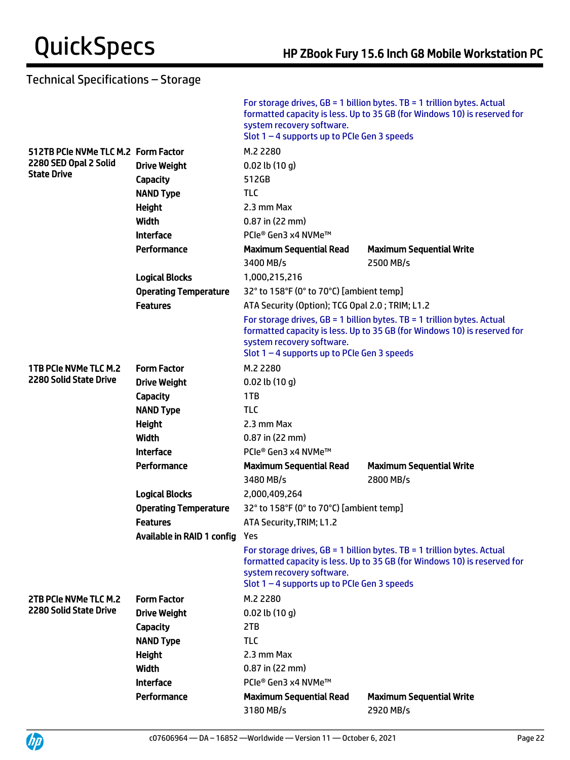|                                     |                                | system recovery software.<br>Slot $1 - 4$ supports up to PCIe Gen 3 speeds | For storage drives, $GB = 1$ billion bytes. TB = 1 trillion bytes. Actual<br>formatted capacity is less. Up to 35 GB (for Windows 10) is reserved for |  |
|-------------------------------------|--------------------------------|----------------------------------------------------------------------------|-------------------------------------------------------------------------------------------------------------------------------------------------------|--|
| 512TB PCIe NVMe TLC M.2 Form Factor |                                | M.2 2280                                                                   |                                                                                                                                                       |  |
| 2280 SED Opal 2 Solid               | <b>Drive Weight</b>            | $0.02$ lb $(10 g)$                                                         |                                                                                                                                                       |  |
| <b>State Drive</b>                  | Capacity                       | 512GB                                                                      |                                                                                                                                                       |  |
|                                     | <b>NAND Type</b>               | <b>TLC</b>                                                                 |                                                                                                                                                       |  |
|                                     | Height                         | 2.3 mm Max                                                                 |                                                                                                                                                       |  |
|                                     | Width                          | $0.87$ in (22 mm)                                                          |                                                                                                                                                       |  |
|                                     | <b>Interface</b>               | PCIe® Gen3 x4 NVMe™                                                        |                                                                                                                                                       |  |
|                                     | Performance                    | <b>Maximum Sequential Read</b>                                             | <b>Maximum Sequential Write</b>                                                                                                                       |  |
|                                     |                                | 3400 MB/s                                                                  | 2500 MB/s                                                                                                                                             |  |
|                                     | <b>Logical Blocks</b>          | 1,000,215,216                                                              |                                                                                                                                                       |  |
|                                     | <b>Operating Temperature</b>   | 32° to 158°F (0° to 70°C) [ambient temp]                                   |                                                                                                                                                       |  |
|                                     | <b>Features</b>                | ATA Security (Option); TCG Opal 2.0; TRIM; L1.2                            |                                                                                                                                                       |  |
|                                     |                                | system recovery software.<br>Slot $1 - 4$ supports up to PCIe Gen 3 speeds | For storage drives, $GB = 1$ billion bytes. TB = 1 trillion bytes. Actual<br>formatted capacity is less. Up to 35 GB (for Windows 10) is reserved for |  |
| 1TB PCIe NVMe TLC M.2               | <b>Form Factor</b>             | M.2 2280                                                                   |                                                                                                                                                       |  |
| 2280 Solid State Drive              | <b>Drive Weight</b>            | $0.02$ lb $(10 g)$                                                         |                                                                                                                                                       |  |
|                                     | Capacity                       | 1TB                                                                        |                                                                                                                                                       |  |
|                                     | <b>NAND Type</b>               | <b>TLC</b>                                                                 |                                                                                                                                                       |  |
|                                     | Height                         | 2.3 mm Max                                                                 |                                                                                                                                                       |  |
|                                     | Width                          | $0.87$ in (22 mm)                                                          |                                                                                                                                                       |  |
|                                     | <b>Interface</b>               | PCIe® Gen3 x4 NVMe™                                                        |                                                                                                                                                       |  |
|                                     | Performance                    | <b>Maximum Sequential Read</b>                                             | <b>Maximum Sequential Write</b>                                                                                                                       |  |
|                                     |                                | 3480 MB/s                                                                  | 2800 MB/s                                                                                                                                             |  |
|                                     | <b>Logical Blocks</b>          | 2,000,409,264                                                              |                                                                                                                                                       |  |
|                                     | <b>Operating Temperature</b>   | 32° to 158°F (0° to 70°C) [ambient temp]                                   |                                                                                                                                                       |  |
|                                     | <b>Features</b>                | ATA Security, TRIM; L1.2                                                   |                                                                                                                                                       |  |
|                                     | Available in RAID 1 config Yes |                                                                            |                                                                                                                                                       |  |
|                                     |                                | system recovery software.<br>Slot $1 - 4$ supports up to PCIe Gen 3 speeds | For storage drives, $GB = 1$ billion bytes. TB = 1 trillion bytes. Actual<br>formatted capacity is less. Up to 35 GB (for Windows 10) is reserved for |  |
| 2TB PCIe NVMe TLC M.2               | <b>Form Factor</b>             | M.2 2280                                                                   |                                                                                                                                                       |  |
| <b>2280 Solid State Drive</b>       | <b>Drive Weight</b>            | $0.02$ lb $(10 g)$                                                         |                                                                                                                                                       |  |
|                                     | <b>Capacity</b>                | 2TB                                                                        |                                                                                                                                                       |  |
|                                     | <b>NAND Type</b>               | <b>TLC</b>                                                                 |                                                                                                                                                       |  |
|                                     | <b>Height</b>                  | 2.3 mm Max                                                                 |                                                                                                                                                       |  |
|                                     | Width                          | $0.87$ in (22 mm)                                                          |                                                                                                                                                       |  |
|                                     | <b>Interface</b>               | PCIe® Gen3 x4 NVMe™                                                        |                                                                                                                                                       |  |
|                                     | Performance                    | <b>Maximum Sequential Read</b>                                             | <b>Maximum Sequential Write</b>                                                                                                                       |  |
|                                     |                                | 3180 MB/s                                                                  | 2920 MB/s                                                                                                                                             |  |

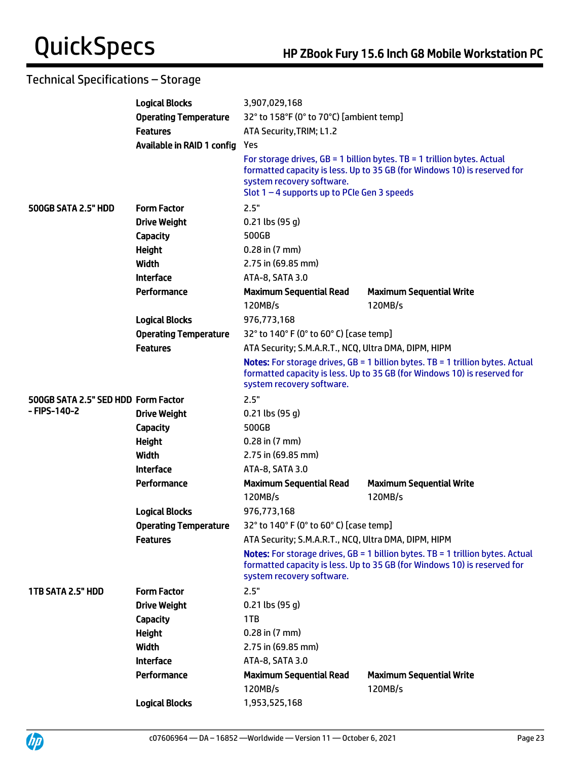|                                     | <b>Logical Blocks</b>        | 3,907,029,168                                                              |                                                                                                                                                                     |
|-------------------------------------|------------------------------|----------------------------------------------------------------------------|---------------------------------------------------------------------------------------------------------------------------------------------------------------------|
|                                     | <b>Operating Temperature</b> | 32° to 158°F (0° to 70°C) [ambient temp]                                   |                                                                                                                                                                     |
|                                     | <b>Features</b>              | ATA Security, TRIM; L1.2                                                   |                                                                                                                                                                     |
|                                     | Available in RAID 1 config   | Yes                                                                        |                                                                                                                                                                     |
|                                     |                              | system recovery software.<br>Slot $1 - 4$ supports up to PCIe Gen 3 speeds | For storage drives, $GB = 1$ billion bytes. TB = 1 trillion bytes. Actual<br>formatted capacity is less. Up to 35 GB (for Windows 10) is reserved for               |
| 500GB SATA 2.5" HDD                 | <b>Form Factor</b>           | 2.5"                                                                       |                                                                                                                                                                     |
|                                     | <b>Drive Weight</b>          | $0.21$ lbs (95 g)                                                          |                                                                                                                                                                     |
|                                     | <b>Capacity</b>              | 500GB                                                                      |                                                                                                                                                                     |
|                                     | <b>Height</b>                | $0.28$ in $(7 \text{ mm})$                                                 |                                                                                                                                                                     |
|                                     | Width                        | 2.75 in (69.85 mm)                                                         |                                                                                                                                                                     |
|                                     | <b>Interface</b>             | ATA-8, SATA 3.0                                                            |                                                                                                                                                                     |
|                                     | Performance                  | <b>Maximum Sequential Read</b>                                             | <b>Maximum Sequential Write</b>                                                                                                                                     |
|                                     |                              | 120MB/s                                                                    | 120MB/s                                                                                                                                                             |
|                                     | <b>Logical Blocks</b>        | 976,773,168                                                                |                                                                                                                                                                     |
|                                     | <b>Operating Temperature</b> | 32° to 140° F (0° to 60° C) [case temp]                                    |                                                                                                                                                                     |
|                                     | <b>Features</b>              | ATA Security; S.M.A.R.T., NCQ, Ultra DMA, DIPM, HIPM                       |                                                                                                                                                                     |
|                                     |                              | system recovery software.                                                  | <b>Notes:</b> For storage drives, $GB = 1$ billion bytes. TB = 1 trillion bytes. Actual<br>formatted capacity is less. Up to 35 GB (for Windows 10) is reserved for |
| 500GB SATA 2.5" SED HDD Form Factor |                              | 2.5"                                                                       |                                                                                                                                                                     |
| - FIPS-140-2                        | <b>Drive Weight</b>          | $0.21$ lbs (95 g)                                                          |                                                                                                                                                                     |
|                                     | <b>Capacity</b>              | 500GB                                                                      |                                                                                                                                                                     |
|                                     | <b>Height</b>                | $0.28$ in $(7 \text{ mm})$                                                 |                                                                                                                                                                     |
|                                     | Width                        | 2.75 in (69.85 mm)                                                         |                                                                                                                                                                     |
|                                     | <b>Interface</b>             | ATA-8, SATA 3.0                                                            |                                                                                                                                                                     |
|                                     | Performance                  | <b>Maximum Sequential Read</b>                                             | <b>Maximum Sequential Write</b>                                                                                                                                     |
|                                     |                              | 120MB/s                                                                    | 120MB/s                                                                                                                                                             |
|                                     | <b>Logical Blocks</b>        | 976,773,168                                                                |                                                                                                                                                                     |
|                                     | <b>Operating Temperature</b> | 32° to 140° F (0° to 60° C) [case temp]                                    |                                                                                                                                                                     |
|                                     | <b>Features</b>              | ATA Security; S.M.A.R.T., NCQ, Ultra DMA, DIPM, HIPM                       |                                                                                                                                                                     |
|                                     |                              | system recovery software.                                                  | <b>Notes:</b> For storage drives, $GB = 1$ billion bytes. TB = 1 trillion bytes. Actual<br>formatted capacity is less. Up to 35 GB (for Windows 10) is reserved for |
| 1TB SATA 2.5" HDD                   | <b>Form Factor</b>           | 2.5"                                                                       |                                                                                                                                                                     |
|                                     | <b>Drive Weight</b>          | $0.21$ lbs (95 g)                                                          |                                                                                                                                                                     |
|                                     | <b>Capacity</b>              | 1TB                                                                        |                                                                                                                                                                     |
|                                     | <b>Height</b>                | $0.28$ in $(7 \text{ mm})$                                                 |                                                                                                                                                                     |
|                                     | <b>Width</b>                 | 2.75 in (69.85 mm)                                                         |                                                                                                                                                                     |
|                                     | <b>Interface</b>             | ATA-8, SATA 3.0                                                            |                                                                                                                                                                     |
|                                     | Performance                  | <b>Maximum Sequential Read</b>                                             | <b>Maximum Sequential Write</b>                                                                                                                                     |
|                                     |                              | 120MB/s                                                                    | 120MB/s                                                                                                                                                             |
|                                     | <b>Logical Blocks</b>        | 1,953,525,168                                                              |                                                                                                                                                                     |

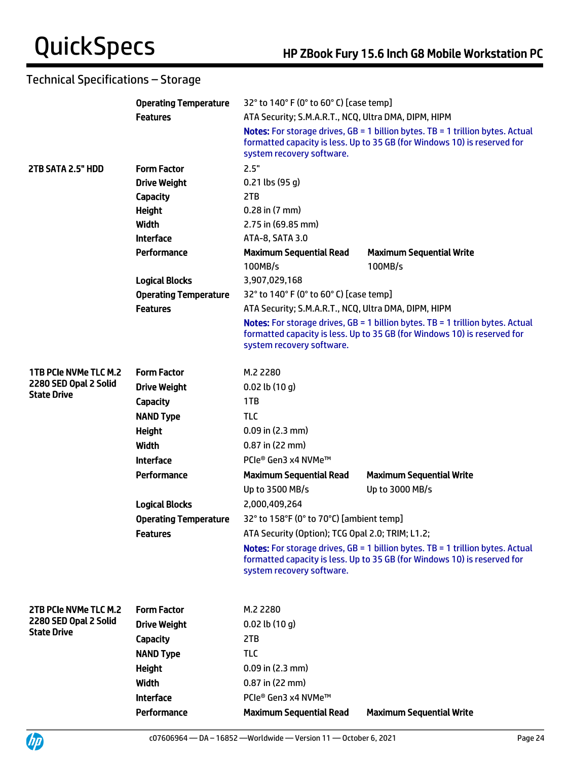|                                             | <b>Operating Temperature</b> | 32° to 140° F (0° to 60° C) [case temp]              |                                                                                                                                                                     |  |
|---------------------------------------------|------------------------------|------------------------------------------------------|---------------------------------------------------------------------------------------------------------------------------------------------------------------------|--|
|                                             | <b>Features</b>              | ATA Security; S.M.A.R.T., NCQ, Ultra DMA, DIPM, HIPM |                                                                                                                                                                     |  |
|                                             |                              | system recovery software.                            | Notes: For storage drives, GB = 1 billion bytes. TB = 1 trillion bytes. Actual<br>formatted capacity is less. Up to 35 GB (for Windows 10) is reserved for          |  |
| 2TB SATA 2.5" HDD                           | <b>Form Factor</b>           | 2.5"                                                 |                                                                                                                                                                     |  |
|                                             | <b>Drive Weight</b>          | $0.21$ lbs (95 g)                                    |                                                                                                                                                                     |  |
|                                             | Capacity                     | 2TB                                                  |                                                                                                                                                                     |  |
|                                             | <b>Height</b>                | $0.28$ in $(7$ mm)                                   |                                                                                                                                                                     |  |
|                                             | <b>Width</b>                 | 2.75 in (69.85 mm)                                   |                                                                                                                                                                     |  |
|                                             | <b>Interface</b>             | ATA-8, SATA 3.0                                      |                                                                                                                                                                     |  |
|                                             | Performance                  | <b>Maximum Sequential Read</b><br>100MB/s            | <b>Maximum Sequential Write</b><br>100MB/s                                                                                                                          |  |
|                                             | <b>Logical Blocks</b>        | 3,907,029,168                                        |                                                                                                                                                                     |  |
|                                             | <b>Operating Temperature</b> | 32° to 140° F (0° to 60° C) [case temp]              |                                                                                                                                                                     |  |
|                                             | <b>Features</b>              | ATA Security; S.M.A.R.T., NCQ, Ultra DMA, DIPM, HIPM |                                                                                                                                                                     |  |
|                                             |                              | system recovery software.                            | Notes: For storage drives, GB = 1 billion bytes. TB = 1 trillion bytes. Actual<br>formatted capacity is less. Up to 35 GB (for Windows 10) is reserved for          |  |
| 1TB PCIe NVMe TLC M.2                       | <b>Form Factor</b>           | M.2 2280                                             |                                                                                                                                                                     |  |
| 2280 SED Opal 2 Solid<br><b>State Drive</b> | <b>Drive Weight</b>          | $0.02$ lb $(10 g)$                                   |                                                                                                                                                                     |  |
|                                             | <b>Capacity</b>              | 1TB                                                  |                                                                                                                                                                     |  |
|                                             | <b>NAND Type</b>             | <b>TLC</b>                                           |                                                                                                                                                                     |  |
|                                             | <b>Height</b>                | $0.09$ in $(2.3$ mm)                                 |                                                                                                                                                                     |  |
|                                             | Width                        | $0.87$ in (22 mm)                                    |                                                                                                                                                                     |  |
|                                             | <b>Interface</b>             | PCIe® Gen3 x4 NVMe™                                  |                                                                                                                                                                     |  |
|                                             | Performance                  | <b>Maximum Sequential Read</b>                       | <b>Maximum Sequential Write</b>                                                                                                                                     |  |
|                                             |                              | Up to 3500 MB/s                                      | Up to 3000 MB/s                                                                                                                                                     |  |
|                                             | <b>Logical Blocks</b>        | 2,000,409,264                                        |                                                                                                                                                                     |  |
|                                             | <b>Operating Temperature</b> | 32° to 158°F (0° to 70°C) [ambient temp]             |                                                                                                                                                                     |  |
|                                             | <b>Features</b>              | ATA Security (Option); TCG Opal 2.0; TRIM; L1.2;     |                                                                                                                                                                     |  |
|                                             |                              | system recovery software.                            | <b>Notes:</b> For storage drives, $GB = 1$ billion bytes. TB = 1 trillion bytes. Actual<br>formatted capacity is less. Up to 35 GB (for Windows 10) is reserved for |  |
| 2TB PCIe NVMe TLC M.2                       | <b>Form Factor</b>           | M.2 2280                                             |                                                                                                                                                                     |  |
| 2280 SED Opal 2 Solid                       | <b>Drive Weight</b>          | $0.02$ lb $(10q)$                                    |                                                                                                                                                                     |  |
| <b>State Drive</b>                          | Capacity                     | 2TB                                                  |                                                                                                                                                                     |  |
|                                             | <b>NAND Type</b>             | <b>TLC</b>                                           |                                                                                                                                                                     |  |
|                                             | <b>Height</b>                | $0.09$ in (2.3 mm)                                   |                                                                                                                                                                     |  |
|                                             | Width                        | $0.87$ in (22 mm)                                    |                                                                                                                                                                     |  |
|                                             | <b>Interface</b>             | PCIe® Gen3 x4 NVMe™                                  |                                                                                                                                                                     |  |
|                                             | Performance                  | <b>Maximum Sequential Read</b>                       | <b>Maximum Sequential Write</b>                                                                                                                                     |  |

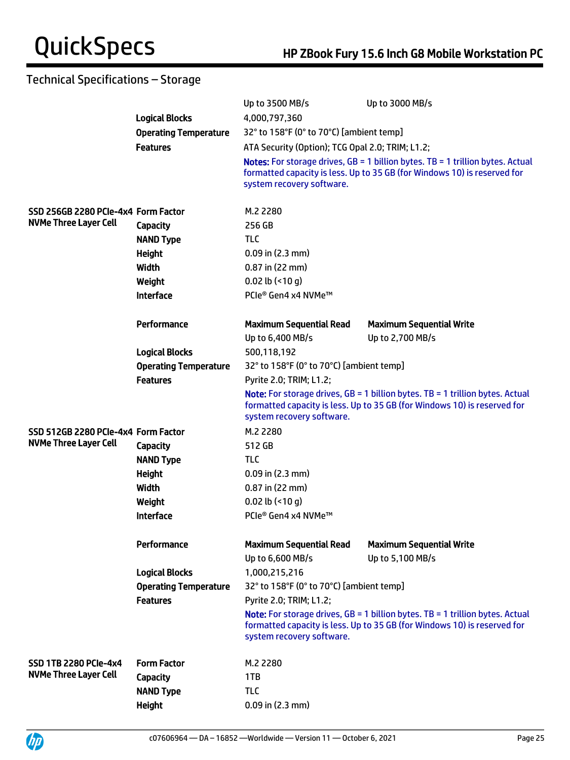|                                     |                              | Up to 3500 MB/s                                    | Up to 3000 MB/s                                                                                                                                                     |  |
|-------------------------------------|------------------------------|----------------------------------------------------|---------------------------------------------------------------------------------------------------------------------------------------------------------------------|--|
|                                     | <b>Logical Blocks</b>        | 4,000,797,360                                      |                                                                                                                                                                     |  |
|                                     | <b>Operating Temperature</b> | 32° to 158°F (0° to 70°C) [ambient temp]           |                                                                                                                                                                     |  |
|                                     | <b>Features</b>              | ATA Security (Option); TCG Opal 2.0; TRIM; L1.2;   |                                                                                                                                                                     |  |
|                                     |                              | system recovery software.                          | <b>Notes:</b> For storage drives, $GB = 1$ billion bytes. TB = 1 trillion bytes. Actual<br>formatted capacity is less. Up to 35 GB (for Windows 10) is reserved for |  |
| SSD 256GB 2280 PCIe-4x4 Form Factor |                              | M.2 2280                                           |                                                                                                                                                                     |  |
| <b>NVMe Three Layer Cell</b>        | <b>Capacity</b>              | 256 GB                                             |                                                                                                                                                                     |  |
|                                     | <b>NAND Type</b>             | <b>TLC</b>                                         |                                                                                                                                                                     |  |
|                                     | <b>Height</b>                | $0.09$ in $(2.3$ mm)                               |                                                                                                                                                                     |  |
|                                     | Width                        | 0.87 in (22 mm)                                    |                                                                                                                                                                     |  |
|                                     | Weight                       | $0.02$ lb (<10 g)                                  |                                                                                                                                                                     |  |
|                                     | <b>Interface</b>             | PCIe® Gen4 x4 NVMe™                                |                                                                                                                                                                     |  |
|                                     | Performance                  | <b>Maximum Sequential Read</b>                     | <b>Maximum Sequential Write</b>                                                                                                                                     |  |
|                                     |                              | Up to 6,400 MB/s                                   | Up to 2,700 MB/s                                                                                                                                                    |  |
|                                     | <b>Logical Blocks</b>        | 500,118,192                                        |                                                                                                                                                                     |  |
|                                     | <b>Operating Temperature</b> | 32° to 158°F (0° to 70°C) [ambient temp]           |                                                                                                                                                                     |  |
|                                     | <b>Features</b>              | Pyrite 2.0; TRIM; L1.2;                            |                                                                                                                                                                     |  |
|                                     |                              | system recovery software.                          | <b>Note:</b> For storage drives, $GB = 1$ billion bytes. TB = 1 trillion bytes. Actual<br>formatted capacity is less. Up to 35 GB (for Windows 10) is reserved for  |  |
| SSD 512GB 2280 PCIe-4x4 Form Factor |                              | M.2 2280                                           |                                                                                                                                                                     |  |
| <b>NVMe Three Layer Cell</b>        | <b>Capacity</b>              | 512 GB                                             |                                                                                                                                                                     |  |
|                                     | <b>NAND Type</b>             | <b>TLC</b>                                         |                                                                                                                                                                     |  |
|                                     | <b>Height</b>                | $0.09$ in $(2.3$ mm)                               |                                                                                                                                                                     |  |
|                                     | <b>Width</b>                 | $0.87$ in (22 mm)                                  |                                                                                                                                                                     |  |
|                                     | Weight                       | $0.02$ lb (<10 g)                                  |                                                                                                                                                                     |  |
|                                     | <b>Interface</b>             | PCIe® Gen4 x4 NVMe™                                |                                                                                                                                                                     |  |
|                                     | Performance                  | <b>Maximum Sequential Read</b><br>Up to 6,600 MB/s | <b>Maximum Sequential Write</b><br>Up to 5,100 MB/s                                                                                                                 |  |
|                                     | <b>Logical Blocks</b>        | 1,000,215,216                                      |                                                                                                                                                                     |  |
|                                     | <b>Operating Temperature</b> | 32° to 158°F (0° to 70°C) [ambient temp]           |                                                                                                                                                                     |  |
|                                     | <b>Features</b>              | Pyrite 2.0; TRIM; L1.2;                            |                                                                                                                                                                     |  |
|                                     |                              | system recovery software.                          | <b>Note:</b> For storage drives, $GB = 1$ billion bytes. TB = 1 trillion bytes. Actual<br>formatted capacity is less. Up to 35 GB (for Windows 10) is reserved for  |  |
| <b>SSD 1TB 2280 PCIe-4x4</b>        | <b>Form Factor</b>           | M.2 2280                                           |                                                                                                                                                                     |  |
| <b>NVMe Three Layer Cell</b>        | <b>Capacity</b>              | 1TB                                                |                                                                                                                                                                     |  |
|                                     | <b>NAND Type</b>             | <b>TLC</b>                                         |                                                                                                                                                                     |  |
|                                     | <b>Height</b>                | $0.09$ in $(2.3$ mm)                               |                                                                                                                                                                     |  |
|                                     |                              |                                                    |                                                                                                                                                                     |  |

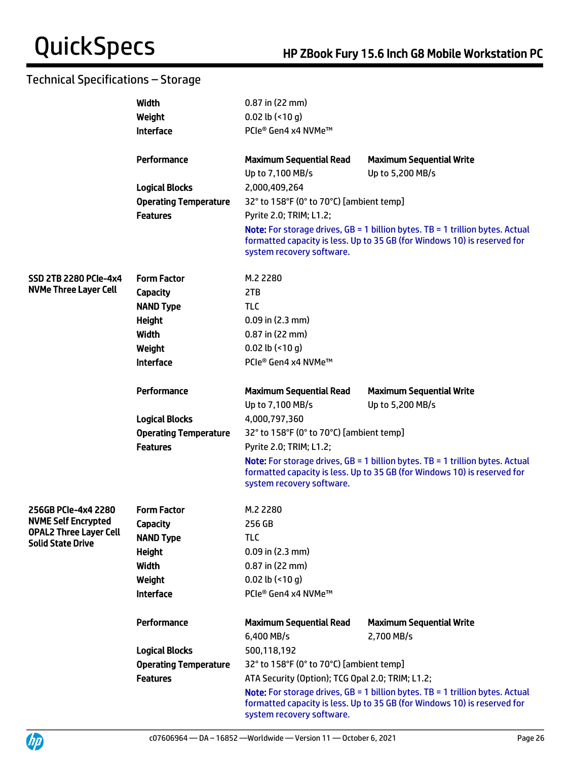|                               | Width                        | $0.87$ in (22 mm)                                |                                                                                                                                                                      |
|-------------------------------|------------------------------|--------------------------------------------------|----------------------------------------------------------------------------------------------------------------------------------------------------------------------|
|                               | Weight                       | $0.02$ lb (<10 g)                                |                                                                                                                                                                      |
|                               | <b>Interface</b>             | PCIe® Gen4 x4 NVMe™                              |                                                                                                                                                                      |
|                               |                              |                                                  |                                                                                                                                                                      |
|                               | Performance                  | <b>Maximum Sequential Read</b>                   | <b>Maximum Sequential Write</b>                                                                                                                                      |
|                               |                              | Up to 7,100 MB/s                                 | Up to 5,200 MB/s                                                                                                                                                     |
|                               | <b>Logical Blocks</b>        | 2,000,409,264                                    |                                                                                                                                                                      |
|                               | <b>Operating Temperature</b> | 32° to 158°F (0° to 70°C) [ambient temp]         |                                                                                                                                                                      |
|                               | <b>Features</b>              | Pyrite 2.0; TRIM; L1.2;                          |                                                                                                                                                                      |
|                               |                              | system recovery software.                        | <b>Note:</b> For storage drives, $GB = 1$ billion bytes. TB = 1 trillion bytes. Actual<br>formatted capacity is less. Up to 35 GB (for Windows 10) is reserved for   |
| <b>SSD 2TB 2280 PCIe-4x4</b>  | <b>Form Factor</b>           | M.2 2280                                         |                                                                                                                                                                      |
| <b>NVMe Three Layer Cell</b>  | Capacity                     | 2TB                                              |                                                                                                                                                                      |
|                               | <b>NAND Type</b>             | <b>TLC</b>                                       |                                                                                                                                                                      |
|                               | <b>Height</b>                | $0.09$ in (2.3 mm)                               |                                                                                                                                                                      |
|                               | Width                        | $0.87$ in (22 mm)                                |                                                                                                                                                                      |
|                               | Weight                       | $0.02$ lb (<10 g)                                |                                                                                                                                                                      |
|                               | <b>Interface</b>             | PCIe® Gen4 x4 NVMe™                              |                                                                                                                                                                      |
|                               |                              |                                                  |                                                                                                                                                                      |
|                               | Performance                  | <b>Maximum Sequential Read</b>                   | <b>Maximum Sequential Write</b>                                                                                                                                      |
|                               |                              | Up to 7,100 MB/s                                 | Up to 5,200 MB/s                                                                                                                                                     |
|                               | <b>Logical Blocks</b>        | 4,000,797,360                                    |                                                                                                                                                                      |
|                               | <b>Operating Temperature</b> | 32° to 158°F (0° to 70°C) [ambient temp]         |                                                                                                                                                                      |
|                               | <b>Features</b>              | Pyrite 2.0; TRIM; L1.2;                          |                                                                                                                                                                      |
|                               |                              | system recovery software.                        | <b>Note:</b> For storage drives, $GB = 1$ billion bytes. $TB = 1$ trillion bytes. Actual<br>formatted capacity is less. Up to 35 GB (for Windows 10) is reserved for |
| 256GB PCIe-4x4 2280           | <b>Form Factor</b>           | M.2 2280                                         |                                                                                                                                                                      |
| <b>NVME Self Encrypted</b>    | <b>Capacity</b>              | 256 GB                                           |                                                                                                                                                                      |
| <b>OPAL2 Three Layer Cell</b> | <b>NAND Type</b>             | TLC                                              |                                                                                                                                                                      |
| <b>Solid State Drive</b>      | <b>Height</b>                | $0.09$ in (2.3 mm)                               |                                                                                                                                                                      |
|                               | Width                        | $0.87$ in (22 mm)                                |                                                                                                                                                                      |
|                               | Weight                       | $0.02$ lb (<10 g)                                |                                                                                                                                                                      |
|                               | <b>Interface</b>             | PCle® Gen4 x4 NVMe™                              |                                                                                                                                                                      |
|                               |                              |                                                  |                                                                                                                                                                      |
|                               | Performance                  | <b>Maximum Sequential Read</b>                   | <b>Maximum Sequential Write</b>                                                                                                                                      |
|                               |                              | 6,400 MB/s                                       | 2,700 MB/s                                                                                                                                                           |
|                               | <b>Logical Blocks</b>        | 500,118,192                                      |                                                                                                                                                                      |
|                               | <b>Operating Temperature</b> | 32° to 158°F (0° to 70°C) [ambient temp]         |                                                                                                                                                                      |
|                               | <b>Features</b>              | ATA Security (Option); TCG Opal 2.0; TRIM; L1.2; |                                                                                                                                                                      |
|                               |                              | system recovery software.                        | Note: For storage drives, GB = 1 billion bytes. TB = 1 trillion bytes. Actual<br>formatted capacity is less. Up to 35 GB (for Windows 10) is reserved for            |



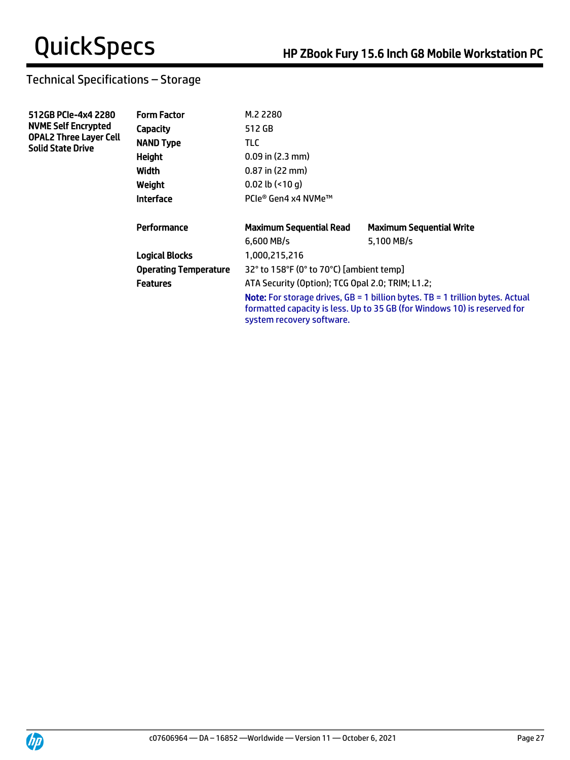| 512GB PCIe-4x4 2280<br><b>NVME Self Encrypted</b>         | <b>Form Factor</b>           | M.2 2280                                                                                                                                                                                        |                                 |  |
|-----------------------------------------------------------|------------------------------|-------------------------------------------------------------------------------------------------------------------------------------------------------------------------------------------------|---------------------------------|--|
|                                                           | Capacity                     | 512 GB                                                                                                                                                                                          |                                 |  |
| <b>OPAL2 Three Layer Cell</b><br><b>Solid State Drive</b> | <b>NAND Type</b>             | TLC.                                                                                                                                                                                            |                                 |  |
|                                                           | <b>Height</b>                | $0.09$ in $(2.3$ mm)                                                                                                                                                                            |                                 |  |
|                                                           | Width                        | $0.87$ in (22 mm)                                                                                                                                                                               |                                 |  |
|                                                           | Weight                       | $0.02$ lb $($ <10 q)                                                                                                                                                                            |                                 |  |
|                                                           | <b>Interface</b>             | PCle® Gen4 x4 NVMe™                                                                                                                                                                             |                                 |  |
|                                                           | Performance                  | <b>Maximum Sequential Read</b>                                                                                                                                                                  | <b>Maximum Sequential Write</b> |  |
|                                                           |                              | $6.600$ MB/s                                                                                                                                                                                    | 5.100 MB/s                      |  |
|                                                           | <b>Logical Blocks</b>        | 1,000,215,216                                                                                                                                                                                   |                                 |  |
|                                                           | <b>Operating Temperature</b> | 32° to 158°F (0° to 70°C) [ambient temp]                                                                                                                                                        |                                 |  |
|                                                           | <b>Features</b>              | ATA Security (Option); TCG Opal 2.0; TRIM; L1.2;                                                                                                                                                |                                 |  |
|                                                           |                              | <b>Note:</b> For storage drives, $GB = 1$ billion bytes. TB = 1 trillion bytes. Actual<br>formatted capacity is less. Up to 35 GB (for Windows 10) is reserved for<br>system recovery software. |                                 |  |

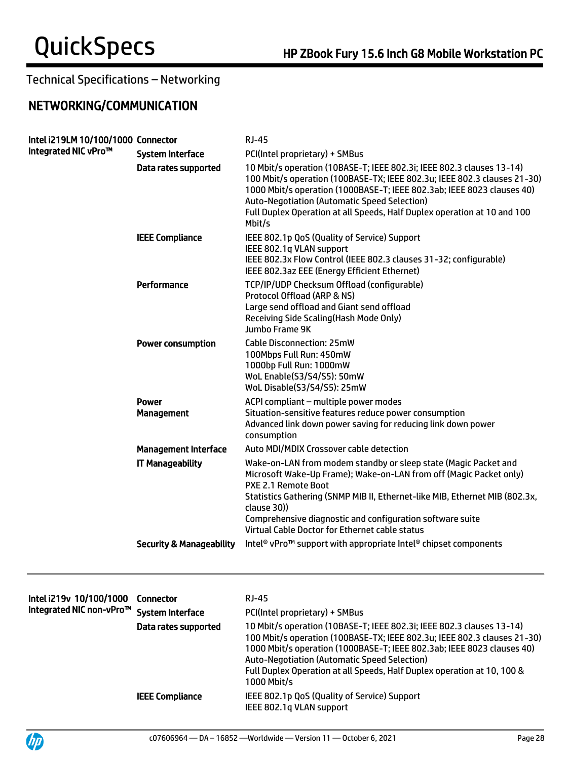## NETWORKING/COMMUNICATION

| Intel i219LM 10/100/1000 Connector<br>Integrated NIC vPro™ |                                     | <b>RJ-45</b>                                                                                                                                                                                                                                                                                                                                                                 |
|------------------------------------------------------------|-------------------------------------|------------------------------------------------------------------------------------------------------------------------------------------------------------------------------------------------------------------------------------------------------------------------------------------------------------------------------------------------------------------------------|
|                                                            | <b>System Interface</b>             | PCI(Intel proprietary) + SMBus                                                                                                                                                                                                                                                                                                                                               |
|                                                            | Data rates supported                | 10 Mbit/s operation (10BASE-T; IEEE 802.3i; IEEE 802.3 clauses 13-14)<br>100 Mbit/s operation (100BASE-TX; IEEE 802.3u; IEEE 802.3 clauses 21-30)<br>1000 Mbit/s operation (1000BASE-T; IEEE 802.3ab; IEEE 8023 clauses 40)<br><b>Auto-Negotiation (Automatic Speed Selection)</b><br>Full Duplex Operation at all Speeds, Half Duplex operation at 10 and 100<br>Mbit/s     |
|                                                            | <b>IEEE Compliance</b>              | IEEE 802.1p QoS (Quality of Service) Support<br>IEEE 802.1q VLAN support<br>IEEE 802.3x Flow Control (IEEE 802.3 clauses 31-32; configurable)<br>IEEE 802.3az EEE (Energy Efficient Ethernet)                                                                                                                                                                                |
|                                                            | Performance                         | TCP/IP/UDP Checksum Offload (configurable)<br>Protocol Offload (ARP & NS)<br>Large send offload and Giant send offload<br>Receiving Side Scaling (Hash Mode Only)<br>Jumbo Frame 9K                                                                                                                                                                                          |
|                                                            | <b>Power consumption</b>            | <b>Cable Disconnection: 25mW</b><br>100Mbps Full Run: 450mW<br>1000bp Full Run: 1000mW<br>WoL Enable(S3/S4/S5): 50mW<br>WoL Disable(S3/S4/S5): 25mW                                                                                                                                                                                                                          |
|                                                            | <b>Power</b><br><b>Management</b>   | ACPI compliant - multiple power modes<br>Situation-sensitive features reduce power consumption<br>Advanced link down power saving for reducing link down power<br>consumption                                                                                                                                                                                                |
|                                                            | <b>Management Interface</b>         | Auto MDI/MDIX Crossover cable detection                                                                                                                                                                                                                                                                                                                                      |
|                                                            | <b>IT Manageability</b>             | Wake-on-LAN from modem standby or sleep state (Magic Packet and<br>Microsoft Wake-Up Frame); Wake-on-LAN from off (Magic Packet only)<br>PXE 2.1 Remote Boot<br>Statistics Gathering (SNMP MIB II, Ethernet-like MIB, Ethernet MIB (802.3x,<br>clause 30))<br>Comprehensive diagnostic and configuration software suite<br>Virtual Cable Doctor for Ethernet cable status    |
|                                                            | <b>Security &amp; Manageability</b> | Intel <sup>®</sup> vPro <sup>™</sup> support with appropriate Intel <sup>®</sup> chipset components                                                                                                                                                                                                                                                                          |
|                                                            |                                     |                                                                                                                                                                                                                                                                                                                                                                              |
| Intel i219v 10/100/1000<br>Integrated NIC non-vPro™        | <b>Connector</b>                    | <b>RJ-45</b>                                                                                                                                                                                                                                                                                                                                                                 |
|                                                            | <b>System Interface</b>             | PCI(Intel proprietary) + SMBus                                                                                                                                                                                                                                                                                                                                               |
|                                                            | Data rates supported                | 10 Mbit/s operation (10BASE-T; IEEE 802.3i; IEEE 802.3 clauses 13-14)<br>100 Mbit/s operation (100BASE-TX; IEEE 802.3u; IEEE 802.3 clauses 21-30)<br>1000 Mbit/s operation (1000BASE-T; IEEE 802.3ab; IEEE 8023 clauses 40)<br><b>Auto-Negotiation (Automatic Speed Selection)</b><br>Full Duplex Operation at all Speeds, Half Duplex operation at 10, 100 &<br>1000 Mbit/s |
|                                                            | <b>IEEE Compliance</b>              | IEEE 802.1p QoS (Quality of Service) Support<br>IEEE 802.1q VLAN support                                                                                                                                                                                                                                                                                                     |

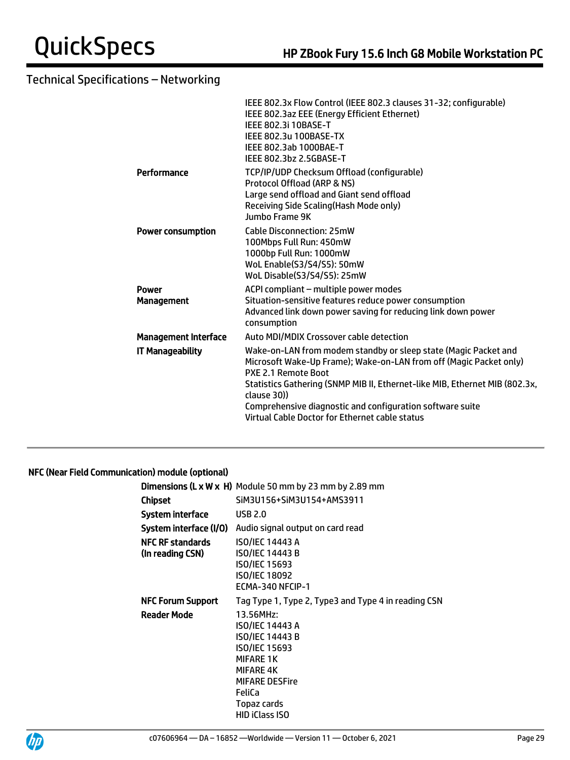|                             | IEEE 802.3x Flow Control (IEEE 802.3 clauses 31-32; configurable)<br>IEEE 802.3az EEE (Energy Efficient Ethernet)<br>IEEE 802.3i 10BASE-T<br>IEEE 802.3u 100BASE-TX<br>IEEE 802.3ab 1000BAE-T<br>IEEE 802.3bz 2.5GBASE-T                                                                                                                                                  |
|-----------------------------|---------------------------------------------------------------------------------------------------------------------------------------------------------------------------------------------------------------------------------------------------------------------------------------------------------------------------------------------------------------------------|
| Performance                 | TCP/IP/UDP Checksum Offload (configurable)<br>Protocol Offload (ARP & NS)<br>Large send offload and Giant send offload<br>Receiving Side Scaling(Hash Mode only)<br>Jumbo Frame 9K                                                                                                                                                                                        |
| <b>Power consumption</b>    | <b>Cable Disconnection: 25mW</b><br>100Mbps Full Run: 450mW<br>1000bp Full Run: 1000mW<br>WoL Enable(S3/S4/S5): 50mW<br>WoL Disable(S3/S4/S5): 25mW                                                                                                                                                                                                                       |
| Power<br><b>Management</b>  | ACPI compliant - multiple power modes<br>Situation-sensitive features reduce power consumption<br>Advanced link down power saving for reducing link down power<br>consumption                                                                                                                                                                                             |
| <b>Management Interface</b> | Auto MDI/MDIX Crossover cable detection                                                                                                                                                                                                                                                                                                                                   |
| <b>IT Manageability</b>     | Wake-on-LAN from modem standby or sleep state (Magic Packet and<br>Microsoft Wake-Up Frame); Wake-on-LAN from off (Magic Packet only)<br>PXE 2.1 Remote Boot<br>Statistics Gathering (SNMP MIB II, Ethernet-like MIB, Ethernet MIB (802.3x,<br>clause 30))<br>Comprehensive diagnostic and configuration software suite<br>Virtual Cable Doctor for Ethernet cable status |
|                             |                                                                                                                                                                                                                                                                                                                                                                           |

## NFC (Near Field Communication) module (optional)

|                                             | <b>Dimensions (L x W x H)</b> Module 50 mm by 23 mm by 2.89 mm                                                                                                                      |
|---------------------------------------------|-------------------------------------------------------------------------------------------------------------------------------------------------------------------------------------|
| Chipset                                     | SiM3U156+SiM3U154+AMS3911                                                                                                                                                           |
| System interface                            | <b>USB 2.0</b>                                                                                                                                                                      |
|                                             | <b>System interface (I/O)</b> Audio signal output on card read                                                                                                                      |
| <b>NFC RF standards</b><br>(In reading CSN) | <b>ISO/IEC 14443 A</b><br><b>ISO/IEC 14443 B</b><br><b>ISO/IEC 15693</b><br>ISO/IEC 18092<br>ECMA-340 NFCIP-1                                                                       |
| <b>NFC Forum Support</b>                    | Tag Type 1, Type 2, Type3 and Type 4 in reading CSN                                                                                                                                 |
| <b>Reader Mode</b>                          | 13.56MHz:<br>ISO/IEC 14443 A<br>ISO/IEC 14443 B<br><b>ISO/IEC 15693</b><br><b>MIFARE 1K</b><br><b>MIFARE 4K</b><br><b>MIFARE DESFire</b><br>FeliCa<br>Topaz cards<br>HID iClass ISO |



j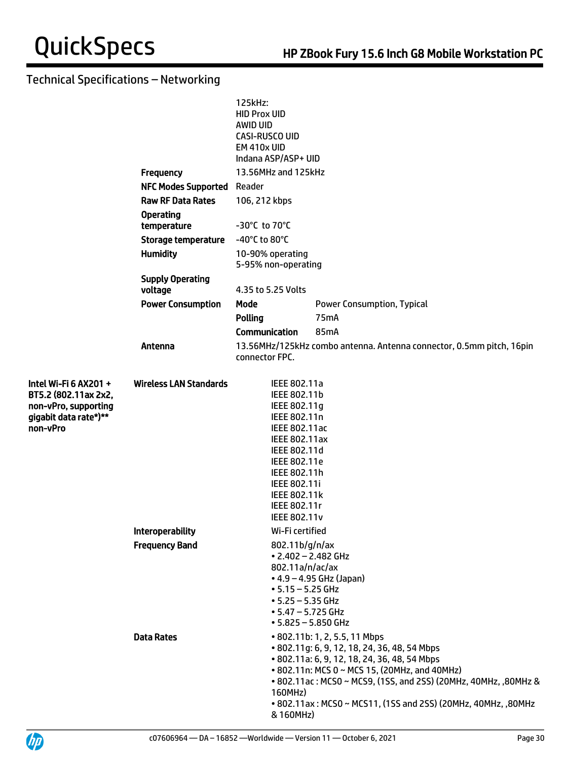|                                                                                                            |                                    | 125kHz:<br><b>HID Prox UID</b><br>AWID UID<br>CASI-RUSCO UID<br><b>EM 410x UID</b><br>Indana ASP/ASP+ UID                                                                                                                           |                                                                                                                                                                                                                                                                                                                    |  |  |  |
|------------------------------------------------------------------------------------------------------------|------------------------------------|-------------------------------------------------------------------------------------------------------------------------------------------------------------------------------------------------------------------------------------|--------------------------------------------------------------------------------------------------------------------------------------------------------------------------------------------------------------------------------------------------------------------------------------------------------------------|--|--|--|
|                                                                                                            | <b>Frequency</b>                   | 13.56MHz and 125kHz                                                                                                                                                                                                                 |                                                                                                                                                                                                                                                                                                                    |  |  |  |
|                                                                                                            | <b>NFC Modes Supported Reader</b>  |                                                                                                                                                                                                                                     |                                                                                                                                                                                                                                                                                                                    |  |  |  |
|                                                                                                            | <b>Raw RF Data Rates</b>           | 106, 212 kbps<br>-30°C to 70°C                                                                                                                                                                                                      |                                                                                                                                                                                                                                                                                                                    |  |  |  |
|                                                                                                            | <b>Operating</b><br>temperature    |                                                                                                                                                                                                                                     |                                                                                                                                                                                                                                                                                                                    |  |  |  |
|                                                                                                            | <b>Storage temperature</b>         | -40°C to 80°C                                                                                                                                                                                                                       |                                                                                                                                                                                                                                                                                                                    |  |  |  |
|                                                                                                            | <b>Humidity</b>                    | 10-90% operating<br>5-95% non-operating                                                                                                                                                                                             |                                                                                                                                                                                                                                                                                                                    |  |  |  |
|                                                                                                            | <b>Supply Operating</b><br>voltage | 4.35 to 5.25 Volts                                                                                                                                                                                                                  |                                                                                                                                                                                                                                                                                                                    |  |  |  |
|                                                                                                            | <b>Power Consumption</b>           | Mode                                                                                                                                                                                                                                | <b>Power Consumption, Typical</b>                                                                                                                                                                                                                                                                                  |  |  |  |
|                                                                                                            |                                    | <b>Polling</b>                                                                                                                                                                                                                      | 75 <sub>m</sub> A                                                                                                                                                                                                                                                                                                  |  |  |  |
|                                                                                                            |                                    | <b>Communication</b>                                                                                                                                                                                                                | 85mA                                                                                                                                                                                                                                                                                                               |  |  |  |
|                                                                                                            | Antenna                            | connector FPC.                                                                                                                                                                                                                      | 13.56MHz/125kHz combo antenna. Antenna connector, 0.5mm pitch, 16pin                                                                                                                                                                                                                                               |  |  |  |
| Intel Wi-Fi 6 AX201 +<br>BT5.2 (802.11ax 2x2,<br>non-vPro, supporting<br>gigabit data rate*)**<br>non-vPro | <b>Wireless LAN Standards</b>      | IEEE 802.11a<br>IEEE 802.11b<br>IEEE 802.11g<br>IEEE 802.11n<br>IEEE 802.11ac<br>IEEE 802.11ax<br>IEEE 802.11d<br>IEEE 802.11e<br>IEEE 802.11h<br><b>IEEE 802.11i</b><br><b>IEEE 802.11k</b><br>IEEE 802.11r<br><b>IEEE 802.11v</b> |                                                                                                                                                                                                                                                                                                                    |  |  |  |
|                                                                                                            | <b>Interoperability</b>            | Wi-Fi certified                                                                                                                                                                                                                     |                                                                                                                                                                                                                                                                                                                    |  |  |  |
|                                                                                                            | <b>Frequency Band</b>              | 802.11b/g/n/ax<br>802.11a/n/ac/ax<br>$• 5.15 - 5.25$ GHz<br>$• 5.25 - 5.35$ GHz<br>$• 5.47 - 5.725$ GHz                                                                                                                             | $\cdot$ 2.402 - 2.482 GHz<br>$\bullet$ 4.9 – 4.95 GHz (Japan)<br>$• 5.825 - 5.850$ GHz                                                                                                                                                                                                                             |  |  |  |
|                                                                                                            | <b>Data Rates</b>                  | 160MHz)<br>& 160MHz)                                                                                                                                                                                                                | • 802.11b: 1, 2, 5.5, 11 Mbps<br>• 802.11g: 6, 9, 12, 18, 24, 36, 48, 54 Mbps<br>• 802.11a: 6, 9, 12, 18, 24, 36, 48, 54 Mbps<br>• 802.11n: MCS 0 ~ MCS 15, (20MHz, and 40MHz)<br>• 802.11ac: MCS0 ~ MCS9, (1SS, and 2SS) (20MHz, 40MHz, ,80MHz &<br>• 802.11ax: MCS0 ~ MCS11, (1SS and 2SS) (20MHz, 40MHz, ,80MHz |  |  |  |

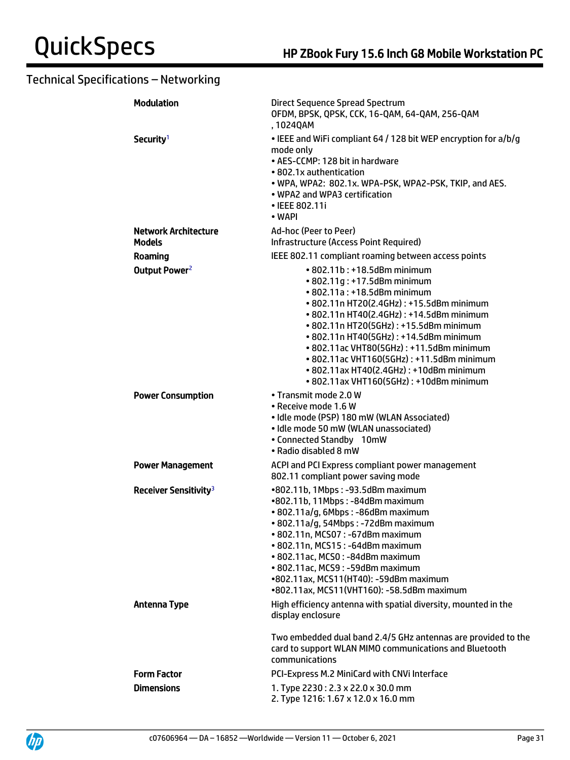| <b>Modulation</b>                            | Direct Sequence Spread Spectrum<br>OFDM, BPSK, QPSK, CCK, 16-QAM, 64-QAM, 256-QAM<br>, 1024QAM                                                                                                                                                                                                                                                                                                                                                             |
|----------------------------------------------|------------------------------------------------------------------------------------------------------------------------------------------------------------------------------------------------------------------------------------------------------------------------------------------------------------------------------------------------------------------------------------------------------------------------------------------------------------|
| Security <sup>1</sup>                        | • IEEE and WiFi compliant 64 / 128 bit WEP encryption for a/b/g<br>mode only<br>• AES-CCMP: 128 bit in hardware<br>• 802.1x authentication<br>. WPA, WPA2: 802.1x. WPA-PSK, WPA2-PSK, TKIP, and AES.<br>• WPA2 and WPA3 certification<br>• IEEE 802.11i<br>• WAPI                                                                                                                                                                                          |
| <b>Network Architecture</b><br><b>Models</b> | Ad-hoc (Peer to Peer)<br><b>Infrastructure (Access Point Required)</b>                                                                                                                                                                                                                                                                                                                                                                                     |
| Roaming                                      | IEEE 802.11 compliant roaming between access points                                                                                                                                                                                                                                                                                                                                                                                                        |
| Output Power <sup>2</sup>                    | $\cdot$ 802.11b: +18.5dBm minimum<br>• 802.11g: +17.5dBm minimum<br>• 802.11a: +18.5dBm minimum<br>• 802.11n HT20(2.4GHz): +15.5dBm minimum<br>• 802.11n HT40(2.4GHz): +14.5dBm minimum<br>• 802.11n HT20(5GHz): +15.5dBm minimum<br>• 802.11n HT40(5GHz): +14.5dBm minimum<br>• 802.11ac VHT80(5GHz): +11.5dBm minimum<br>• 802.11ac VHT160(5GHz): +11.5dBm minimum<br>• 802.11ax HT40(2.4GHz): +10dBm minimum<br>• 802.11ax VHT160(5GHz): +10dBm minimum |
| <b>Power Consumption</b>                     | • Transmit mode 2.0 W<br>• Receive mode 1.6 W<br>· Idle mode (PSP) 180 mW (WLAN Associated)<br>· Idle mode 50 mW (WLAN unassociated)<br>• Connected Standby 10mW<br>• Radio disabled 8 mW                                                                                                                                                                                                                                                                  |
| <b>Power Management</b>                      | ACPI and PCI Express compliant power management<br>802.11 compliant power saving mode                                                                                                                                                                                                                                                                                                                                                                      |
| Receiver Sensitivity <sup>3</sup>            | •802.11b, 1Mbps: -93.5dBm maximum<br>•802.11b, 11Mbps: -84dBm maximum<br>· 802.11a/g, 6Mbps: -86dBm maximum<br>• 802.11a/g, 54Mbps: -72dBm maximum<br>• 802.11n, MCS07: -67dBm maximum<br>• 802.11n, MCS15: -64dBm maximum<br>· 802.11ac, MCS0: -84dBm maximum<br>· 802.11ac, MCS9: -59dBm maximum<br>•802.11ax, MCS11(HT40): -59dBm maximum<br>•802.11ax, MCS11(VHT160): -58.5dBm maximum                                                                 |
| <b>Antenna Type</b>                          | High efficiency antenna with spatial diversity, mounted in the<br>display enclosure                                                                                                                                                                                                                                                                                                                                                                        |
|                                              | Two embedded dual band 2.4/5 GHz antennas are provided to the<br>card to support WLAN MIMO communications and Bluetooth<br>communications                                                                                                                                                                                                                                                                                                                  |
| <b>Form Factor</b>                           | PCI-Express M.2 MiniCard with CNVi Interface                                                                                                                                                                                                                                                                                                                                                                                                               |
| <b>Dimensions</b>                            | 1. Type 2230: 2.3 x 22.0 x 30.0 mm<br>2. Type 1216: 1.67 x 12.0 x 16.0 mm                                                                                                                                                                                                                                                                                                                                                                                  |

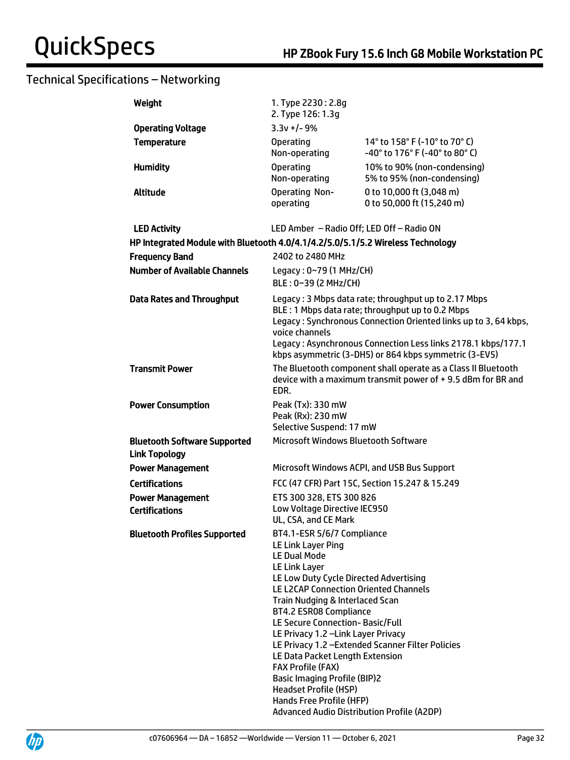| Weight                                                                          | 1. Type 2230: 2.8g<br>2. Type 126: 1.3g                                                                                                                                                                                                                                                                                                                                                                                                                                                                                                          |                                                                                                                                                                                                                                                                                                      |
|---------------------------------------------------------------------------------|--------------------------------------------------------------------------------------------------------------------------------------------------------------------------------------------------------------------------------------------------------------------------------------------------------------------------------------------------------------------------------------------------------------------------------------------------------------------------------------------------------------------------------------------------|------------------------------------------------------------------------------------------------------------------------------------------------------------------------------------------------------------------------------------------------------------------------------------------------------|
| <b>Operating Voltage</b>                                                        | $3.3v + 1 - 9%$                                                                                                                                                                                                                                                                                                                                                                                                                                                                                                                                  |                                                                                                                                                                                                                                                                                                      |
| <b>Temperature</b>                                                              | <b>Operating</b><br>Non-operating                                                                                                                                                                                                                                                                                                                                                                                                                                                                                                                | 14° to 158° F (-10° to 70° C)<br>-40° to 176° F (-40° to 80° C)                                                                                                                                                                                                                                      |
| <b>Humidity</b>                                                                 | <b>Operating</b><br>Non-operating                                                                                                                                                                                                                                                                                                                                                                                                                                                                                                                | 10% to 90% (non-condensing)<br>5% to 95% (non-condensing)                                                                                                                                                                                                                                            |
| <b>Altitude</b>                                                                 | Operating Non-<br>operating                                                                                                                                                                                                                                                                                                                                                                                                                                                                                                                      | 0 to 10,000 ft (3,048 m)<br>0 to 50,000 ft (15,240 m)                                                                                                                                                                                                                                                |
| <b>LED Activity</b>                                                             | LED Amber - Radio Off; LED Off - Radio ON                                                                                                                                                                                                                                                                                                                                                                                                                                                                                                        |                                                                                                                                                                                                                                                                                                      |
| HP Integrated Module with Bluetooth 4.0/4.1/4.2/5.0/5.1/5.2 Wireless Technology |                                                                                                                                                                                                                                                                                                                                                                                                                                                                                                                                                  |                                                                                                                                                                                                                                                                                                      |
| <b>Frequency Band</b>                                                           | 2402 to 2480 MHz                                                                                                                                                                                                                                                                                                                                                                                                                                                                                                                                 |                                                                                                                                                                                                                                                                                                      |
| <b>Number of Available Channels</b>                                             | Legacy: 0~79 (1 MHz/CH)                                                                                                                                                                                                                                                                                                                                                                                                                                                                                                                          |                                                                                                                                                                                                                                                                                                      |
|                                                                                 | BLE: 0~39 (2 MHz/CH)                                                                                                                                                                                                                                                                                                                                                                                                                                                                                                                             |                                                                                                                                                                                                                                                                                                      |
| <b>Data Rates and Throughput</b>                                                | voice channels                                                                                                                                                                                                                                                                                                                                                                                                                                                                                                                                   | Legacy: 3 Mbps data rate; throughput up to 2.17 Mbps<br>BLE: 1 Mbps data rate; throughput up to 0.2 Mbps<br>Legacy: Synchronous Connection Oriented links up to 3, 64 kbps,<br>Legacy: Asynchronous Connection Less links 2178.1 kbps/177.1<br>kbps asymmetric (3-DH5) or 864 kbps symmetric (3-EV5) |
| <b>Transmit Power</b>                                                           | EDR.                                                                                                                                                                                                                                                                                                                                                                                                                                                                                                                                             | The Bluetooth component shall operate as a Class II Bluetooth<br>device with a maximum transmit power of +9.5 dBm for BR and                                                                                                                                                                         |
| <b>Power Consumption</b>                                                        | Peak (Tx): 330 mW<br>Peak (Rx): 230 mW<br>Selective Suspend: 17 mW                                                                                                                                                                                                                                                                                                                                                                                                                                                                               |                                                                                                                                                                                                                                                                                                      |
| <b>Bluetooth Software Supported</b><br><b>Link Topology</b>                     | Microsoft Windows Bluetooth Software                                                                                                                                                                                                                                                                                                                                                                                                                                                                                                             |                                                                                                                                                                                                                                                                                                      |
| <b>Power Management</b>                                                         |                                                                                                                                                                                                                                                                                                                                                                                                                                                                                                                                                  | Microsoft Windows ACPI, and USB Bus Support                                                                                                                                                                                                                                                          |
| <b>Certifications</b>                                                           |                                                                                                                                                                                                                                                                                                                                                                                                                                                                                                                                                  | FCC (47 CFR) Part 15C, Section 15.247 & 15.249                                                                                                                                                                                                                                                       |
| <b>Power Management</b><br><b>Certifications</b>                                | ETS 300 328, ETS 300 826<br>Low Voltage Directive IEC950<br>UL, CSA, and CE Mark                                                                                                                                                                                                                                                                                                                                                                                                                                                                 |                                                                                                                                                                                                                                                                                                      |
| <b>Bluetooth Profiles Supported</b>                                             | BT4.1-ESR 5/6/7 Compliance<br>LE Link Layer Ping<br><b>LE Dual Mode</b><br><b>LE Link Layer</b><br>LE Low Duty Cycle Directed Advertising<br>LE L2CAP Connection Oriented Channels<br>Train Nudging & Interlaced Scan<br>BT4.2 ESR08 Compliance<br>LE Secure Connection-Basic/Full<br>LE Privacy 1.2 - Link Layer Privacy<br>LE Data Packet Length Extension<br><b>FAX Profile (FAX)</b><br><b>Basic Imaging Profile (BIP)2</b><br><b>Headset Profile (HSP)</b><br>Hands Free Profile (HFP)<br><b>Advanced Audio Distribution Profile (A2DP)</b> | LE Privacy 1.2 - Extended Scanner Filter Policies                                                                                                                                                                                                                                                    |

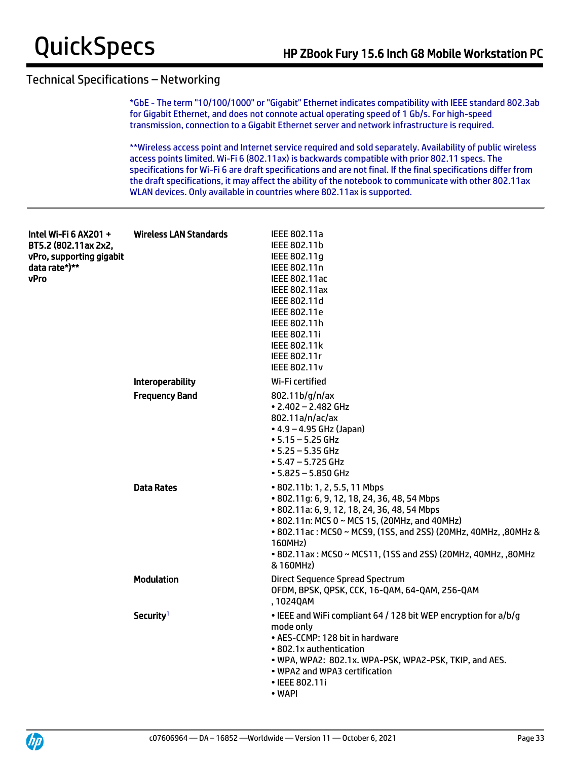\*GbE - The term "10/100/1000" or "Gigabit" Ethernet indicates compatibility with IEEE standard 802.3ab for Gigabit Ethernet, and does not connote actual operating speed of 1 Gb/s. For high-speed transmission, connection to a Gigabit Ethernet server and network infrastructure is required.

\*\*Wireless access point and Internet service required and sold separately. Availability of public wireless access points limited. Wi-Fi 6 (802.11ax) is backwards compatible with prior 802.11 specs. The specifications for Wi-Fi 6 are draft specifications and are not final. If the final specifications differ from the draft specifications, it may affect the ability of the notebook to communicate with other 802.11ax WLAN devices. Only available in countries where 802.11ax is supported.

| Intel Wi-Fi 6 AX201 +<br>BT5.2 (802.11ax 2x2,<br>vPro, supporting gigabit<br>data rate*)**<br><b>vPro</b> | Wireless LAN Standards  | IEEE 802.11a<br>IEEE 802.11b<br>IEEE 802.11g<br>IEEE 802.11n<br><b>IEEE 802.11ac</b><br><b>IEEE 802.11ax</b><br>IEEE 802.11d<br><b>IEEE 802.11e</b><br>IEEE 802.11h<br><b>IEEE 802.11i</b><br><b>IEEE 802.11k</b><br>IEEE 802.11r<br><b>IEEE 802.11v</b>                                                                                   |
|-----------------------------------------------------------------------------------------------------------|-------------------------|--------------------------------------------------------------------------------------------------------------------------------------------------------------------------------------------------------------------------------------------------------------------------------------------------------------------------------------------|
|                                                                                                           | <b>Interoperability</b> | Wi-Fi certified                                                                                                                                                                                                                                                                                                                            |
|                                                                                                           | <b>Frequency Band</b>   | 802.11b/g/n/ax<br>$\cdot$ 2.402 - 2.482 GHz<br>802.11a/n/ac/ax<br>$\bullet$ 4.9 – 4.95 GHz (Japan)<br>$• 5.15 - 5.25$ GHz<br>$• 5.25 - 5.35$ GHz<br>$• 5.47 - 5.725$ GHz<br>$• 5.825 - 5.850$ GHz                                                                                                                                          |
|                                                                                                           | <b>Data Rates</b>       | • 802.11b: 1, 2, 5.5, 11 Mbps<br>• 802.11g: 6, 9, 12, 18, 24, 36, 48, 54 Mbps<br>• 802.11a: 6, 9, 12, 18, 24, 36, 48, 54 Mbps<br>• 802.11n: MCS 0 ~ MCS 15, (20MHz, and 40MHz)<br>• 802.11ac: MCS0 ~ MCS9, (1SS, and 2SS) (20MHz, 40MHz, ,80MHz &<br>160MHz)<br>• 802.11ax: MCS0 ~ MCS11, (1SS and 2SS) (20MHz, 40MHz, ,80MHz<br>& 160MHz) |
|                                                                                                           | <b>Modulation</b>       | <b>Direct Sequence Spread Spectrum</b><br>OFDM, BPSK, QPSK, CCK, 16-QAM, 64-QAM, 256-QAM<br>,1024QAM                                                                                                                                                                                                                                       |
|                                                                                                           | Security <sup>1</sup>   | • IEEE and WiFi compliant 64 / 128 bit WEP encryption for a/b/g<br>mode only<br>• AES-CCMP: 128 bit in hardware<br>• 802.1x authentication<br>. WPA, WPA2: 802.1x. WPA-PSK, WPA2-PSK, TKIP, and AES.<br>• WPA2 and WPA3 certification<br>• IEEE 802.11i<br>• WAPI                                                                          |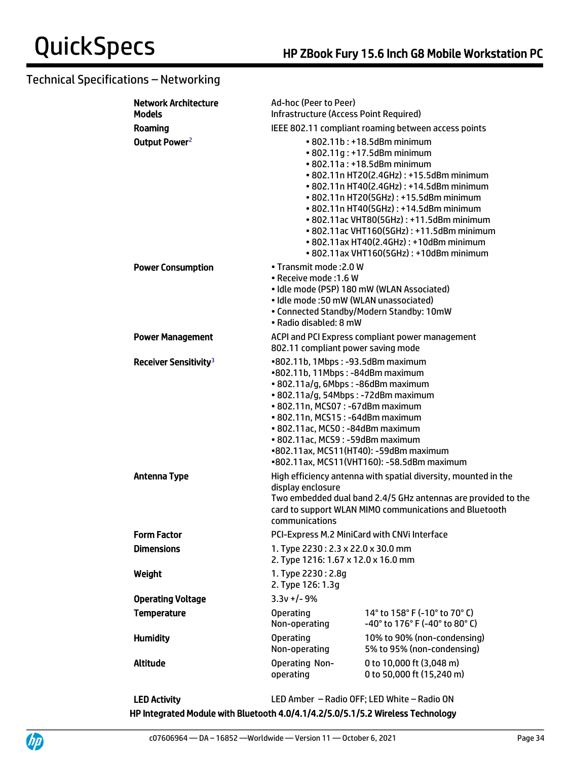| <b>Network Architecture</b><br><b>Models</b> | Ad-hoc (Peer to Peer)<br><b>Infrastructure (Access Point Required)</b>                                                                                                                                                                                                                                                                       |                                                                                                                                                                                                                                                                                                                                                                                                                                                      |  |
|----------------------------------------------|----------------------------------------------------------------------------------------------------------------------------------------------------------------------------------------------------------------------------------------------------------------------------------------------------------------------------------------------|------------------------------------------------------------------------------------------------------------------------------------------------------------------------------------------------------------------------------------------------------------------------------------------------------------------------------------------------------------------------------------------------------------------------------------------------------|--|
| Roaming                                      | IEEE 802.11 compliant roaming between access points                                                                                                                                                                                                                                                                                          |                                                                                                                                                                                                                                                                                                                                                                                                                                                      |  |
| Output Power <sup>2</sup>                    |                                                                                                                                                                                                                                                                                                                                              | • 802.11b: +18.5dBm minimum<br>• 802.11g: +17.5dBm minimum<br>• 802.11a: +18.5dBm minimum<br>• 802.11n HT20(2.4GHz): +15.5dBm minimum<br>• 802.11n HT40(2.4GHz): +14.5dBm minimum<br>• 802.11n HT20(5GHz): +15.5dBm minimum<br>• 802.11n HT40(5GHz): +14.5dBm minimum<br>• 802.11ac VHT80(5GHz): +11.5dBm minimum<br>• 802.11ac VHT160(5GHz): +11.5dBm minimum<br>• 802.11ax HT40(2.4GHz): +10dBm minimum<br>• 802.11ax VHT160(5GHz): +10dBm minimum |  |
| <b>Power Consumption</b>                     | • Transmit mode: 2.0 W<br>• Receive mode: 1.6 W<br>• Idle mode (PSP) 180 mW (WLAN Associated)<br>• Idle mode: 50 mW (WLAN unassociated)<br>• Radio disabled: 8 mW                                                                                                                                                                            | • Connected Standby/Modern Standby: 10mW                                                                                                                                                                                                                                                                                                                                                                                                             |  |
| <b>Power Management</b>                      | 802.11 compliant power saving mode                                                                                                                                                                                                                                                                                                           | ACPI and PCI Express compliant power management                                                                                                                                                                                                                                                                                                                                                                                                      |  |
| Receiver Sensitivity <sup>3</sup>            | •802.11b, 1Mbps: -93.5dBm maximum<br>•802.11b, 11Mbps: -84dBm maximum<br>• 802.11a/g, 6Mbps: -86dBm maximum<br>• 802.11a/g, 54Mbps: -72dBm maximum<br>• 802.11n, MCS07: -67dBm maximum<br>• 802.11n, MCS15: -64dBm maximum<br>• 802.11ac, MCS0: -84dBm maximum<br>• 802.11ac, MCS9: -59dBm maximum<br>•802.11ax, MCS11(HT40): -59dBm maximum | •802.11ax, MCS11(VHT160): -58.5dBm maximum                                                                                                                                                                                                                                                                                                                                                                                                           |  |
| <b>Antenna Type</b>                          | display enclosure<br>communications                                                                                                                                                                                                                                                                                                          | High efficiency antenna with spatial diversity, mounted in the<br>Two embedded dual band 2.4/5 GHz antennas are provided to the<br>card to support WLAN MIMO communications and Bluetooth                                                                                                                                                                                                                                                            |  |
| <b>Form Factor</b>                           | PCI-Express M.2 MiniCard with CNVi Interface                                                                                                                                                                                                                                                                                                 |                                                                                                                                                                                                                                                                                                                                                                                                                                                      |  |
| <b>Dimensions</b>                            | 1. Type 2230: 2.3 x 22.0 x 30.0 mm<br>2. Type 1216: 1.67 x 12.0 x 16.0 mm                                                                                                                                                                                                                                                                    |                                                                                                                                                                                                                                                                                                                                                                                                                                                      |  |
| Weight                                       | 1. Type 2230: 2.8g<br>2. Type 126: 1.3g                                                                                                                                                                                                                                                                                                      |                                                                                                                                                                                                                                                                                                                                                                                                                                                      |  |
| <b>Operating Voltage</b>                     | $3.3v +/- 9%$                                                                                                                                                                                                                                                                                                                                |                                                                                                                                                                                                                                                                                                                                                                                                                                                      |  |
| <b>Temperature</b>                           | <b>Operating</b><br>Non-operating                                                                                                                                                                                                                                                                                                            | 14° to 158° F (-10° to 70° C)<br>-40° to 176° F (-40° to 80° C)                                                                                                                                                                                                                                                                                                                                                                                      |  |
| <b>Humidity</b>                              | <b>Operating</b><br>Non-operating                                                                                                                                                                                                                                                                                                            | 10% to 90% (non-condensing)<br>5% to 95% (non-condensing)                                                                                                                                                                                                                                                                                                                                                                                            |  |
| Altitude                                     | Operating Non-<br>operating                                                                                                                                                                                                                                                                                                                  | 0 to 10,000 ft (3,048 m)<br>0 to 50,000 ft (15,240 m)                                                                                                                                                                                                                                                                                                                                                                                                |  |

LED Activity LED Amber – Radio OFF; LED White – Radio ON HP Integrated Module with Bluetooth 4.0/4.1/4.2/5.0/5.1/5.2 Wireless Technology

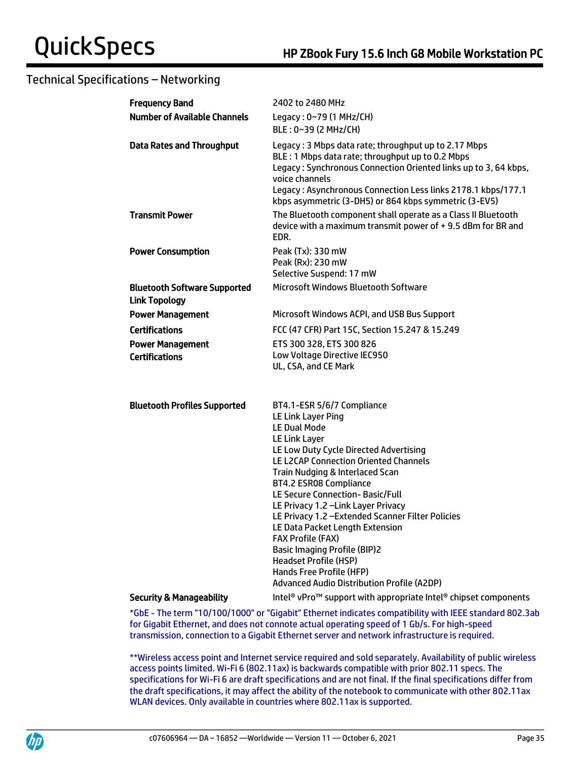| <b>Frequency Band</b>                                       | 2402 to 2480 MHz                                                                                                                                                                                                                                                                                                                                                                                                                                                                                                                                                                                |
|-------------------------------------------------------------|-------------------------------------------------------------------------------------------------------------------------------------------------------------------------------------------------------------------------------------------------------------------------------------------------------------------------------------------------------------------------------------------------------------------------------------------------------------------------------------------------------------------------------------------------------------------------------------------------|
| <b>Number of Available Channels</b>                         | Legacy: 0~79 (1 MHz/CH)                                                                                                                                                                                                                                                                                                                                                                                                                                                                                                                                                                         |
|                                                             | BLE: 0~39 (2 MHz/CH)                                                                                                                                                                                                                                                                                                                                                                                                                                                                                                                                                                            |
| <b>Data Rates and Throughput</b>                            | Legacy: 3 Mbps data rate; throughput up to 2.17 Mbps<br>BLE: 1 Mbps data rate; throughput up to 0.2 Mbps<br>Legacy: Synchronous Connection Oriented links up to 3, 64 kbps,<br>voice channels<br>Legacy: Asynchronous Connection Less links 2178.1 kbps/177.1<br>kbps asymmetric (3-DH5) or 864 kbps symmetric (3-EV5)                                                                                                                                                                                                                                                                          |
| <b>Transmit Power</b>                                       | The Bluetooth component shall operate as a Class II Bluetooth<br>device with a maximum transmit power of +9.5 dBm for BR and<br>EDR.                                                                                                                                                                                                                                                                                                                                                                                                                                                            |
| <b>Power Consumption</b>                                    | Peak (Tx): 330 mW                                                                                                                                                                                                                                                                                                                                                                                                                                                                                                                                                                               |
|                                                             | Peak (Rx): 230 mW                                                                                                                                                                                                                                                                                                                                                                                                                                                                                                                                                                               |
|                                                             | Selective Suspend: 17 mW<br><b>Microsoft Windows Bluetooth Software</b>                                                                                                                                                                                                                                                                                                                                                                                                                                                                                                                         |
| <b>Bluetooth Software Supported</b><br><b>Link Topology</b> |                                                                                                                                                                                                                                                                                                                                                                                                                                                                                                                                                                                                 |
| <b>Power Management</b>                                     | Microsoft Windows ACPI, and USB Bus Support                                                                                                                                                                                                                                                                                                                                                                                                                                                                                                                                                     |
| <b>Certifications</b>                                       | FCC (47 CFR) Part 15C, Section 15.247 & 15.249                                                                                                                                                                                                                                                                                                                                                                                                                                                                                                                                                  |
| <b>Power Management</b>                                     | ETS 300 328, ETS 300 826                                                                                                                                                                                                                                                                                                                                                                                                                                                                                                                                                                        |
| <b>Certifications</b>                                       | Low Voltage Directive IEC950<br>UL, CSA, and CE Mark                                                                                                                                                                                                                                                                                                                                                                                                                                                                                                                                            |
| <b>Bluetooth Profiles Supported</b>                         | BT4.1-ESR 5/6/7 Compliance<br>LE Link Layer Ping<br><b>LE Dual Mode</b><br>LE Link Layer<br>LE Low Duty Cycle Directed Advertising<br><b>LE L2CAP Connection Oriented Channels</b><br>Train Nudging & Interlaced Scan<br>BT4.2 ESR08 Compliance<br>LE Secure Connection- Basic/Full<br>LE Privacy 1.2 - Link Layer Privacy<br>LE Privacy 1.2 - Extended Scanner Filter Policies<br>LE Data Packet Length Extension<br><b>FAX Profile (FAX)</b><br><b>Basic Imaging Profile (BIP)2</b><br><b>Headset Profile (HSP)</b><br>Hands Free Profile (HFP)<br>Advanced Audio Distribution Profile (A2DP) |
| <b>Security &amp; Manageability</b>                         | Intel <sup>®</sup> vPro <sup>™</sup> support with appropriate Intel <sup>®</sup> chipset components                                                                                                                                                                                                                                                                                                                                                                                                                                                                                             |

\*GbE - The term "10/100/1000" or "Gigabit" Ethernet indicates compatibility with IEEE standard 802.3ab for Gigabit Ethernet, and does not connote actual operating speed of 1 Gb/s. For high-speed transmission, connection to a Gigabit Ethernet server and network infrastructure is required.

\*\*Wireless access point and Internet service required and sold separately. Availability of public wireless access points limited. Wi-Fi 6 (802.11ax) is backwards compatible with prior 802.11 specs. The specifications for Wi-Fi 6 are draft specifications and are not final. If the final specifications differ from the draft specifications, it may affect the ability of the notebook to communicate with other 802.11ax WLAN devices. Only available in countries where 802.11ax is supported.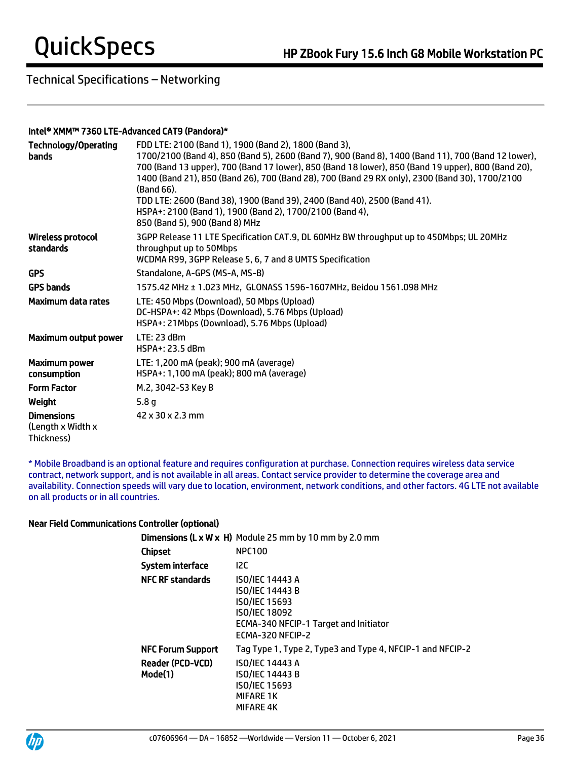#### Intel® XMM™ 7360 LTE-Advanced CAT9 (Pandora)\*

| <b>Technology/Operating</b><br><b>bands</b>          | FDD LTE: 2100 (Band 1), 1900 (Band 2), 1800 (Band 3),<br>1700/2100 (Band 4), 850 (Band 5), 2600 (Band 7), 900 (Band 8), 1400 (Band 11), 700 (Band 12 lower),<br>700 (Band 13 upper), 700 (Band 17 lower), 850 (Band 18 lower), 850 (Band 19 upper), 800 (Band 20),<br>1400 (Band 21), 850 (Band 26), 700 (Band 28), 700 (Band 29 RX only), 2300 (Band 30), 1700/2100<br>(Band 66).<br>TDD LTE: 2600 (Band 38), 1900 (Band 39), 2400 (Band 40), 2500 (Band 41).<br>HSPA+: 2100 (Band 1), 1900 (Band 2), 1700/2100 (Band 4),<br>850 (Band 5), 900 (Band 8) MHz |
|------------------------------------------------------|--------------------------------------------------------------------------------------------------------------------------------------------------------------------------------------------------------------------------------------------------------------------------------------------------------------------------------------------------------------------------------------------------------------------------------------------------------------------------------------------------------------------------------------------------------------|
| <b>Wireless protocol</b><br>standards                | 3GPP Release 11 LTE Specification CAT.9, DL 60MHz BW throughput up to 450Mbps; UL 20MHz<br>throughput up to 50Mbps<br>WCDMA R99, 3GPP Release 5, 6, 7 and 8 UMTS Specification                                                                                                                                                                                                                                                                                                                                                                               |
| <b>GPS</b>                                           | Standalone, A-GPS (MS-A, MS-B)                                                                                                                                                                                                                                                                                                                                                                                                                                                                                                                               |
| <b>GPS bands</b>                                     | 1575.42 MHz ± 1.023 MHz, GLONASS 1596-1607MHz, Beidou 1561.098 MHz                                                                                                                                                                                                                                                                                                                                                                                                                                                                                           |
| <b>Maximum data rates</b>                            | LTE: 450 Mbps (Download), 50 Mbps (Upload)<br>DC-HSPA+: 42 Mbps (Download), 5.76 Mbps (Upload)<br>HSPA+: 21Mbps (Download), 5.76 Mbps (Upload)                                                                                                                                                                                                                                                                                                                                                                                                               |
| Maximum output power                                 | LTE: 23 dBm<br>HSPA+: 23.5 dBm                                                                                                                                                                                                                                                                                                                                                                                                                                                                                                                               |
| <b>Maximum power</b><br>consumption                  | LTE: 1,200 mA (peak); 900 mA (average)<br>HSPA+: 1,100 mA (peak); 800 mA (average)                                                                                                                                                                                                                                                                                                                                                                                                                                                                           |
| <b>Form Factor</b>                                   | M.2, 3042-S3 Key B                                                                                                                                                                                                                                                                                                                                                                                                                                                                                                                                           |
| Weight                                               | 5.8 <sub>g</sub>                                                                                                                                                                                                                                                                                                                                                                                                                                                                                                                                             |
| <b>Dimensions</b><br>(Length x Width x<br>Thickness) | 42 x 30 x 2.3 mm                                                                                                                                                                                                                                                                                                                                                                                                                                                                                                                                             |

\* Mobile Broadband is an optional feature and requires configuration at purchase. Connection requires wireless data service contract, network support, and is not available in all areas. Contact service provider to determine the coverage area and availability. Connection speeds will vary due to location, environment, network conditions, and other factors. 4G LTE not available on all products or in all countries.

#### Near Field Communications Controller (optional)

|                                    | <b>Dimensions (L x W x H)</b> Module 25 mm by 10 mm by 2.0 mm                                                                                                 |
|------------------------------------|---------------------------------------------------------------------------------------------------------------------------------------------------------------|
| Chipset                            | <b>NPC100</b>                                                                                                                                                 |
| System interface                   | 12C                                                                                                                                                           |
| <b>NFC RF standards</b>            | <b>ISO/IEC 14443 A</b><br><b>ISO/IEC 14443 B</b><br><b>ISO/IEC 15693</b><br><b>ISO/IEC 18092</b><br>ECMA-340 NFCIP-1 Target and Initiator<br>ECMA-320 NFCIP-2 |
| <b>NFC Forum Support</b>           | Tag Type 1, Type 2, Type3 and Type 4, NFCIP-1 and NFCIP-2                                                                                                     |
| <b>Reader (PCD-VCD)</b><br>Mode(1) | <b>ISO/IEC 14443 A</b><br><b>ISO/IEC 14443 B</b><br><b>ISO/IEC 15693</b><br><b>MIFARE 1K</b><br>MIFARE 4K                                                     |

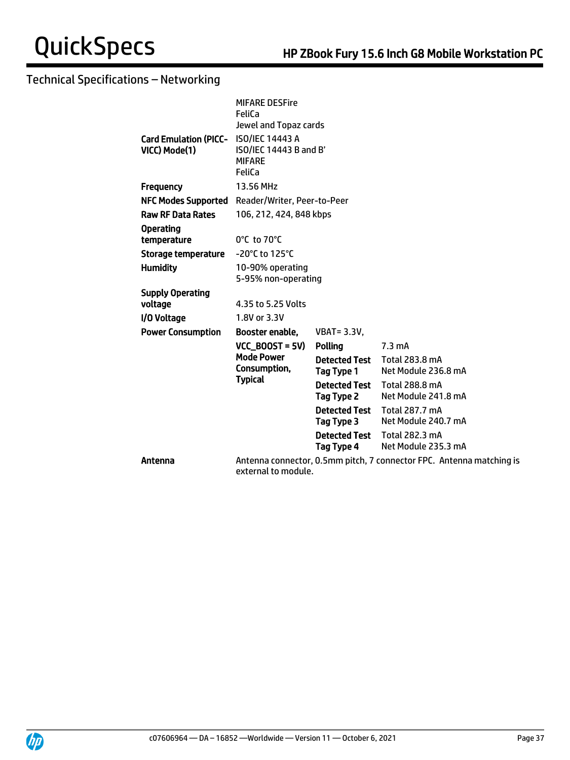|                                                        | <b>MIFARE DESFire</b><br>FeliCa                                            |                                    |                                                                      |
|--------------------------------------------------------|----------------------------------------------------------------------------|------------------------------------|----------------------------------------------------------------------|
| Card Emulation (PICC- ISO/IEC 14443 A<br>VICC) Mode(1) | Jewel and Topaz cards<br>ISO/IEC 14443 B and B'<br><b>MIFARE</b><br>FeliCa |                                    |                                                                      |
| <b>Frequency</b>                                       | 13.56 MHz                                                                  |                                    |                                                                      |
| <b>NFC Modes Supported</b>                             | Reader/Writer, Peer-to-Peer                                                |                                    |                                                                      |
| <b>Raw RF Data Rates</b>                               | 106, 212, 424, 848 kbps                                                    |                                    |                                                                      |
| <b>Operating</b>                                       |                                                                            |                                    |                                                                      |
| temperature                                            | $0^{\circ}$ C to 70 $^{\circ}$ C                                           |                                    |                                                                      |
| <b>Storage temperature</b>                             | -20°C to 125°C                                                             |                                    |                                                                      |
| <b>Humidity</b>                                        | 10-90% operating<br>5-95% non-operating                                    |                                    |                                                                      |
| <b>Supply Operating</b>                                |                                                                            |                                    |                                                                      |
| voltage                                                | 4.35 to 5.25 Volts                                                         |                                    |                                                                      |
| I/O Voltage                                            | 1.8V or 3.3V                                                               |                                    |                                                                      |
| <b>Power Consumption</b>                               | Booster enable,                                                            | <b>VBAT = 3.3V,</b>                |                                                                      |
|                                                        | $VCC$ BOOST = 5V)                                                          | Polling                            | $7.3 \text{ mA}$                                                     |
|                                                        | <b>Mode Power</b><br>Consumption,<br><b>Typical</b>                        | <b>Detected Test</b><br>Tag Type 1 | Total 283.8 mA<br>Net Module 236.8 mA                                |
|                                                        |                                                                            | <b>Detected Test</b><br>Tag Type 2 | <b>Total 288.8 mA</b><br>Net Module 241.8 mA                         |
|                                                        |                                                                            | <b>Detected Test</b><br>Tag Type 3 | Total 287.7 mA<br>Net Module 240.7 mA                                |
|                                                        |                                                                            | <b>Detected Test</b><br>Tag Type 4 | Total 282.3 mA<br>Net Module 235.3 mA                                |
| Antenna                                                | external to module.                                                        |                                    | Antenna connector, 0.5mm pitch, 7 connector FPC. Antenna matching is |

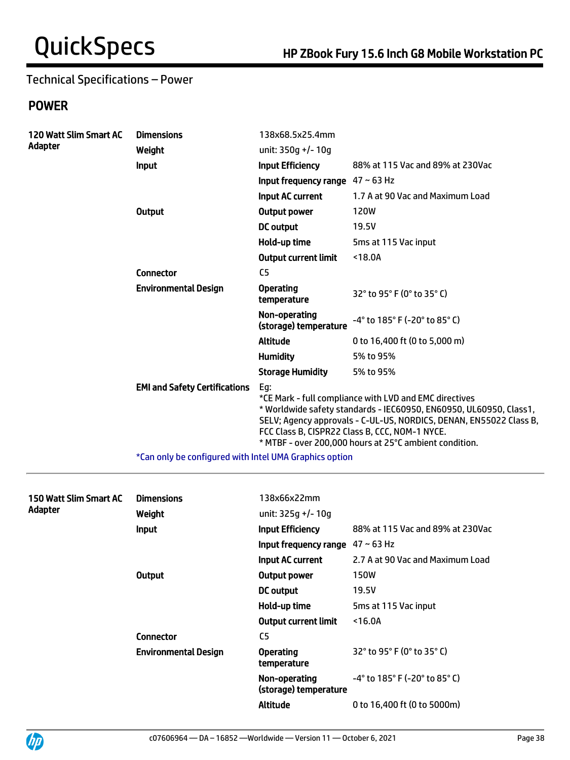## Technical Specifications – Power

## POWER

| 120 Watt Slim Smart AC | <b>Dimensions</b>                                      | 138x68.5x25.4mm                        |                                                                                                                                                                                                                                                                                                                |
|------------------------|--------------------------------------------------------|----------------------------------------|----------------------------------------------------------------------------------------------------------------------------------------------------------------------------------------------------------------------------------------------------------------------------------------------------------------|
| Adapter                | Weight                                                 | unit: 350q +/- 10q                     |                                                                                                                                                                                                                                                                                                                |
|                        | <b>Input</b>                                           | <b>Input Efficiency</b>                | 88% at 115 Vac and 89% at 230Vac                                                                                                                                                                                                                                                                               |
|                        |                                                        | Input frequency range $47 \sim 63$ Hz  |                                                                                                                                                                                                                                                                                                                |
|                        |                                                        | Input AC current                       | 1.7 A at 90 Vac and Maximum Load                                                                                                                                                                                                                                                                               |
|                        | <b>Output</b>                                          | Output power                           | <b>120W</b>                                                                                                                                                                                                                                                                                                    |
|                        |                                                        | <b>DC</b> output                       | 19.5V                                                                                                                                                                                                                                                                                                          |
|                        |                                                        | Hold-up time                           | 5ms at 115 Vac input                                                                                                                                                                                                                                                                                           |
|                        |                                                        | <b>Output current limit</b>            | $18.0A$                                                                                                                                                                                                                                                                                                        |
|                        | <b>Connector</b>                                       | C <sub>5</sub>                         |                                                                                                                                                                                                                                                                                                                |
|                        | <b>Environmental Design</b>                            | <b>Operating</b><br>temperature        | 32° to 95° F (0° to 35° C)                                                                                                                                                                                                                                                                                     |
|                        |                                                        | Non-operating<br>(storage) temperature | -4° to 185° F (-20° to 85° C)                                                                                                                                                                                                                                                                                  |
|                        |                                                        | <b>Altitude</b>                        | 0 to 16,400 ft (0 to 5,000 m)                                                                                                                                                                                                                                                                                  |
|                        |                                                        | <b>Humidity</b>                        | 5% to 95%                                                                                                                                                                                                                                                                                                      |
|                        |                                                        | <b>Storage Humidity</b>                | 5% to 95%                                                                                                                                                                                                                                                                                                      |
|                        | <b>EMI and Safety Certifications</b>                   | Eg:                                    | *CE Mark - full compliance with LVD and EMC directives<br>* Worldwide safety standards - IEC60950, EN60950, UL60950, Class1,<br>SELV; Agency approvals - C-UL-US, NORDICS, DENAN, EN55022 Class B,<br>FCC Class B, CISPR22 Class B, CCC, NOM-1 NYCE.<br>* MTBF - over 200,000 hours at 25°C ambient condition. |
|                        | *Can only be configured with Intel UMA Graphics option |                                        |                                                                                                                                                                                                                                                                                                                |

| 150 Watt Slim Smart AC<br>Adapter | <b>Dimensions</b><br>Weight | 138x66x22mm<br>unit: 325g +/- 10g      |                                                                      |
|-----------------------------------|-----------------------------|----------------------------------------|----------------------------------------------------------------------|
|                                   | <b>Input</b>                | <b>Input Efficiency</b>                | 88% at 115 Vac and 89% at 230Vac                                     |
|                                   |                             | Input frequency range                  | $47 - 63$ Hz                                                         |
|                                   |                             | Input AC current                       | 2.7 A at 90 Vac and Maximum Load                                     |
|                                   | Output                      | Output power                           | <b>150W</b>                                                          |
|                                   |                             | DC output                              | 19.5V                                                                |
|                                   |                             | Hold-up time                           | 5ms at 115 Vac input                                                 |
|                                   |                             | <b>Output current limit</b>            | $16.0A$                                                              |
|                                   | <b>Connector</b>            | C <sub>5</sub>                         |                                                                      |
|                                   | <b>Environmental Design</b> | <b>Operating</b><br>temperature        | 32° to 95° F (0° to 35° C)                                           |
|                                   |                             | Non-operating<br>(storage) temperature | $-4^{\circ}$ to 185 $^{\circ}$ F (-20 $^{\circ}$ to 85 $^{\circ}$ C) |
|                                   |                             | <b>Altitude</b>                        | 0 to 16,400 ft (0 to 5000m)                                          |

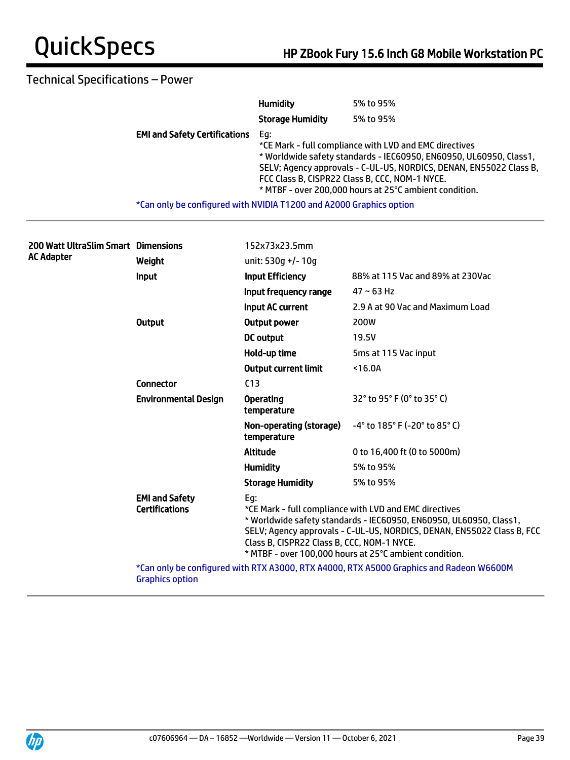## Technical Specifications – Power

|                                                                     | <b>Humidity</b>         | 5% to 95%                                                                                                                                                                                                                                                                                                      |
|---------------------------------------------------------------------|-------------------------|----------------------------------------------------------------------------------------------------------------------------------------------------------------------------------------------------------------------------------------------------------------------------------------------------------------|
|                                                                     | <b>Storage Humidity</b> | 5% to 95%                                                                                                                                                                                                                                                                                                      |
| <b>EMI and Safety Certifications</b>                                | Eq:                     | *CE Mark - full compliance with LVD and EMC directives<br>* Worldwide safety standards - IEC60950, EN60950, UL60950, Class1,<br>SELV; Agency approvals - C-UL-US, NORDICS, DENAN, EN55022 Class B,<br>FCC Class B, CISPR22 Class B, CCC, NOM-1 NYCE.<br>* MTBF - over 200,000 hours at 25°C ambient condition. |
| *Can only be configured with NVIDIA T1200 and A2000 Graphics option |                         |                                                                                                                                                                                                                                                                                                                |

| 200 Watt UltraSlim Smart Dimensions<br>AC Adapter |                                                | 152x73x23.5mm                                                                                                                                                                                                                                                                                                         |                                                                                         |  |
|---------------------------------------------------|------------------------------------------------|-----------------------------------------------------------------------------------------------------------------------------------------------------------------------------------------------------------------------------------------------------------------------------------------------------------------------|-----------------------------------------------------------------------------------------|--|
|                                                   | Weight                                         | unit: 530q +/- 10q                                                                                                                                                                                                                                                                                                    |                                                                                         |  |
|                                                   | Input                                          | <b>Input Efficiency</b>                                                                                                                                                                                                                                                                                               | 88% at 115 Vac and 89% at 230Vac                                                        |  |
|                                                   |                                                | Input frequency range                                                                                                                                                                                                                                                                                                 | $47 - 63$ Hz                                                                            |  |
|                                                   |                                                | <b>Input AC current</b>                                                                                                                                                                                                                                                                                               | 2.9 A at 90 Vac and Maximum Load                                                        |  |
|                                                   | <b>Output</b>                                  | <b>Output power</b>                                                                                                                                                                                                                                                                                                   | 200W                                                                                    |  |
|                                                   |                                                | DC output                                                                                                                                                                                                                                                                                                             | 19.5V                                                                                   |  |
|                                                   |                                                | Hold-up time                                                                                                                                                                                                                                                                                                          | 5ms at 115 Vac input                                                                    |  |
|                                                   |                                                | <b>Output current limit</b>                                                                                                                                                                                                                                                                                           | $16.0A$                                                                                 |  |
|                                                   | <b>Connector</b>                               | C <sub>13</sub>                                                                                                                                                                                                                                                                                                       |                                                                                         |  |
|                                                   | <b>Environmental Design</b>                    | <b>Operating</b><br>temperature                                                                                                                                                                                                                                                                                       | 32° to 95° F (0° to 35° C)                                                              |  |
|                                                   |                                                | Non-operating (storage)<br>temperature                                                                                                                                                                                                                                                                                | $-4^{\circ}$ to 185° F (-20° to 85° C)                                                  |  |
|                                                   |                                                | <b>Altitude</b>                                                                                                                                                                                                                                                                                                       | 0 to 16,400 ft (0 to 5000m)                                                             |  |
|                                                   |                                                | <b>Humidity</b>                                                                                                                                                                                                                                                                                                       | 5% to 95%                                                                               |  |
|                                                   |                                                | <b>Storage Humidity</b>                                                                                                                                                                                                                                                                                               | 5% to 95%                                                                               |  |
|                                                   | <b>EMI and Safety</b><br><b>Certifications</b> | Eg:<br>*CE Mark - full compliance with LVD and EMC directives<br>* Worldwide safety standards - IEC60950, EN60950, UL60950, Class1,<br>SELV; Agency approvals - C-UL-US, NORDICS, DENAN, EN55022 Class B, FCC<br>Class B, CISPR22 Class B, CCC, NOM-1 NYCE.<br>* MTBF - over 100,000 hours at 25°C ambient condition. |                                                                                         |  |
|                                                   | <b>Graphics option</b>                         |                                                                                                                                                                                                                                                                                                                       | *Can only be configured with RTX A3000, RTX A4000, RTX A5000 Graphics and Radeon W6600M |  |
|                                                   |                                                |                                                                                                                                                                                                                                                                                                                       |                                                                                         |  |

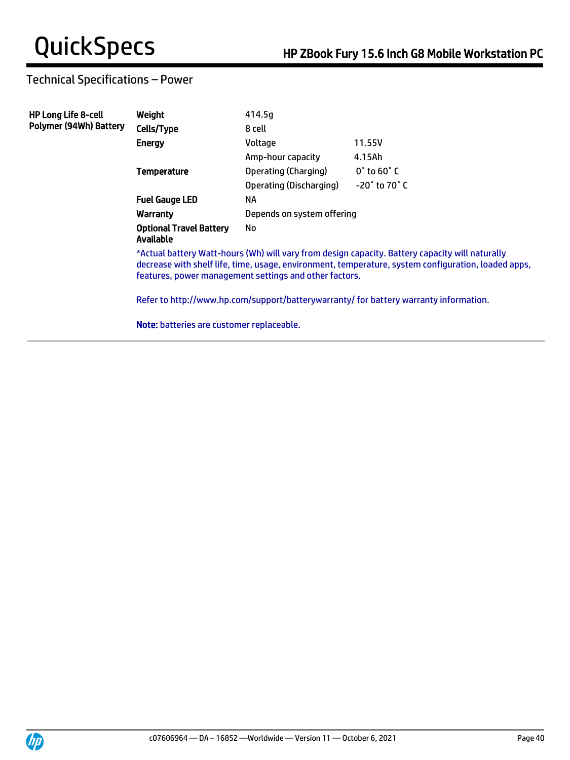## Technical Specifications – Power

| <b>HP Long Life 8-cell</b>    | Weight                                                                                                                                                                                                                                                           | 414.5g                     |                                |  |
|-------------------------------|------------------------------------------------------------------------------------------------------------------------------------------------------------------------------------------------------------------------------------------------------------------|----------------------------|--------------------------------|--|
| <b>Polymer (94Wh) Battery</b> | Cells/Type                                                                                                                                                                                                                                                       | 8 cell                     |                                |  |
|                               | <b>Energy</b>                                                                                                                                                                                                                                                    | Voltage                    | 11.55V                         |  |
|                               |                                                                                                                                                                                                                                                                  | Amp-hour capacity          | 4.15Ah                         |  |
|                               | <b>Temperature</b>                                                                                                                                                                                                                                               | Operating (Charging)       | $0^{\circ}$ to 60 $^{\circ}$ C |  |
|                               |                                                                                                                                                                                                                                                                  | Operating (Discharging)    | $-20^\circ$ to 70 $^\circ$ C   |  |
|                               | <b>Fuel Gauge LED</b>                                                                                                                                                                                                                                            | NA                         |                                |  |
|                               | Warranty                                                                                                                                                                                                                                                         | Depends on system offering |                                |  |
|                               | <b>Optional Travel Battery</b><br><b>Available</b>                                                                                                                                                                                                               | No                         |                                |  |
|                               | *Actual battery Watt-hours (Wh) will vary from design capacity. Battery capacity will naturally<br>decrease with shelf life, time, usage, environment, temperature, system configuration, loaded apps,<br>features, power management settings and other factors. |                            |                                |  |
|                               | Refer to http://www.hp.com/support/batterywarranty/ for battery warranty information.                                                                                                                                                                            |                            |                                |  |
|                               | <b>Note:</b> batteries are customer replaceable.                                                                                                                                                                                                                 |                            |                                |  |

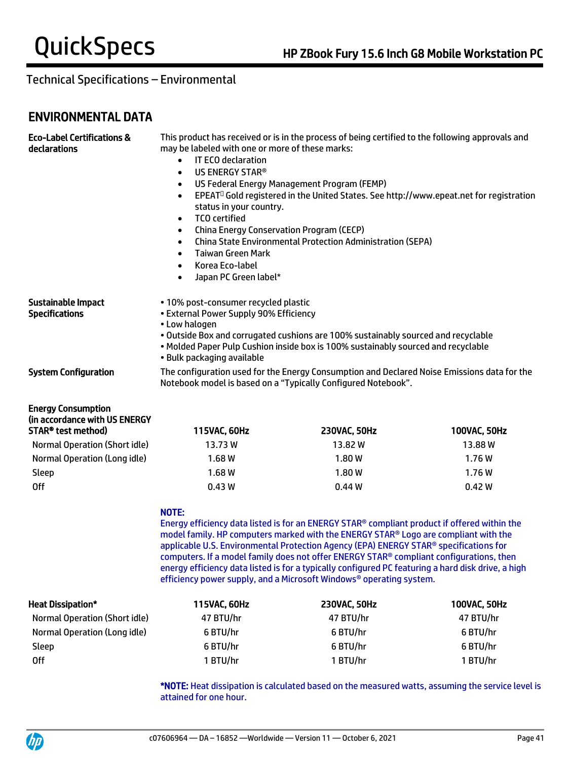## ENVIRONMENTAL DATA

| <b>Eco-Label Certifications &amp;</b><br>declarations                            | This product has received or is in the process of being certified to the following approvals and<br>may be labeled with one or more of these marks:<br>IT ECO declaration<br>$\bullet$<br>US ENERGY STAR®<br>$\bullet$<br>US Federal Energy Management Program (FEMP)<br>$\bullet$<br>EPEAT <sup>O</sup> Gold registered in the United States. See http://www.epeat.net for registration<br>$\bullet$<br>status in your country.<br><b>TCO</b> certified<br>$\bullet$<br>China Energy Conservation Program (CECP)<br>$\bullet$<br><b>China State Environmental Protection Administration (SEPA)</b><br>$\bullet$<br><b>Taiwan Green Mark</b><br>$\bullet$<br>Korea Eco-label<br>$\bullet$<br>Japan PC Green label*<br>$\bullet$ |                                                                                                                                                                                                                                                                                                                                                                                                                                                                                                                                                      |              |
|----------------------------------------------------------------------------------|---------------------------------------------------------------------------------------------------------------------------------------------------------------------------------------------------------------------------------------------------------------------------------------------------------------------------------------------------------------------------------------------------------------------------------------------------------------------------------------------------------------------------------------------------------------------------------------------------------------------------------------------------------------------------------------------------------------------------------|------------------------------------------------------------------------------------------------------------------------------------------------------------------------------------------------------------------------------------------------------------------------------------------------------------------------------------------------------------------------------------------------------------------------------------------------------------------------------------------------------------------------------------------------------|--------------|
| Sustainable Impact<br><b>Specifications</b>                                      | • 10% post-consumer recycled plastic<br>• External Power Supply 90% Efficiency<br>• Low halogen<br>· Bulk packaging available                                                                                                                                                                                                                                                                                                                                                                                                                                                                                                                                                                                                   | . Outside Box and corrugated cushions are 100% sustainably sourced and recyclable<br>. Molded Paper Pulp Cushion inside box is 100% sustainably sourced and recyclable                                                                                                                                                                                                                                                                                                                                                                               |              |
| <b>System Configuration</b>                                                      |                                                                                                                                                                                                                                                                                                                                                                                                                                                                                                                                                                                                                                                                                                                                 | The configuration used for the Energy Consumption and Declared Noise Emissions data for the<br>Notebook model is based on a "Typically Configured Notebook".                                                                                                                                                                                                                                                                                                                                                                                         |              |
| <b>Energy Consumption</b><br>(in accordance with US ENERGY<br>STAR® test method) | 115VAC, 60Hz                                                                                                                                                                                                                                                                                                                                                                                                                                                                                                                                                                                                                                                                                                                    | 230VAC, 50Hz                                                                                                                                                                                                                                                                                                                                                                                                                                                                                                                                         | 100VAC, 50Hz |
| <b>Normal Operation (Short idle)</b>                                             | 13.73W                                                                                                                                                                                                                                                                                                                                                                                                                                                                                                                                                                                                                                                                                                                          | 13.82W                                                                                                                                                                                                                                                                                                                                                                                                                                                                                                                                               | 13.88W       |
| Normal Operation (Long idle)                                                     | 1.68W                                                                                                                                                                                                                                                                                                                                                                                                                                                                                                                                                                                                                                                                                                                           | 1.80W                                                                                                                                                                                                                                                                                                                                                                                                                                                                                                                                                | 1.76W        |
| Sleep                                                                            | 1.68W                                                                                                                                                                                                                                                                                                                                                                                                                                                                                                                                                                                                                                                                                                                           | 1.80W                                                                                                                                                                                                                                                                                                                                                                                                                                                                                                                                                | 1.76W        |
| <b>Off</b>                                                                       | 0.43W                                                                                                                                                                                                                                                                                                                                                                                                                                                                                                                                                                                                                                                                                                                           | 0.44W                                                                                                                                                                                                                                                                                                                                                                                                                                                                                                                                                | 0.42W        |
|                                                                                  | NOTE:                                                                                                                                                                                                                                                                                                                                                                                                                                                                                                                                                                                                                                                                                                                           | Energy efficiency data listed is for an ENERGY STAR® compliant product if offered within the<br>model family. HP computers marked with the ENERGY STAR® Logo are compliant with the<br>applicable U.S. Environmental Protection Agency (EPA) ENERGY STAR® specifications for<br>computers. If a model family does not offer ENERGY STAR® compliant configurations, then<br>energy efficiency data listed is for a typically configured PC featuring a hard disk drive, a high<br>efficiency power supply, and a Microsoft Windows® operating system. |              |
| <b>Heat Dissipation*</b>                                                         | 115VAC, 60Hz                                                                                                                                                                                                                                                                                                                                                                                                                                                                                                                                                                                                                                                                                                                    | 230VAC, 50Hz                                                                                                                                                                                                                                                                                                                                                                                                                                                                                                                                         | 100VAC, 50Hz |
| <b>Normal Operation (Short idle)</b>                                             | 47 BTU/hr                                                                                                                                                                                                                                                                                                                                                                                                                                                                                                                                                                                                                                                                                                                       | 47 BTU/hr                                                                                                                                                                                                                                                                                                                                                                                                                                                                                                                                            | 47 BTU/hr    |
| Normal Operation (Long idle)                                                     | 6 BTU/hr                                                                                                                                                                                                                                                                                                                                                                                                                                                                                                                                                                                                                                                                                                                        | 6 BTU/hr                                                                                                                                                                                                                                                                                                                                                                                                                                                                                                                                             | 6 BTU/hr     |
| Sleep                                                                            | 6 BTU/hr<br>6 BTU/hr<br>6 BTU/hr                                                                                                                                                                                                                                                                                                                                                                                                                                                                                                                                                                                                                                                                                                |                                                                                                                                                                                                                                                                                                                                                                                                                                                                                                                                                      |              |
| <b>Off</b>                                                                       | 1 BTU/hr                                                                                                                                                                                                                                                                                                                                                                                                                                                                                                                                                                                                                                                                                                                        | 1 BTU/hr                                                                                                                                                                                                                                                                                                                                                                                                                                                                                                                                             | 1 BTU/hr     |

\*NOTE: Heat dissipation is calculated based on the measured watts, assuming the service level is attained for one hour.

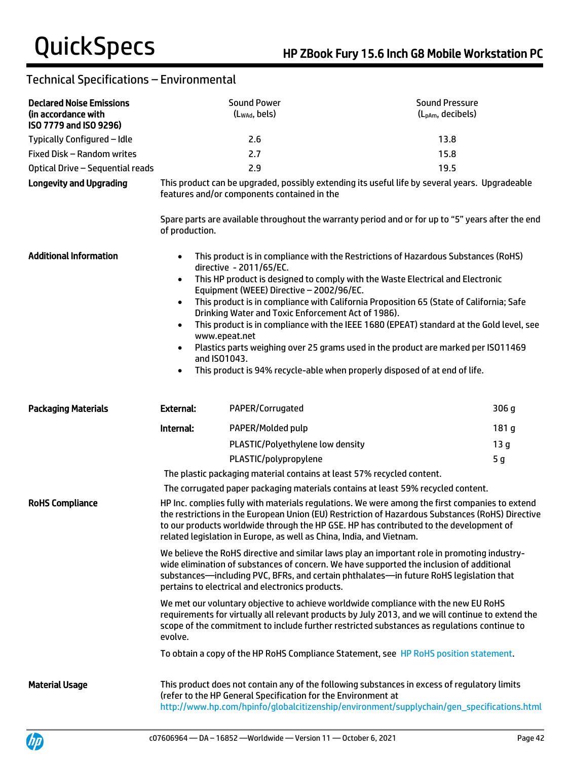| <b>Declared Noise Emissions</b><br>(in accordance with<br>ISO 7779 and ISO 9296) |                                                                                                                                                                                                                                                                                                                                                                      | <b>Sound Power</b><br>(Lwad, bels)                                                                                        | <b>Sound Pressure</b><br>(L <sub>pAm</sub> , decibels)                                                                                                                                                                                                                                                                                                                                                                                                                                                                         |
|----------------------------------------------------------------------------------|----------------------------------------------------------------------------------------------------------------------------------------------------------------------------------------------------------------------------------------------------------------------------------------------------------------------------------------------------------------------|---------------------------------------------------------------------------------------------------------------------------|--------------------------------------------------------------------------------------------------------------------------------------------------------------------------------------------------------------------------------------------------------------------------------------------------------------------------------------------------------------------------------------------------------------------------------------------------------------------------------------------------------------------------------|
| Typically Configured - Idle                                                      |                                                                                                                                                                                                                                                                                                                                                                      | 2.6                                                                                                                       | 13.8                                                                                                                                                                                                                                                                                                                                                                                                                                                                                                                           |
| Fixed Disk - Random writes                                                       |                                                                                                                                                                                                                                                                                                                                                                      | 2.7                                                                                                                       | 15.8                                                                                                                                                                                                                                                                                                                                                                                                                                                                                                                           |
| Optical Drive - Sequential reads                                                 |                                                                                                                                                                                                                                                                                                                                                                      | 2.9                                                                                                                       | 19.5                                                                                                                                                                                                                                                                                                                                                                                                                                                                                                                           |
| <b>Longevity and Upgrading</b>                                                   | of production.                                                                                                                                                                                                                                                                                                                                                       | features and/or components contained in the                                                                               | This product can be upgraded, possibly extending its useful life by several years. Upgradeable<br>Spare parts are available throughout the warranty period and or for up to "5" years after the end                                                                                                                                                                                                                                                                                                                            |
| <b>Additional Information</b>                                                    | $\bullet$<br>$\bullet$<br>$\bullet$<br>$\bullet$<br>www.epeat.net<br>$\bullet$<br>and ISO1043.<br>$\bullet$                                                                                                                                                                                                                                                          | directive - 2011/65/EC.<br>Equipment (WEEE) Directive - 2002/96/EC.<br>Drinking Water and Toxic Enforcement Act of 1986). | This product is in compliance with the Restrictions of Hazardous Substances (RoHS)<br>This HP product is designed to comply with the Waste Electrical and Electronic<br>This product is in compliance with California Proposition 65 (State of California; Safe<br>This product is in compliance with the IEEE 1680 (EPEAT) standard at the Gold level, see<br>Plastics parts weighing over 25 grams used in the product are marked per ISO11469<br>This product is 94% recycle-able when properly disposed of at end of life. |
| <b>Packaging Materials</b>                                                       | <b>External:</b>                                                                                                                                                                                                                                                                                                                                                     | PAPER/Corrugated                                                                                                          | 306 g                                                                                                                                                                                                                                                                                                                                                                                                                                                                                                                          |
|                                                                                  | Internal:                                                                                                                                                                                                                                                                                                                                                            | PAPER/Molded pulp                                                                                                         | 181 g                                                                                                                                                                                                                                                                                                                                                                                                                                                                                                                          |
|                                                                                  |                                                                                                                                                                                                                                                                                                                                                                      | PLASTIC/Polyethylene low density                                                                                          | 13 <sub>g</sub>                                                                                                                                                                                                                                                                                                                                                                                                                                                                                                                |
|                                                                                  |                                                                                                                                                                                                                                                                                                                                                                      | PLASTIC/polypropylene                                                                                                     | 5 <sub>g</sub>                                                                                                                                                                                                                                                                                                                                                                                                                                                                                                                 |
|                                                                                  |                                                                                                                                                                                                                                                                                                                                                                      | The plastic packaging material contains at least 57% recycled content.                                                    |                                                                                                                                                                                                                                                                                                                                                                                                                                                                                                                                |
|                                                                                  |                                                                                                                                                                                                                                                                                                                                                                      |                                                                                                                           | The corrugated paper packaging materials contains at least 59% recycled content.                                                                                                                                                                                                                                                                                                                                                                                                                                               |
| <b>RoHS Compliance</b>                                                           | HP Inc. complies fully with materials regulations. We were among the first companies to extend<br>the restrictions in the European Union (EU) Restriction of Hazardous Substances (RoHS) Directive<br>to our products worldwide through the HP GSE. HP has contributed to the development of<br>related legislation in Europe, as well as China, India, and Vietnam. |                                                                                                                           |                                                                                                                                                                                                                                                                                                                                                                                                                                                                                                                                |
|                                                                                  |                                                                                                                                                                                                                                                                                                                                                                      | pertains to electrical and electronics products.                                                                          | We believe the RoHS directive and similar laws play an important role in promoting industry-<br>wide elimination of substances of concern. We have supported the inclusion of additional<br>substances—including PVC, BFRs, and certain phthalates—in future RoHS legislation that                                                                                                                                                                                                                                             |
|                                                                                  | evolve.                                                                                                                                                                                                                                                                                                                                                              |                                                                                                                           | We met our voluntary objective to achieve worldwide compliance with the new EU RoHS<br>requirements for virtually all relevant products by July 2013, and we will continue to extend the<br>scope of the commitment to include further restricted substances as regulations continue to                                                                                                                                                                                                                                        |
|                                                                                  |                                                                                                                                                                                                                                                                                                                                                                      |                                                                                                                           | To obtain a copy of the HP RoHS Compliance Statement, see HP RoHS position statement.                                                                                                                                                                                                                                                                                                                                                                                                                                          |
| <b>Material Usage</b>                                                            |                                                                                                                                                                                                                                                                                                                                                                      | (refer to the HP General Specification for the Environment at                                                             | This product does not contain any of the following substances in excess of regulatory limits<br>http://www.hp.com/hpinfo/globalcitizenship/environment/supplychain/gen_specifications.html                                                                                                                                                                                                                                                                                                                                     |

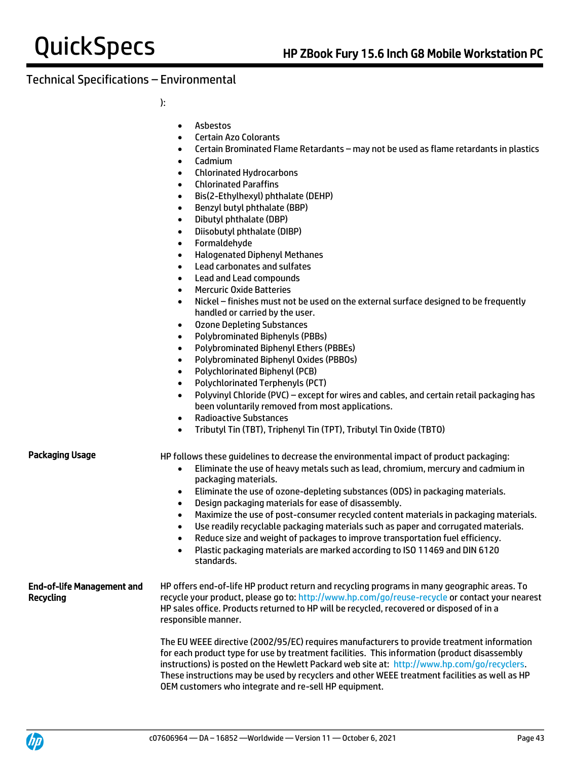):

- Asbestos
- Certain Azo Colorants
- Certain Brominated Flame Retardants may not be used as flame retardants in plastics
- Cadmium
- Chlorinated Hydrocarbons
- Chlorinated Paraffins
- Bis(2-Ethylhexyl) phthalate (DEHP)
- Benzyl butyl phthalate (BBP)
- Dibutyl phthalate (DBP)
- Diisobutyl phthalate (DIBP)
- Formaldehyde
- Halogenated Diphenyl Methanes
- Lead carbonates and sulfates
- Lead and Lead compounds
- Mercuric Oxide Batteries
- Nickel finishes must not be used on the external surface designed to be frequently handled or carried by the user.
- Ozone Depleting Substances
- Polybrominated Biphenyls (PBBs)
- Polybrominated Biphenyl Ethers (PBBEs)
- Polybrominated Biphenyl Oxides (PBBOs)
- Polychlorinated Biphenyl (PCB)
- Polychlorinated Terphenyls (PCT)
- Polyvinyl Chloride (PVC) except for wires and cables, and certain retail packaging has been voluntarily removed from most applications.
- Radioactive Substances
- Tributyl Tin (TBT), Triphenyl Tin (TPT), Tributyl Tin Oxide (TBTO)

Packaging Usage HP follows these quidelines to decrease the environmental impact of product packaging:

- Eliminate the use of heavy metals such as lead, chromium, mercury and cadmium in packaging materials.
- Eliminate the use of ozone-depleting substances (ODS) in packaging materials.
- Design packaging materials for ease of disassembly.
- Maximize the use of post-consumer recycled content materials in packaging materials.
- Use readily recyclable packaging materials such as paper and corrugated materials.
- Reduce size and weight of packages to improve transportation fuel efficiency.
- Plastic packaging materials are marked according to ISO 11469 and DIN 6120 standards.

#### End-of-life Management and Recycling HP offers end-of-life HP product return and recycling programs in many geographic areas. To recycle your product, please go to:<http://www.hp.com/go/reuse-recycle> or contact your nearest HP sales office. Products returned to HP will be recycled, recovered or disposed of in a responsible manner.

The EU WEEE directive (2002/95/EC) requires manufacturers to provide treatment information for each product type for use by treatment facilities. This information (product disassembly instructions) is posted on the Hewlett Packard web site at: [http://www.hp.com/go/recyclers.](http://www.hp.com/go/recyclers) These instructions may be used by recyclers and other WEEE treatment facilities as well as HP OEM customers who integrate and re-sell HP equipment.

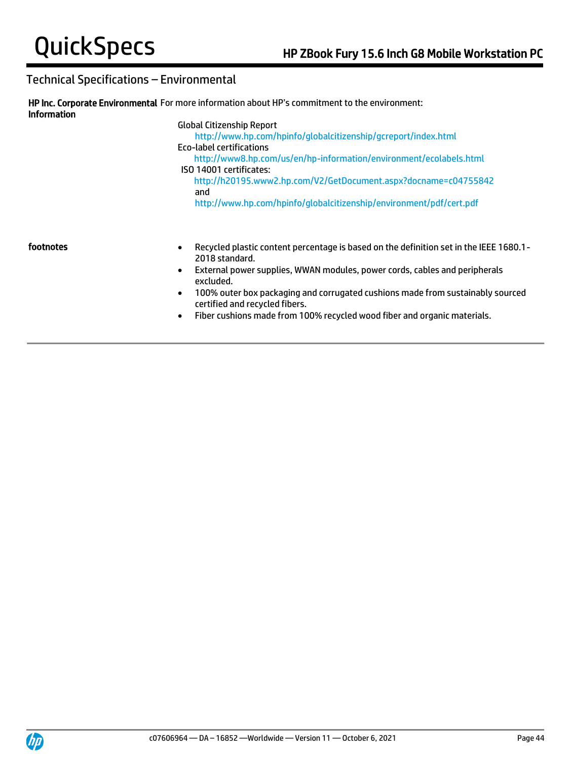| <b>Information</b> | HP Inc. Corporate Environmental For more information about HP's commitment to the environment:                                                                                                                                  |
|--------------------|---------------------------------------------------------------------------------------------------------------------------------------------------------------------------------------------------------------------------------|
|                    | <b>Global Citizenship Report</b><br>http://www.hp.com/hpinfo/globalcitizenship/gcreport/index.html<br>Eco-label certifications<br>http://www8.hp.com/us/en/hp-information/environment/ecolabels.html<br>ISO 14001 certificates: |
|                    | http://h20195.www2.hp.com/V2/GetDocument.aspx?docname=c04755842<br>and<br>http://www.hp.com/hpinfo/globalcitizenship/environment/pdf/cert.pdf                                                                                   |
| footnotes          | Recycled plastic content percentage is based on the definition set in the IEEE 1680.1 -<br>$\bullet$<br>2018 standard.<br>External power supplies, WWAN modules, power cords, cables and peripherals<br>$\bullet$<br>excluded.  |

- 100% outer box packaging and corrugated cushions made from sustainably sourced certified and recycled fibers.
- Fiber cushions made from 100% recycled wood fiber and organic materials.

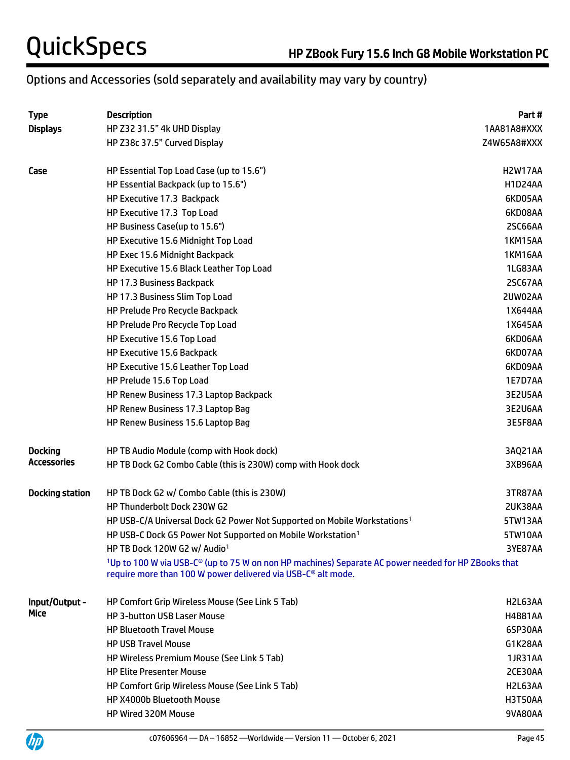# Options and Accessories (sold separately and availability may vary by country)

| <b>Type</b>            | <b>Description</b>                                                                                                                                                                                      | Part#          |
|------------------------|---------------------------------------------------------------------------------------------------------------------------------------------------------------------------------------------------------|----------------|
| <b>Displays</b>        | HP Z32 31.5" 4k UHD Display                                                                                                                                                                             | 1AA81A8#XXX    |
|                        | HP Z38c 37.5" Curved Display                                                                                                                                                                            | Z4W65A8#XXX    |
| Case                   | HP Essential Top Load Case (up to 15.6")                                                                                                                                                                | H2W17AA        |
|                        | HP Essential Backpack (up to 15.6")                                                                                                                                                                     | <b>H1D24AA</b> |
|                        | HP Executive 17.3 Backpack                                                                                                                                                                              | 6KD05AA        |
|                        | HP Executive 17.3 Top Load                                                                                                                                                                              | 6KD08AA        |
|                        | HP Business Case(up to 15.6")                                                                                                                                                                           | 2SC66AA        |
|                        | HP Executive 15.6 Midnight Top Load                                                                                                                                                                     | <b>1KM15AA</b> |
|                        | HP Exec 15.6 Midnight Backpack                                                                                                                                                                          | <b>1KM16AA</b> |
|                        | HP Executive 15.6 Black Leather Top Load                                                                                                                                                                | 1LG83AA        |
|                        | HP 17.3 Business Backpack                                                                                                                                                                               | 2SC67AA        |
|                        | HP 17.3 Business Slim Top Load                                                                                                                                                                          | 2UW02AA        |
|                        | HP Prelude Pro Recycle Backpack                                                                                                                                                                         | 1X644AA        |
|                        | HP Prelude Pro Recycle Top Load                                                                                                                                                                         | 1X645AA        |
|                        | HP Executive 15.6 Top Load                                                                                                                                                                              | 6KD06AA        |
|                        | HP Executive 15.6 Backpack                                                                                                                                                                              | 6KD07AA        |
|                        | HP Executive 15.6 Leather Top Load                                                                                                                                                                      | 6KD09AA        |
|                        | HP Prelude 15.6 Top Load                                                                                                                                                                                | 1E7D7AA        |
|                        | HP Renew Business 17.3 Laptop Backpack                                                                                                                                                                  | 3E2U5AA        |
|                        | HP Renew Business 17.3 Laptop Bag                                                                                                                                                                       | 3E2U6AA        |
|                        | HP Renew Business 15.6 Laptop Bag                                                                                                                                                                       | 3E5F8AA        |
| <b>Docking</b>         | HP TB Audio Module (comp with Hook dock)                                                                                                                                                                | 3AQ21AA        |
| Accessories            | HP TB Dock G2 Combo Cable (this is 230W) comp with Hook dock                                                                                                                                            | 3XB96AA        |
| <b>Docking station</b> | HP TB Dock G2 w/ Combo Cable (this is 230W)                                                                                                                                                             | 3TR87AA        |
|                        | HP Thunderbolt Dock 230W G2                                                                                                                                                                             | 2UK38AA        |
|                        | HP USB-C/A Universal Dock G2 Power Not Supported on Mobile Workstations <sup>1</sup>                                                                                                                    | 5TW13AA        |
|                        | HP USB-C Dock G5 Power Not Supported on Mobile Workstation <sup>1</sup>                                                                                                                                 | 5TW10AA        |
|                        | HP TB Dock 120W G2 w/ Audio <sup>1</sup>                                                                                                                                                                | 3YE87AA        |
|                        | <sup>1</sup> Up to 100 W via USB-C <sup>®</sup> (up to 75 W on non HP machines) Separate AC power needed for HP ZBooks that<br>require more than 100 W power delivered via USB-C <sup>®</sup> alt mode. |                |
| Input/Output -         | HP Comfort Grip Wireless Mouse (See Link 5 Tab)                                                                                                                                                         | H2L63AA        |
| Mice                   | <b>HP 3-button USB Laser Mouse</b>                                                                                                                                                                      | <b>H4B81AA</b> |
|                        | <b>HP Bluetooth Travel Mouse</b>                                                                                                                                                                        | 6SP30AA        |
|                        | <b>HP USB Travel Mouse</b>                                                                                                                                                                              | G1K28AA        |
|                        | <b>HP Wireless Premium Mouse (See Link 5 Tab)</b>                                                                                                                                                       | 1JR31AA        |
|                        | <b>HP Elite Presenter Mouse</b>                                                                                                                                                                         | 2CE30AA        |
|                        | HP Comfort Grip Wireless Mouse (See Link 5 Tab)                                                                                                                                                         | H2L63AA        |
|                        | HP X4000b Bluetooth Mouse                                                                                                                                                                               | <b>H3T50AA</b> |
|                        | HP Wired 320M Mouse                                                                                                                                                                                     | 9VA80AA        |
|                        |                                                                                                                                                                                                         |                |

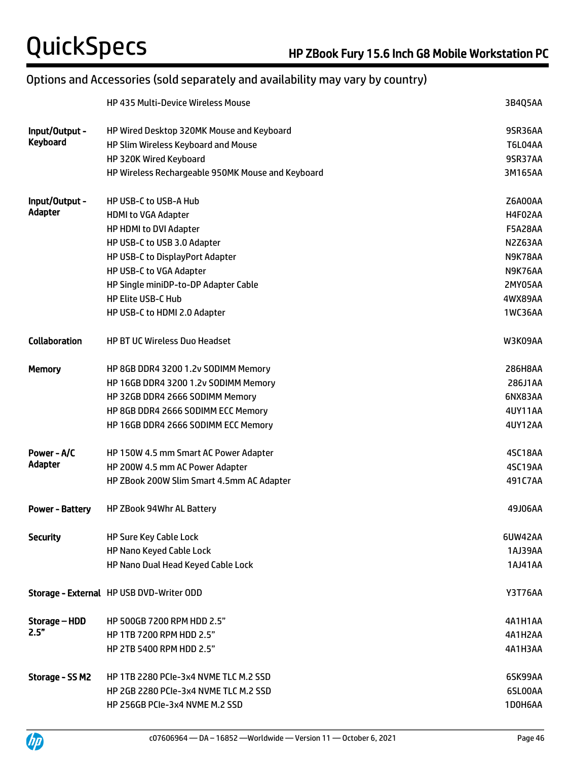# Options and Accessories (sold separately and availability may vary by country)

|                        | <b>HP 435 Multi-Device Wireless Mouse</b>         | 3B4Q5AA        |
|------------------------|---------------------------------------------------|----------------|
| Input/Output -         | HP Wired Desktop 320MK Mouse and Keyboard         | 9SR36AA        |
| <b>Keyboard</b>        | HP Slim Wireless Keyboard and Mouse               | T6L04AA        |
|                        | HP 320K Wired Keyboard                            | 9SR37AA        |
|                        | HP Wireless Rechargeable 950MK Mouse and Keyboard | 3M165AA        |
| Input/Output -         | HP USB-C to USB-A Hub                             | Z6A00AA        |
| Adapter                | <b>HDMI to VGA Adapter</b>                        | H4F02AA        |
|                        | HP HDMI to DVI Adapter                            | <b>F5A28AA</b> |
|                        | HP USB-C to USB 3.0 Adapter                       | N2Z63AA        |
|                        | HP USB-C to DisplayPort Adapter                   | N9K78AA        |
|                        | HP USB-C to VGA Adapter                           | N9K76AA        |
|                        | HP Single miniDP-to-DP Adapter Cable              | 2MY05AA        |
|                        | <b>HP Elite USB-C Hub</b>                         | 4WX89AA        |
|                        | HP USB-C to HDMI 2.0 Adapter                      | 1WC36AA        |
| <b>Collaboration</b>   | <b>HP BT UC Wireless Duo Headset</b>              | W3K09AA        |
| <b>Memory</b>          | HP 8GB DDR4 3200 1.2v SODIMM Memory               | 286H8AA        |
|                        | HP 16GB DDR4 3200 1.2v SODIMM Memory              | 286J1AA        |
|                        | HP 32GB DDR4 2666 SODIMM Memory                   | 6NX83AA        |
|                        | HP 8GB DDR4 2666 SODIMM ECC Memory                | 4UY11AA        |
|                        | HP 16GB DDR4 2666 SODIMM ECC Memory               | 4UY12AA        |
| Power - A/C            | HP 150W 4.5 mm Smart AC Power Adapter             | 4SC18AA        |
| <b>Adapter</b>         | HP 200W 4.5 mm AC Power Adapter                   | 4SC19AA        |
|                        | HP ZBook 200W Slim Smart 4.5mm AC Adapter         | 491C7AA        |
| <b>Power - Battery</b> | HP ZBook 94Whr AL Battery                         | 49J06AA        |
| <b>Security</b>        | HP Sure Key Cable Lock                            | 6UW42AA        |
|                        | HP Nano Keyed Cable Lock                          | 1AJ39AA        |
|                        | HP Nano Dual Head Keyed Cable Lock                | 1AJ41AA        |
|                        | Storage - External HP USB DVD-Writer ODD          | <b>Y3T76AA</b> |
| Storage – HDD          | HP 500GB 7200 RPM HDD 2.5"                        | 4A1H1AA        |
| 2.5"                   | HP 1TB 7200 RPM HDD 2.5"                          | 4A1H2AA        |
|                        | HP 2TB 5400 RPM HDD 2.5"                          | 4A1H3AA        |
| Storage - SS M2        | HP 1TB 2280 PCIe-3x4 NVME TLC M.2 SSD             | 6SK99AA        |
|                        | HP 2GB 2280 PCIe-3x4 NVME TLC M.2 SSD             | 6SL00AA        |
|                        | HP 256GB PCIe-3x4 NVME M.2 SSD                    | 1D0H6AA        |

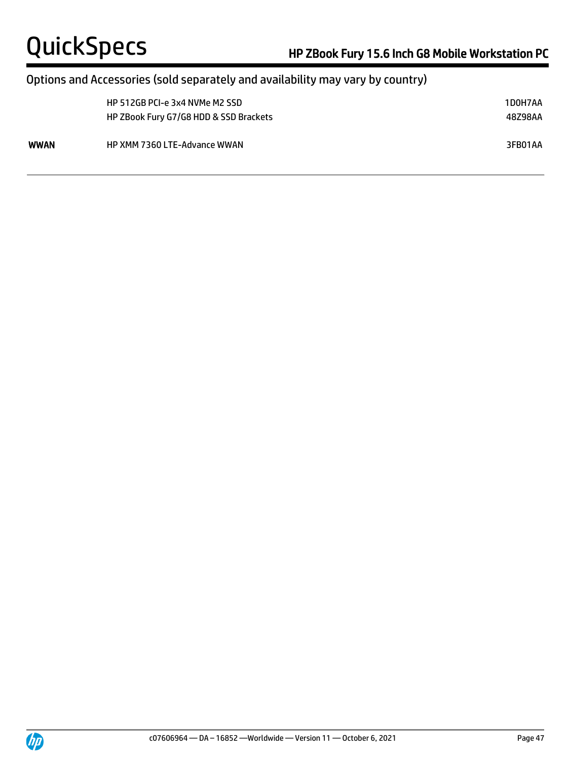## Options and Accessories (sold separately and availability may vary by country)

|      | HP 512GB PCI-e 3x4 NVMe M2 SSD<br>HP ZBook Fury G7/G8 HDD & SSD Brackets | 1D0H7AA<br>48Z98AA |
|------|--------------------------------------------------------------------------|--------------------|
| WWAN | <b>HP XMM 7360 LTE-Advance WWAN</b>                                      | 3FB01AA            |



 $\overline{a}$